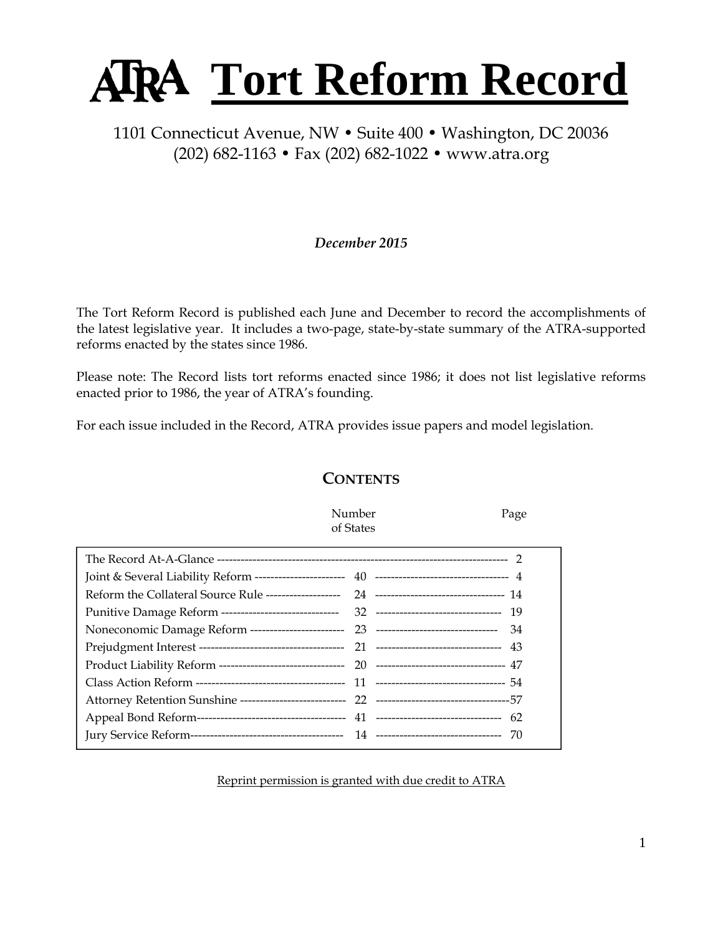# **Tort Reform Record**

# 1101 Connecticut Avenue, NW • Suite 400 • Washington, DC 20036 (202) 682-1163 • Fax (202) 682-1022 • www.atra.org

# *December 2015*

The Tort Reform Record is published each June and December to record the accomplishments of the latest legislative year. It includes a two-page, state-by-state summary of the ATRA-supported reforms enacted by the states since 1986.

Please note: The Record lists tort reforms enacted since 1986; it does not list legislative reforms enacted prior to 1986, the year of ATRA's founding.

For each issue included in the Record, ATRA provides issue papers and model legislation.

# **CONTENTS**

 Number Page of States

Reprint permission is granted with due credit to ATRA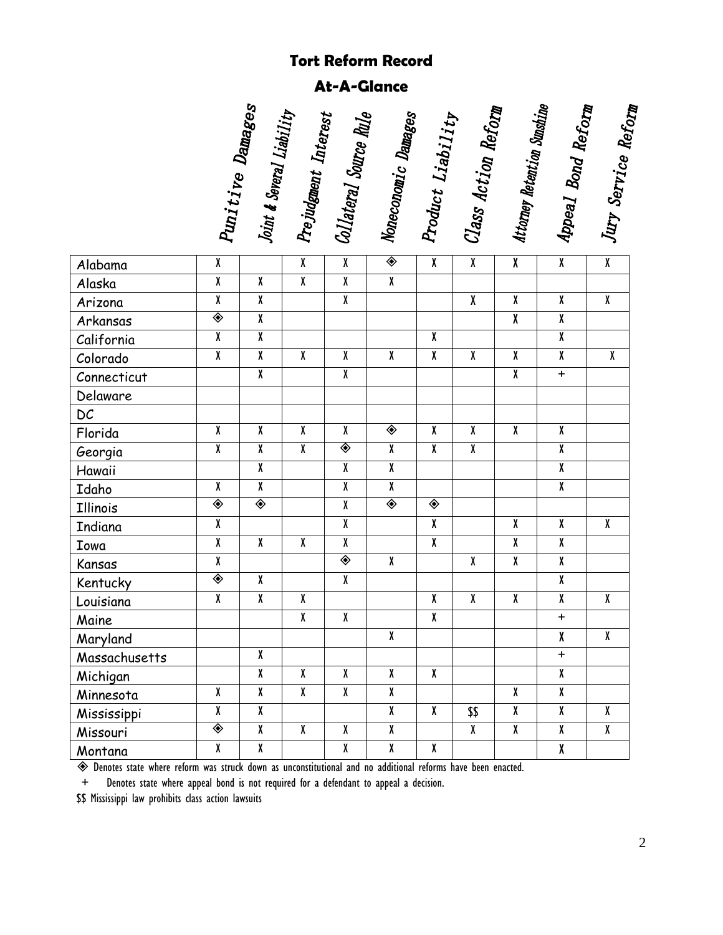# **Tort Reform Record**

**At-A-Glance** 

|                         | Punitive Damages        | Joint & Several Liability | Prejudgment Interest    | Collateral Source Rule  | Noneconomic Damages     | Product Liability       | Class Action Reform     | Attorney Retention Sunshine | Appeal Bond Reform      | Jury Service Reform     |
|-------------------------|-------------------------|---------------------------|-------------------------|-------------------------|-------------------------|-------------------------|-------------------------|-----------------------------|-------------------------|-------------------------|
| Alabama                 | $\overline{\mathbf{X}}$ |                           | $\overline{\mathbf{X}}$ | $\overline{\mathbf{X}}$ | ◈                       | $\overline{\mathbf{X}}$ | $\overline{\mathbf{X}}$ | $\overline{\mathbf{X}}$     | $\overline{\mathbf{X}}$ | $\overline{\mathbf{X}}$ |
| Alaska                  | $\overline{\mathbf{X}}$ | χ                         | $\overline{\mathbf{X}}$ | $\overline{\mathbf{X}}$ | $\overline{\mathbf{X}}$ |                         |                         |                             |                         |                         |
| Arizona                 | $\pmb{\chi}$            | χ                         |                         | $\pmb{\chi}$            |                         |                         | χ                       | χ                           | $\pmb{\chi}$            | $\pmb{\chi}$            |
| Arkansas                | ◈                       | $\overline{\mathbf{X}}$   |                         |                         |                         |                         |                         | $\overline{\mathbf{X}}$     | $\overline{\mathbf{X}}$ |                         |
| California              | $\overline{\mathbf{X}}$ | $\overline{\mathbf{X}}$   |                         |                         |                         | χ                       |                         |                             | $\overline{\mathbf{X}}$ |                         |
| Colorado                | $\overline{\mathbf{X}}$ | $\overline{\textbf{X}}$   | $\pmb{\chi}$            | χ                       | $\overline{\mathbf{X}}$ | $\overline{\mathbf{X}}$ | $\pmb{\chi}$            | χ                           | $\pmb{\chi}$            | $\pmb{\chi}$            |
| Connecticut             |                         | $\overline{\mathbf{X}}$   |                         | $\overline{\mathbf{X}}$ |                         |                         |                         | $\overline{\mathbf{X}}$     | $\ddot{}$               |                         |
| Delaware                |                         |                           |                         |                         |                         |                         |                         |                             |                         |                         |
| $\mathsf{D}\mathcal{C}$ |                         |                           |                         |                         |                         |                         |                         |                             |                         |                         |
| Florida                 | $\overline{\mathbf{X}}$ | $\pmb{\chi}$              | $\overline{\mathbf{X}}$ | $\overline{\mathbf{X}}$ | ◈                       | $\overline{\mathbf{X}}$ | $\pmb{\chi}$            | $\overline{\mathbf{X}}$     | $\pmb{\chi}$            |                         |
| Georgia                 | $\pmb{\chi}$            | χ                         | $\overline{\mathbf{X}}$ | ◈                       | $\overline{\mathbf{X}}$ | χ                       | $\pmb{\chi}$            |                             | $\pmb{\chi}$            |                         |
| Hawaii                  |                         | $\overline{\mathbf{X}}$   |                         | $\overline{\mathbf{X}}$ | $\overline{\mathbf{X}}$ |                         |                         |                             | $\overline{\mathbf{X}}$ |                         |
| Idaho                   | $\overline{\mathbf{X}}$ | $\overline{\mathbf{X}}$   |                         | $\overline{\mathbf{X}}$ | $\overline{\mathbf{X}}$ |                         |                         |                             | $\overline{\mathbf{X}}$ |                         |
| Illinois                | ◈                       | ◈                         |                         | $\overline{\mathbf{X}}$ | ◈                       | ◈                       |                         |                             |                         |                         |
| Indiana                 | $\overline{\mathbf{X}}$ |                           |                         | $\pmb{\chi}$            |                         | $\overline{\mathbf{X}}$ |                         | $\overline{\mathbf{X}}$     | $\overline{\mathbf{X}}$ | $\pmb{\chi}$            |
| Iowa                    | $\overline{\mathbf{X}}$ | χ                         | $\overline{\mathbf{X}}$ | $\overline{\mathbf{X}}$ |                         | $\overline{\mathbf{X}}$ |                         | χ                           | $\overline{\mathbf{X}}$ |                         |
| Kansas                  | $\overline{\mathbf{X}}$ |                           |                         | ◈                       | $\overline{\mathbf{X}}$ |                         | $\boldsymbol{\chi}$     | $\overline{\mathbf{X}}$     | $\overline{\mathbf{X}}$ |                         |
| Kentucky                | ◈                       | χ                         |                         | $\overline{\mathbf{X}}$ |                         |                         |                         |                             | $\overline{\mathbf{X}}$ |                         |
| Louisiana               | $\overline{\mathbf{X}}$ | $\overline{\mathbf{X}}$   | χ                       |                         |                         | $\pmb{\chi}$            | $\pmb{\chi}$            | $\pmb{\chi}$                | $\pmb{\chi}$            | $\pmb{\chi}$            |
| Maine                   |                         |                           | χ                       | $\pmb{\chi}$            |                         | $\overline{\mathbf{X}}$ |                         |                             | $\ddot{}$               |                         |
| Maryland                |                         |                           |                         |                         | χ                       |                         |                         |                             | χ                       | χ                       |
| Massachusetts           |                         | χ                         |                         |                         |                         |                         |                         |                             | $\ddot{}$               |                         |
| Michigan                |                         | $\overline{\mathbf{X}}$   | $\overline{\mathbf{X}}$ | $\overline{\mathbf{X}}$ | $\overline{\mathbf{X}}$ | $\overline{\mathbf{X}}$ |                         |                             | χ                       |                         |
| Minnesota               | $\overline{X}$          | χ                         | $\overline{X}$          | $\overline{\mathbf{X}}$ | $\overline{\mathbf{X}}$ |                         |                         | X                           | χ                       |                         |
| Mississippi             | X                       | χ                         |                         |                         | $\pmb{\chi}$            | $\bm{X}$                | \$\$                    | χ                           | χ                       | χ                       |
| Missouri                | ◈                       | $\pmb{\chi}$              | $\overline{\mathbf{X}}$ | $\overline{\mathbf{X}}$ | $\overline{\mathbf{X}}$ |                         | $\overline{\mathbf{X}}$ | X                           | X                       | χ                       |
| Montana                 | X                       | χ                         |                         | $\overline{\mathbf{X}}$ | $\overline{\mathbf{X}}$ | χ                       |                         |                             | χ                       |                         |

Denotes state where reform was struck down as unconstitutional and no additional reforms have been enacted.

+ Denotes state where appeal bond is not required for a defendant to appeal a decision.

\$\$ Mississippi law prohibits class action lawsuits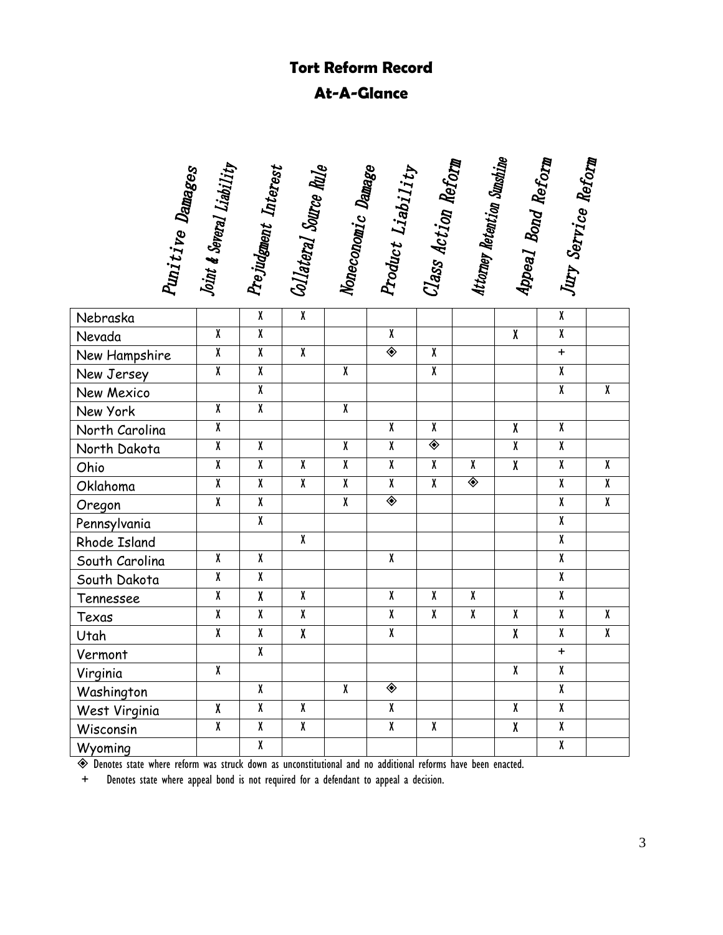# **Tort Reform Record At-A-Glance**

| Punitive Damages | Joint & Several Liability | Prejudgment Interest    | Collateral Source Rule  | Noneconomic Damage      | Product Liability       | Class Action Reform     | Attorney Retention Sunshine | Appeal Bond Reform      | Jury Service Reform     |                         |
|------------------|---------------------------|-------------------------|-------------------------|-------------------------|-------------------------|-------------------------|-----------------------------|-------------------------|-------------------------|-------------------------|
|                  |                           |                         |                         |                         |                         |                         |                             |                         |                         |                         |
| Nebraska         |                           | $\overline{\mathbf{X}}$ | $\overline{\mathbf{X}}$ |                         |                         |                         |                             |                         | $\overline{\mathbf{X}}$ |                         |
| Nevada           | $\overline{\mathbf{X}}$   | $\overline{\mathbf{X}}$ |                         |                         | $\overline{\mathbf{X}}$ |                         |                             | $\overline{\mathbf{X}}$ | $\overline{\mathbf{X}}$ |                         |
| New Hampshire    | $\overline{\mathbf{X}}$   | $\overline{\mathbf{X}}$ | $\overline{\mathbf{X}}$ |                         | ◈                       | $\mathbf{x}$            |                             |                         | $+$                     |                         |
| New Jersey       | $\overline{\mathbf{X}}$   | $\overline{\mathbf{X}}$ |                         | X                       |                         | $\mathbf{X}$            |                             |                         | $\overline{\mathbf{X}}$ |                         |
| New Mexico       |                           | $\overline{\mathbf{X}}$ |                         |                         |                         |                         |                             |                         | $\overline{\textbf{X}}$ | $\overline{\mathbf{X}}$ |
| New York         | $\overline{\mathbf{X}}$   | $\overline{\mathbf{X}}$ |                         | $\overline{\mathbf{X}}$ |                         |                         |                             |                         |                         |                         |
| North Carolina   | $\overline{\mathbf{X}}$   |                         |                         |                         | $\overline{\mathbf{X}}$ | $\pmb{\chi}$            |                             | $\pmb{\chi}$            | $\overline{\mathbf{X}}$ |                         |
| North Dakota     | $\overline{\mathbf{X}}$   | $\overline{\mathbf{X}}$ |                         | $\pmb{\chi}$            | $\overline{\mathbf{X}}$ | ◈                       |                             | $\overline{\mathbf{X}}$ | $\overline{\mathbf{X}}$ |                         |
| Ohio             | $\overline{\mathbf{X}}$   | $\overline{\mathbf{X}}$ | χ                       | X                       | $\overline{\mathbf{X}}$ | $\pmb{\chi}$            | $\pmb{\chi}$                | $\overline{\mathbf{X}}$ | $\overline{\mathbf{X}}$ | $\pmb{\chi}$            |
| Oklahoma         | $\overline{\mathbf{X}}$   | $\overline{\mathbf{X}}$ | $\overline{\mathbf{X}}$ | $\overline{\mathbf{X}}$ | $\overline{\mathbf{X}}$ | $\overline{\mathbf{X}}$ | ◈                           |                         | $\overline{\mathbf{X}}$ | $\overline{\textbf{X}}$ |
| Oregon           | $\overline{\mathbf{X}}$   | $\overline{\mathbf{X}}$ |                         | $\overline{\mathbf{X}}$ | ◈                       |                         |                             |                         | $\overline{\textbf{X}}$ | $\overline{\mathbf{X}}$ |
| Pennsylvania     |                           | $\overline{\mathbf{X}}$ |                         |                         |                         |                         |                             |                         | $\overline{\mathbf{X}}$ |                         |
| Rhode Island     |                           |                         | $\overline{\mathbf{X}}$ |                         |                         |                         |                             |                         | $\overline{\mathbf{X}}$ |                         |
| South Carolina   | $\pmb{\chi}$              | $\pmb{\chi}$            |                         |                         | $\overline{\mathbf{X}}$ |                         |                             |                         | $\overline{\mathbf{X}}$ |                         |
| South Dakota     | $\overline{\mathbf{X}}$   | $\overline{\mathbf{X}}$ |                         |                         |                         |                         |                             |                         | $\overline{\mathbf{X}}$ |                         |
| Tennessee        | $\overline{\mathbf{X}}$   | $\overline{\mathbf{X}}$ | $\pmb{\chi}$            |                         | $\pmb{\chi}$            | χ                       | $\overline{\mathbf{X}}$     |                         | $\overline{\mathbf{X}}$ |                         |
| Texas            | $\overline{\mathbf{X}}$   | $\overline{\mathbf{X}}$ | $\overline{\mathbf{X}}$ |                         | $\overline{\mathbf{X}}$ | $\overline{\mathbf{X}}$ | $\overline{\mathbf{X}}$     | $\overline{\mathbf{X}}$ | $\overline{\mathbf{X}}$ | $\overline{\mathbf{X}}$ |
| Utah             | $\overline{\mathbf{X}}$   | $\overline{\mathbf{X}}$ | $\overline{\mathbf{X}}$ |                         | $\overline{\mathbf{X}}$ |                         |                             | $\overline{X}$          | $\overline{\mathbf{X}}$ | $\overline{\mathbf{X}}$ |
| Vermont          |                           | $\overline{\mathbf{X}}$ |                         |                         |                         |                         |                             |                         | $+$                     |                         |
| Virginia         | $\overline{\mathbf{X}}$   |                         |                         |                         |                         |                         |                             | $\overline{\mathbf{X}}$ | $\overline{\mathbf{X}}$ |                         |
| Washington       |                           | $\overline{\mathbf{X}}$ |                         | X                       | ◈                       |                         |                             |                         | $\overline{\mathbf{X}}$ |                         |
| West Virginia    | χ                         | $\overline{\mathbf{X}}$ | $\overline{\mathbf{X}}$ |                         | $\overline{\mathbf{X}}$ |                         |                             | $\pmb{\chi}$            | $\overline{\mathbf{X}}$ |                         |
| Wisconsin        | $\overline{\mathbf{X}}$   | $\overline{\mathbf{X}}$ | $\overline{\mathbf{X}}$ |                         | $\overline{\mathbf{X}}$ | $\overline{\mathbf{X}}$ |                             | $\overline{\mathbf{X}}$ | $\pmb{\chi}$            |                         |
| Wyoming          |                           | $\overline{\mathbf{X}}$ |                         |                         |                         |                         |                             |                         | $\overline{\mathbf{X}}$ |                         |

Denotes state where reform was struck down as unconstitutional and no additional reforms have been enacted.

+ Denotes state where appeal bond is not required for a defendant to appeal a decision.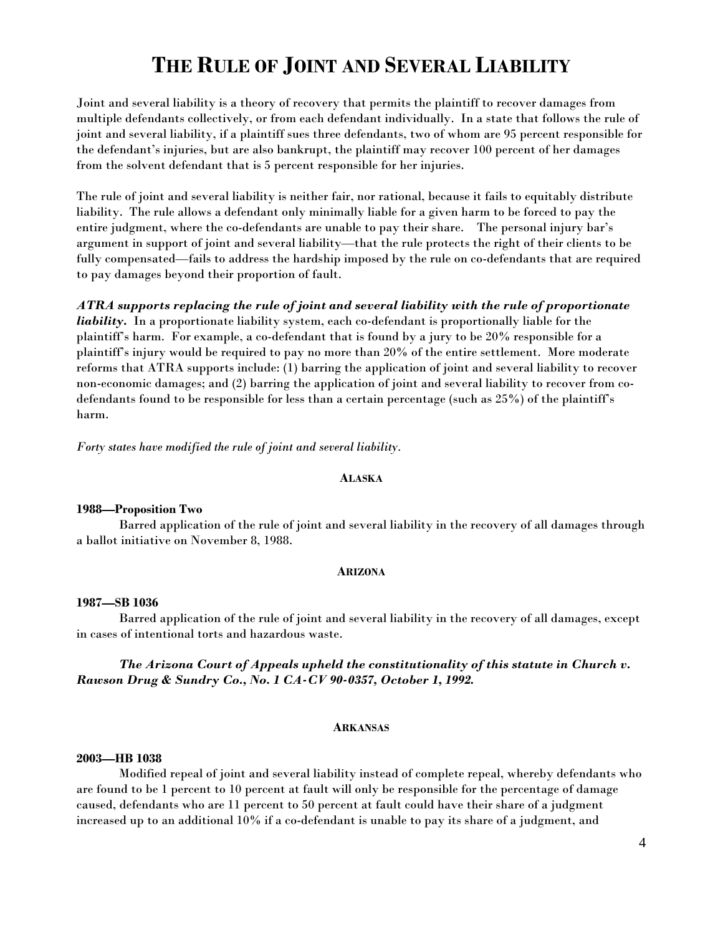# **THE RULE OF JOINT AND SEVERAL LIABILITY**

Joint and several liability is a theory of recovery that permits the plaintiff to recover damages from multiple defendants collectively, or from each defendant individually. In a state that follows the rule of joint and several liability, if a plaintiff sues three defendants, two of whom are 95 percent responsible for the defendant's injuries, but are also bankrupt, the plaintiff may recover 100 percent of her damages from the solvent defendant that is 5 percent responsible for her injuries.

The rule of joint and several liability is neither fair, nor rational, because it fails to equitably distribute liability. The rule allows a defendant only minimally liable for a given harm to be forced to pay the entire judgment, where the co-defendants are unable to pay their share. The personal injury bar's argument in support of joint and several liability—that the rule protects the right of their clients to be fully compensated—fails to address the hardship imposed by the rule on co-defendants that are required to pay damages beyond their proportion of fault.

*ATRA supports replacing the rule of joint and several liability with the rule of proportionate liability.* In a proportionate liability system, each co-defendant is proportionally liable for the plaintiff's harm. For example, a co-defendant that is found by a jury to be 20% responsible for a plaintiff's injury would be required to pay no more than 20% of the entire settlement. More moderate reforms that ATRA supports include: (1) barring the application of joint and several liability to recover non-economic damages; and (2) barring the application of joint and several liability to recover from codefendants found to be responsible for less than a certain percentage (such as 25%) of the plaintiff's harm.

*Forty states have modified the rule of joint and several liability.* 

#### **ALASKA**

#### **1988—Proposition Two**

Barred application of the rule of joint and several liability in the recovery of all damages through a ballot initiative on November 8, 1988.

# **ARIZONA**

#### **1987—SB 1036**

Barred application of the rule of joint and several liability in the recovery of all damages, except in cases of intentional torts and hazardous waste.

*The Arizona Court of Appeals upheld the constitutionality of this statute in Church v. Rawson Drug & Sundry Co., No. 1 CA-CV 90-0357, October 1, 1992.* 

# **ARKANSAS**

# **2003—HB 1038**

 Modified repeal of joint and several liability instead of complete repeal, whereby defendants who are found to be 1 percent to 10 percent at fault will only be responsible for the percentage of damage caused, defendants who are 11 percent to 50 percent at fault could have their share of a judgment increased up to an additional 10% if a co-defendant is unable to pay its share of a judgment, and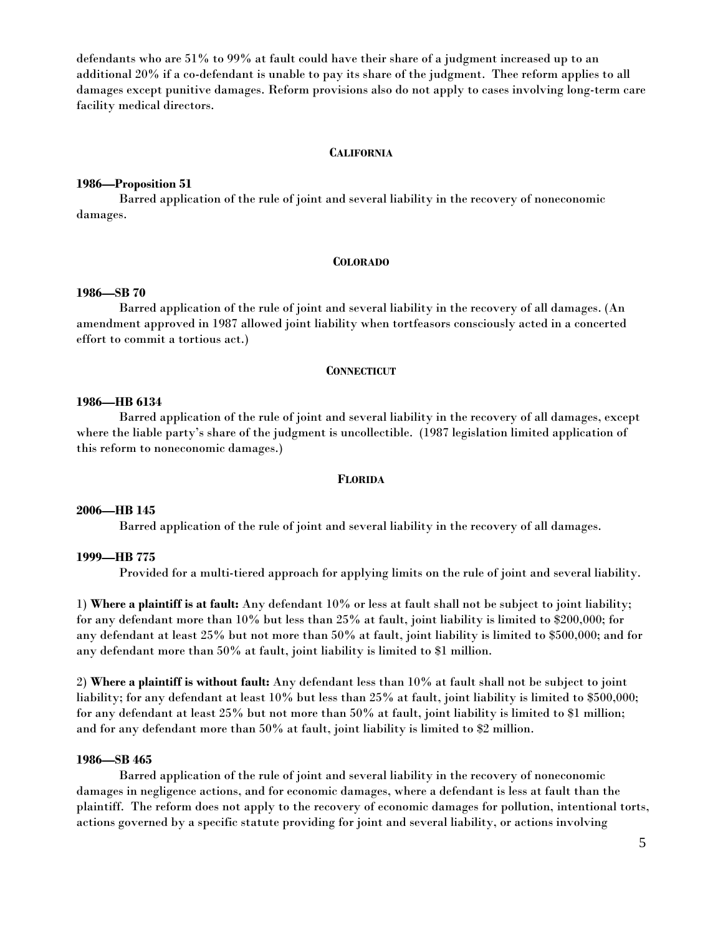defendants who are 51% to 99% at fault could have their share of a judgment increased up to an additional 20% if a co-defendant is unable to pay its share of the judgment. Thee reform applies to all damages except punitive damages. Reform provisions also do not apply to cases involving long-term care facility medical directors.

#### **CALIFORNIA**

#### **1986—Proposition 51**

Barred application of the rule of joint and several liability in the recovery of noneconomic damages.

#### **COLORADO**

#### **1986—SB 70**

Barred application of the rule of joint and several liability in the recovery of all damages. (An amendment approved in 1987 allowed joint liability when tortfeasors consciously acted in a concerted effort to commit a tortious act.)

#### **CONNECTICUT**

# **1986—HB 6134**

Barred application of the rule of joint and several liability in the recovery of all damages, except where the liable party's share of the judgment is uncollectible. (1987 legislation limited application of this reform to noneconomic damages.)

#### **FLORIDA**

#### **2006—HB 145**

Barred application of the rule of joint and several liability in the recovery of all damages.

#### **1999—HB 775**

Provided for a multi-tiered approach for applying limits on the rule of joint and several liability.

1) **Where a plaintiff is at fault:** Any defendant 10% or less at fault shall not be subject to joint liability; for any defendant more than 10% but less than 25% at fault, joint liability is limited to \$200,000; for any defendant at least 25% but not more than 50% at fault, joint liability is limited to \$500,000; and for any defendant more than 50% at fault, joint liability is limited to \$1 million.

2) **Where a plaintiff is without fault:** Any defendant less than 10% at fault shall not be subject to joint liability; for any defendant at least 10% but less than 25% at fault, joint liability is limited to \$500,000; for any defendant at least 25% but not more than 50% at fault, joint liability is limited to \$1 million; and for any defendant more than 50% at fault, joint liability is limited to \$2 million.

# **1986—SB 465**

Barred application of the rule of joint and several liability in the recovery of noneconomic damages in negligence actions, and for economic damages, where a defendant is less at fault than the plaintiff. The reform does not apply to the recovery of economic damages for pollution, intentional torts, actions governed by a specific statute providing for joint and several liability, or actions involving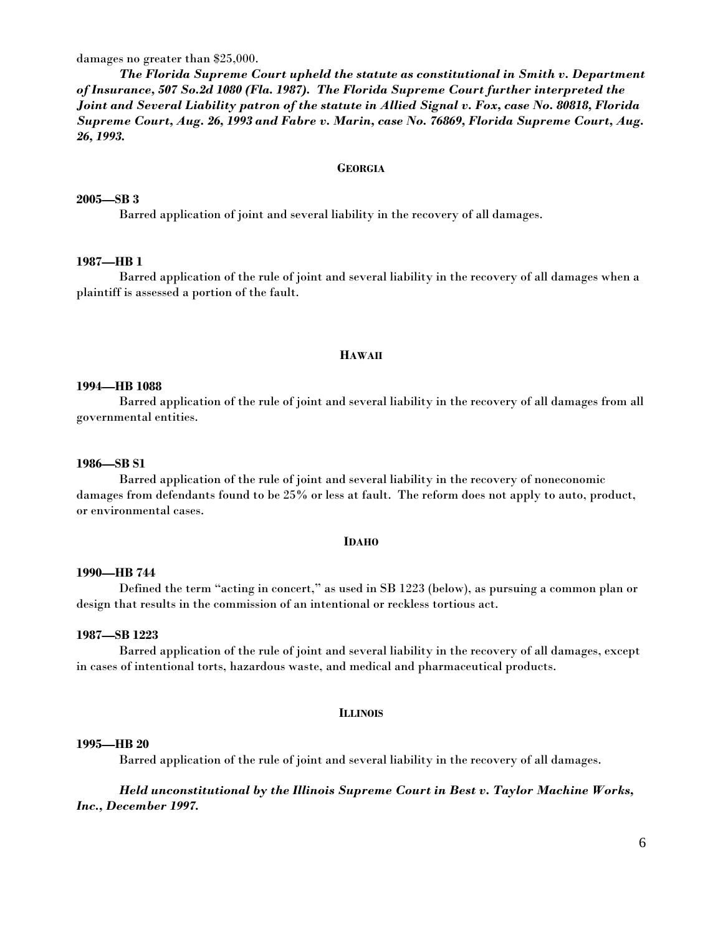damages no greater than \$25,000.

*The Florida Supreme Court upheld the statute as constitutional in Smith v. Department of Insurance, 507 So.2d 1080 (Fla. 1987). The Florida Supreme Court further interpreted the Joint and Several Liability patron of the statute in Allied Signal v. Fox, case No. 80818, Florida Supreme Court, Aug. 26, 1993 and Fabre v. Marin, case No. 76869, Florida Supreme Court, Aug. 26, 1993.* 

#### **GEORGIA**

#### **2005—SB 3**

Barred application of joint and several liability in the recovery of all damages.

# **1987—HB 1**

Barred application of the rule of joint and several liability in the recovery of all damages when a plaintiff is assessed a portion of the fault.

#### **HAWAII**

#### **1994—HB 1088**

Barred application of the rule of joint and several liability in the recovery of all damages from all governmental entities.

#### **1986—SB S1**

Barred application of the rule of joint and several liability in the recovery of noneconomic damages from defendants found to be 25% or less at fault. The reform does not apply to auto, product, or environmental cases.

#### **IDAHO**

#### **1990—HB 744**

Defined the term "acting in concert," as used in SB 1223 (below), as pursuing a common plan or design that results in the commission of an intentional or reckless tortious act.

#### **1987—SB 1223**

Barred application of the rule of joint and several liability in the recovery of all damages, except in cases of intentional torts, hazardous waste, and medical and pharmaceutical products.

#### **ILLINOIS**

#### **1995—HB 20**

Barred application of the rule of joint and several liability in the recovery of all damages.

# *Held unconstitutional by the Illinois Supreme Court in Best v. Taylor Machine Works, Inc., December 1997.*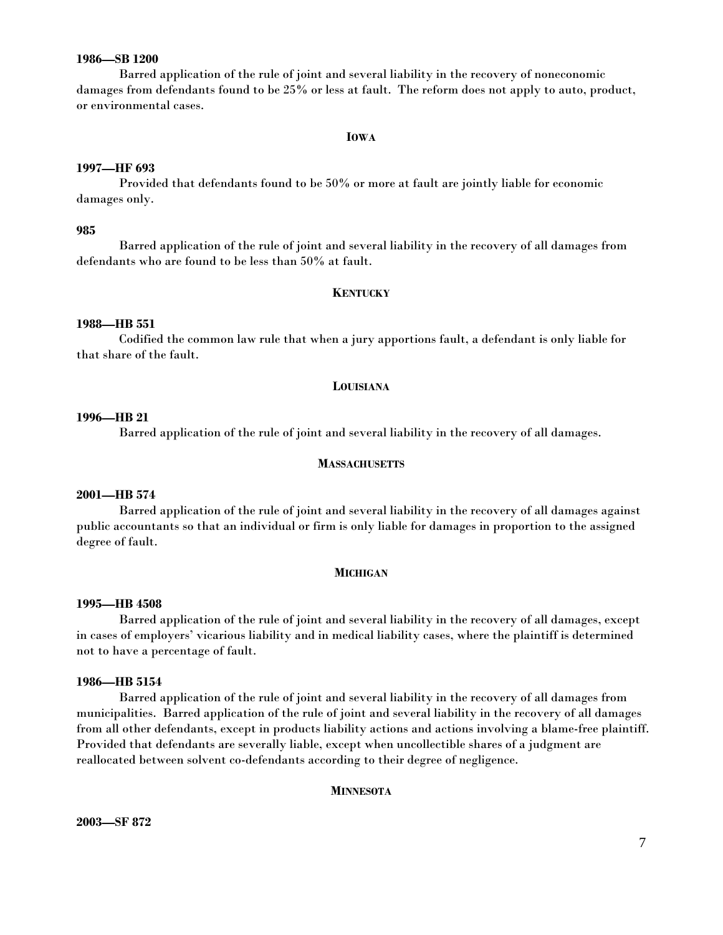# **1986—SB 1200**

Barred application of the rule of joint and several liability in the recovery of noneconomic damages from defendants found to be 25% or less at fault. The reform does not apply to auto, product, or environmental cases.

#### **IOWA**

#### **1997—HF 693**

Provided that defendants found to be 50% or more at fault are jointly liable for economic damages only.

#### **985**

Barred application of the rule of joint and several liability in the recovery of all damages from defendants who are found to be less than 50% at fault.

#### **KENTUCKY**

#### **1988—HB 551**

Codified the common law rule that when a jury apportions fault, a defendant is only liable for that share of the fault.

#### **LOUISIANA**

#### **1996—HB 21**

Barred application of the rule of joint and several liability in the recovery of all damages.

#### **MASSACHUSETTS**

#### **2001—HB 574**

 Barred application of the rule of joint and several liability in the recovery of all damages against public accountants so that an individual or firm is only liable for damages in proportion to the assigned degree of fault.

#### **MICHIGAN**

#### **1995—HB 4508**

Barred application of the rule of joint and several liability in the recovery of all damages, except in cases of employers' vicarious liability and in medical liability cases, where the plaintiff is determined not to have a percentage of fault.

## **1986—HB 5154**

Barred application of the rule of joint and several liability in the recovery of all damages from municipalities. Barred application of the rule of joint and several liability in the recovery of all damages from all other defendants, except in products liability actions and actions involving a blame-free plaintiff. Provided that defendants are severally liable, except when uncollectible shares of a judgment are reallocated between solvent co-defendants according to their degree of negligence.

#### **MINNESOTA**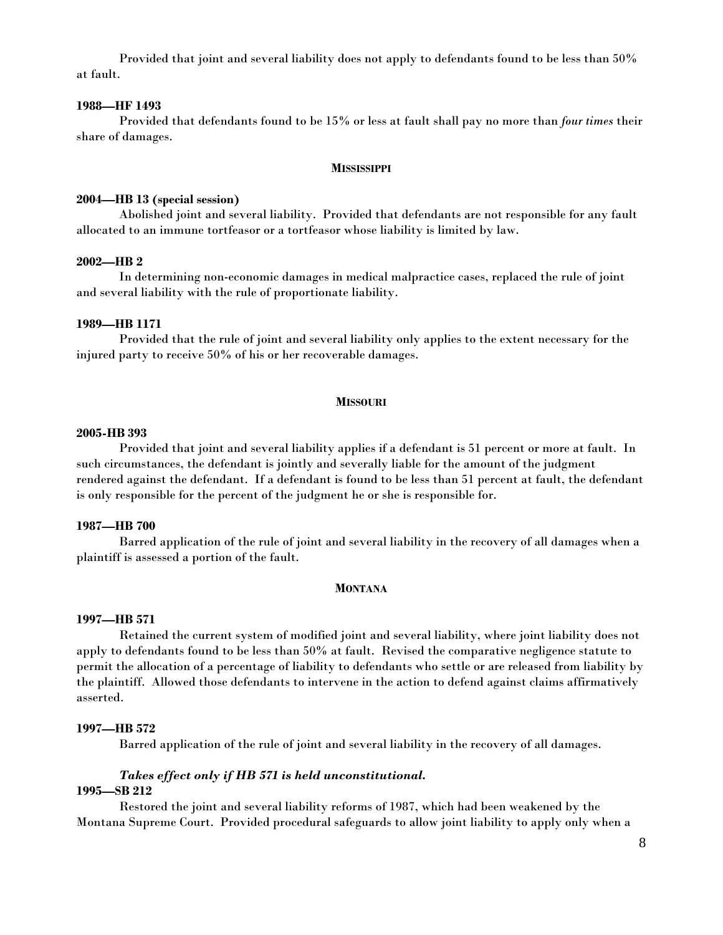Provided that joint and several liability does not apply to defendants found to be less than 50% at fault.

# **1988—HF 1493**

 Provided that defendants found to be 15% or less at fault shall pay no more than *four times* their share of damages.

#### **MISSISSIPPI**

#### **2004—HB 13 (special session)**

Abolished joint and several liability. Provided that defendants are not responsible for any fault allocated to an immune tortfeasor or a tortfeasor whose liability is limited by law.

# **2002—HB 2**

In determining non-economic damages in medical malpractice cases, replaced the rule of joint and several liability with the rule of proportionate liability.

#### **1989—HB 1171**

Provided that the rule of joint and several liability only applies to the extent necessary for the injured party to receive 50% of his or her recoverable damages.

#### **MISSOURI**

#### **2005-HB 393**

 Provided that joint and several liability applies if a defendant is 51 percent or more at fault. In such circumstances, the defendant is jointly and severally liable for the amount of the judgment rendered against the defendant. If a defendant is found to be less than 51 percent at fault, the defendant is only responsible for the percent of the judgment he or she is responsible for.

# **1987—HB 700**

Barred application of the rule of joint and several liability in the recovery of all damages when a plaintiff is assessed a portion of the fault.

#### **MONTANA**

#### **1997—HB 571**

Retained the current system of modified joint and several liability, where joint liability does not apply to defendants found to be less than 50% at fault. Revised the comparative negligence statute to permit the allocation of a percentage of liability to defendants who settle or are released from liability by the plaintiff. Allowed those defendants to intervene in the action to defend against claims affirmatively asserted.

# **1997—HB 572**

Barred application of the rule of joint and several liability in the recovery of all damages.

# *Takes effect only if HB 571 is held unconstitutional.*

# **1995—SB 212**

Restored the joint and several liability reforms of 1987, which had been weakened by the Montana Supreme Court. Provided procedural safeguards to allow joint liability to apply only when a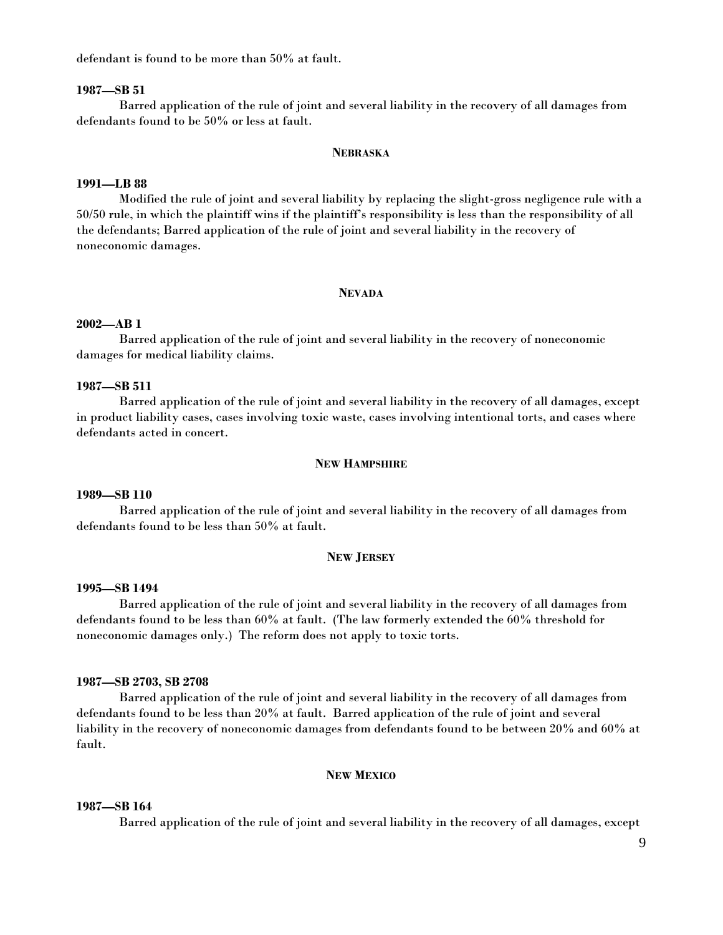defendant is found to be more than 50% at fault.

# **1987—SB 51**

Barred application of the rule of joint and several liability in the recovery of all damages from defendants found to be 50% or less at fault.

#### **NEBRASKA**

#### **1991—LB 88**

Modified the rule of joint and several liability by replacing the slight-gross negligence rule with a 50/50 rule, in which the plaintiff wins if the plaintiff's responsibility is less than the responsibility of all the defendants; Barred application of the rule of joint and several liability in the recovery of noneconomic damages.

#### **NEVADA**

#### **2002—AB 1**

 Barred application of the rule of joint and several liability in the recovery of noneconomic damages for medical liability claims.

# **1987—SB 511**

Barred application of the rule of joint and several liability in the recovery of all damages, except in product liability cases, cases involving toxic waste, cases involving intentional torts, and cases where defendants acted in concert.

#### **NEW HAMPSHIRE**

#### **1989—SB 110**

Barred application of the rule of joint and several liability in the recovery of all damages from defendants found to be less than 50% at fault.

#### **NEW JERSEY**

#### **1995—SB 1494**

Barred application of the rule of joint and several liability in the recovery of all damages from defendants found to be less than 60% at fault. (The law formerly extended the 60% threshold for noneconomic damages only.) The reform does not apply to toxic torts.

# **1987—SB 2703, SB 2708**

Barred application of the rule of joint and several liability in the recovery of all damages from defendants found to be less than 20% at fault. Barred application of the rule of joint and several liability in the recovery of noneconomic damages from defendants found to be between 20% and 60% at fault.

#### **NEW MEXICO**

# **1987—SB 164**

Barred application of the rule of joint and several liability in the recovery of all damages, except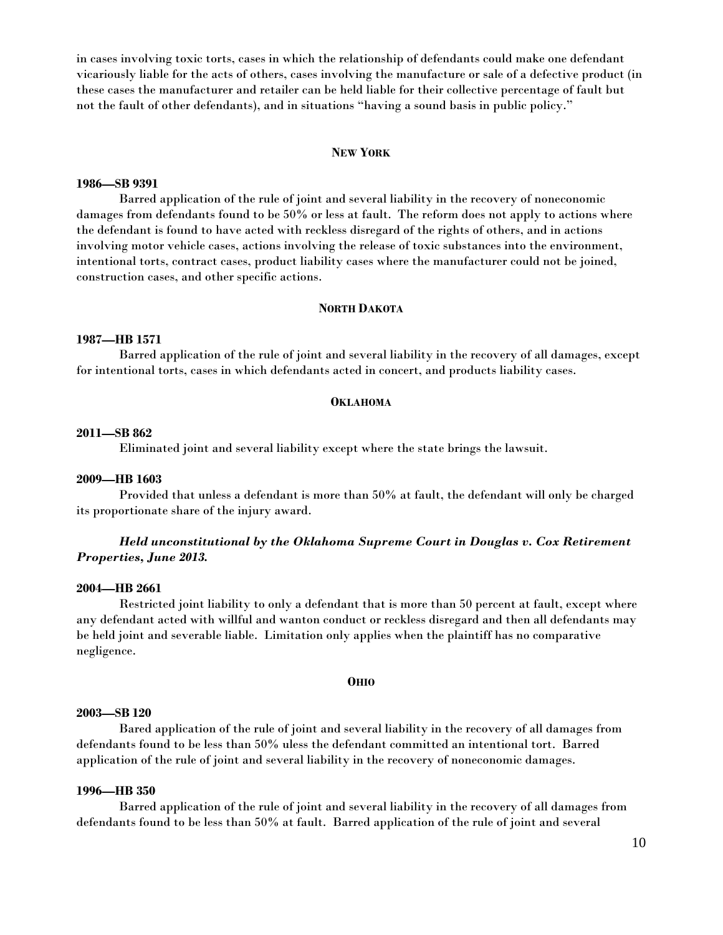in cases involving toxic torts, cases in which the relationship of defendants could make one defendant vicariously liable for the acts of others, cases involving the manufacture or sale of a defective product (in these cases the manufacturer and retailer can be held liable for their collective percentage of fault but not the fault of other defendants), and in situations "having a sound basis in public policy."

#### **NEW YORK**

# **1986—SB 9391**

Barred application of the rule of joint and several liability in the recovery of noneconomic damages from defendants found to be 50% or less at fault. The reform does not apply to actions where the defendant is found to have acted with reckless disregard of the rights of others, and in actions involving motor vehicle cases, actions involving the release of toxic substances into the environment, intentional torts, contract cases, product liability cases where the manufacturer could not be joined, construction cases, and other specific actions.

#### **NORTH DAKOTA**

## **1987—HB 1571**

Barred application of the rule of joint and several liability in the recovery of all damages, except for intentional torts, cases in which defendants acted in concert, and products liability cases.

#### **OKLAHOMA**

#### **2011—SB 862**

Eliminated joint and several liability except where the state brings the lawsuit.

#### **2009—HB 1603**

Provided that unless a defendant is more than 50% at fault, the defendant will only be charged its proportionate share of the injury award.

# *Held unconstitutional by the Oklahoma Supreme Court in Douglas v. Cox Retirement Properties, June 2013.*

#### **2004—HB 2661**

Restricted joint liability to only a defendant that is more than 50 percent at fault, except where any defendant acted with willful and wanton conduct or reckless disregard and then all defendants may be held joint and severable liable. Limitation only applies when the plaintiff has no comparative negligence.

#### **OHIO**

# **2003—SB 120**

Bared application of the rule of joint and several liability in the recovery of all damages from defendants found to be less than 50% uless the defendant committed an intentional tort. Barred application of the rule of joint and several liability in the recovery of noneconomic damages.

# **1996—HB 350**

Barred application of the rule of joint and several liability in the recovery of all damages from defendants found to be less than 50% at fault. Barred application of the rule of joint and several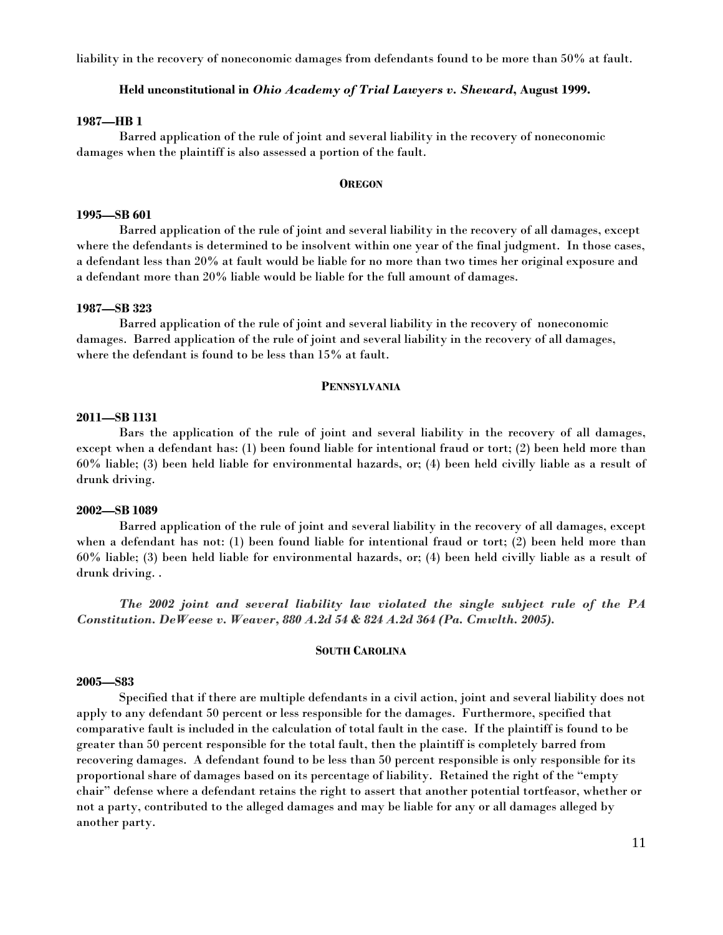liability in the recovery of noneconomic damages from defendants found to be more than 50% at fault.

# **Held unconstitutional in** *Ohio Academy of Trial Lawyers v. Sheward***, August 1999.**

#### **1987—HB 1**

Barred application of the rule of joint and several liability in the recovery of noneconomic damages when the plaintiff is also assessed a portion of the fault.

#### **OREGON**

# **1995—SB 601**

Barred application of the rule of joint and several liability in the recovery of all damages, except where the defendants is determined to be insolvent within one year of the final judgment. In those cases, a defendant less than 20% at fault would be liable for no more than two times her original exposure and a defendant more than 20% liable would be liable for the full amount of damages.

#### **1987—SB 323**

Barred application of the rule of joint and several liability in the recovery of noneconomic damages. Barred application of the rule of joint and several liability in the recovery of all damages, where the defendant is found to be less than 15% at fault.

#### **PENNSYLVANIA**

#### **2011—SB 1131**

 Bars the application of the rule of joint and several liability in the recovery of all damages, except when a defendant has: (1) been found liable for intentional fraud or tort; (2) been held more than 60% liable; (3) been held liable for environmental hazards, or; (4) been held civilly liable as a result of drunk driving.

#### **2002—SB 1089**

 Barred application of the rule of joint and several liability in the recovery of all damages, except when a defendant has not: (1) been found liable for intentional fraud or tort; (2) been held more than 60% liable; (3) been held liable for environmental hazards, or; (4) been held civilly liable as a result of drunk driving. .

*The 2002 joint and several liability law violated the single subject rule of the PA Constitution. DeWeese v. Weaver, 880 A.2d 54 & 824 A.2d 364 (Pa. Cmwlth. 2005).*

#### **SOUTH CAROLINA**

# **2005—S83**

 Specified that if there are multiple defendants in a civil action, joint and several liability does not apply to any defendant 50 percent or less responsible for the damages. Furthermore, specified that comparative fault is included in the calculation of total fault in the case. If the plaintiff is found to be greater than 50 percent responsible for the total fault, then the plaintiff is completely barred from recovering damages. A defendant found to be less than 50 percent responsible is only responsible for its proportional share of damages based on its percentage of liability. Retained the right of the "empty chair" defense where a defendant retains the right to assert that another potential tortfeasor, whether or not a party, contributed to the alleged damages and may be liable for any or all damages alleged by another party.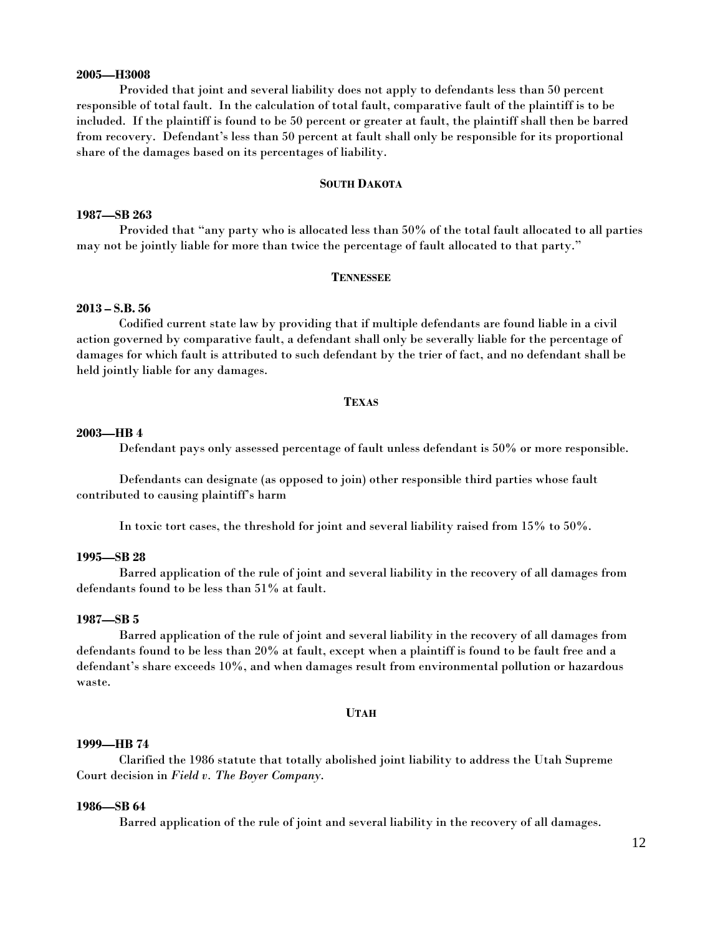# **2005—H3008**

 Provided that joint and several liability does not apply to defendants less than 50 percent responsible of total fault. In the calculation of total fault, comparative fault of the plaintiff is to be included. If the plaintiff is found to be 50 percent or greater at fault, the plaintiff shall then be barred from recovery. Defendant's less than 50 percent at fault shall only be responsible for its proportional share of the damages based on its percentages of liability.

#### **SOUTH DAKOTA**

# **1987—SB 263**

Provided that "any party who is allocated less than 50% of the total fault allocated to all parties may not be jointly liable for more than twice the percentage of fault allocated to that party."

#### **TENNESSEE**

#### **2013 – S.B. 56**

 Codified current state law by providing that if multiple defendants are found liable in a civil action governed by comparative fault, a defendant shall only be severally liable for the percentage of damages for which fault is attributed to such defendant by the trier of fact, and no defendant shall be held jointly liable for any damages.

#### **TEXAS**

#### **2003—HB 4**

Defendant pays only assessed percentage of fault unless defendant is 50% or more responsible.

Defendants can designate (as opposed to join) other responsible third parties whose fault contributed to causing plaintiff's harm

In toxic tort cases, the threshold for joint and several liability raised from 15% to 50%.

# **1995—SB 28**

Barred application of the rule of joint and several liability in the recovery of all damages from defendants found to be less than 51% at fault.

#### **1987—SB 5**

Barred application of the rule of joint and several liability in the recovery of all damages from defendants found to be less than 20% at fault, except when a plaintiff is found to be fault free and a defendant's share exceeds 10%, and when damages result from environmental pollution or hazardous waste.

#### **UTAH**

#### **1999—HB 74**

Clarified the 1986 statute that totally abolished joint liability to address the Utah Supreme Court decision in *Field v. The Boyer Company*.

#### **1986—SB 64**

Barred application of the rule of joint and several liability in the recovery of all damages.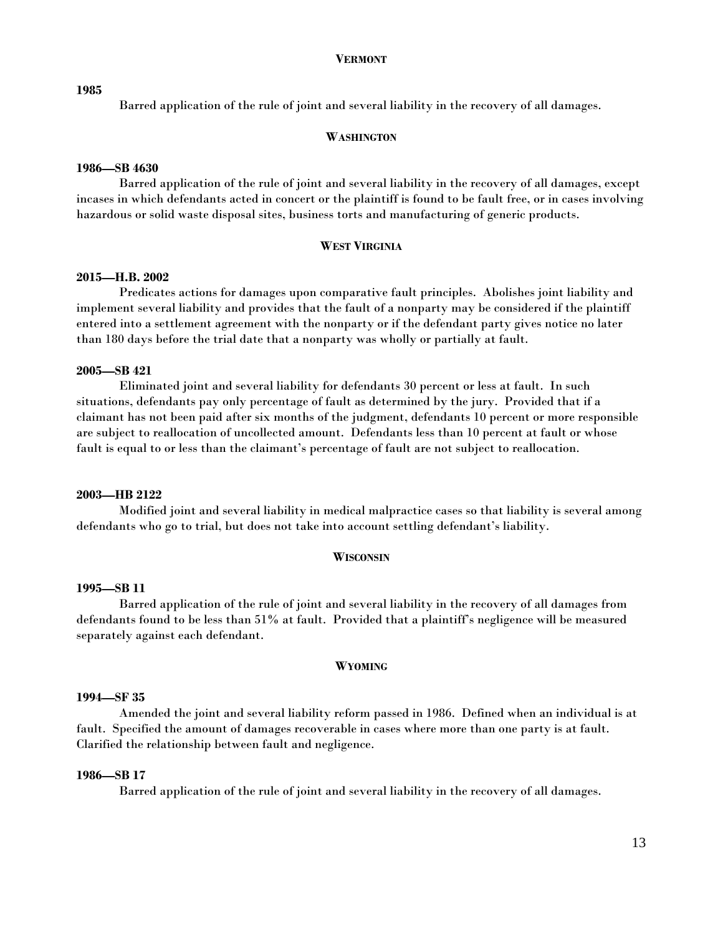#### **VERMONT**

#### **1985**

Barred application of the rule of joint and several liability in the recovery of all damages.

# **WASHINGTON**

#### **1986—SB 4630**

Barred application of the rule of joint and several liability in the recovery of all damages, except incases in which defendants acted in concert or the plaintiff is found to be fault free, or in cases involving hazardous or solid waste disposal sites, business torts and manufacturing of generic products.

# **WEST VIRGINIA**

#### **2015—H.B. 2002**

Predicates actions for damages upon comparative fault principles. Abolishes joint liability and implement several liability and provides that the fault of a nonparty may be considered if the plaintiff entered into a settlement agreement with the nonparty or if the defendant party gives notice no later than 180 days before the trial date that a nonparty was wholly or partially at fault.

# **2005—SB 421**

Eliminated joint and several liability for defendants 30 percent or less at fault. In such situations, defendants pay only percentage of fault as determined by the jury. Provided that if a claimant has not been paid after six months of the judgment, defendants 10 percent or more responsible are subject to reallocation of uncollected amount. Defendants less than 10 percent at fault or whose fault is equal to or less than the claimant's percentage of fault are not subject to reallocation.

# **2003—HB 2122**

 Modified joint and several liability in medical malpractice cases so that liability is several among defendants who go to trial, but does not take into account settling defendant's liability.

#### **WISCONSIN**

#### **1995—SB 11**

Barred application of the rule of joint and several liability in the recovery of all damages from defendants found to be less than 51% at fault. Provided that a plaintiff's negligence will be measured separately against each defendant.

#### **WYOMING**

## **1994—SF 35**

Amended the joint and several liability reform passed in 1986. Defined when an individual is at fault. Specified the amount of damages recoverable in cases where more than one party is at fault. Clarified the relationship between fault and negligence.

#### **1986—SB 17**

Barred application of the rule of joint and several liability in the recovery of all damages.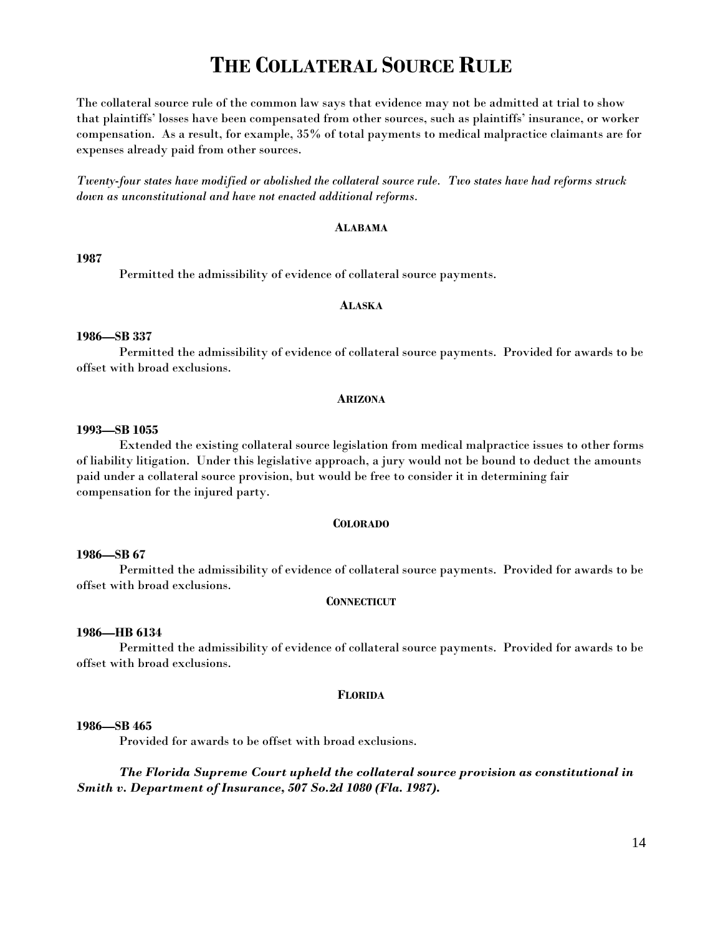# **THE COLLATERAL SOURCE RULE**

The collateral source rule of the common law says that evidence may not be admitted at trial to show that plaintiffs' losses have been compensated from other sources, such as plaintiffs' insurance, or worker compensation. As a result, for example, 35% of total payments to medical malpractice claimants are for expenses already paid from other sources.

*Twenty-four states have modified or abolished the collateral source rule. Two states have had reforms struck down as unconstitutional and have not enacted additional reforms.* 

# **ALABAMA**

#### **1987**

Permitted the admissibility of evidence of collateral source payments.

# **ALASKA**

#### **1986—SB 337**

Permitted the admissibility of evidence of collateral source payments. Provided for awards to be offset with broad exclusions.

#### **ARIZONA**

# **1993—SB 1055**

Extended the existing collateral source legislation from medical malpractice issues to other forms of liability litigation. Under this legislative approach, a jury would not be bound to deduct the amounts paid under a collateral source provision, but would be free to consider it in determining fair compensation for the injured party.

#### **COLORADO**

# **1986—SB 67**

Permitted the admissibility of evidence of collateral source payments. Provided for awards to be offset with broad exclusions.

#### **CONNECTICUT**

#### **1986—HB 6134**

Permitted the admissibility of evidence of collateral source payments. Provided for awards to be offset with broad exclusions.

#### **FLORIDA**

#### **1986—SB 465**

Provided for awards to be offset with broad exclusions.

*The Florida Supreme Court upheld the collateral source provision as constitutional in Smith v. Department of Insurance, 507 So.2d 1080 (Fla. 1987)***.**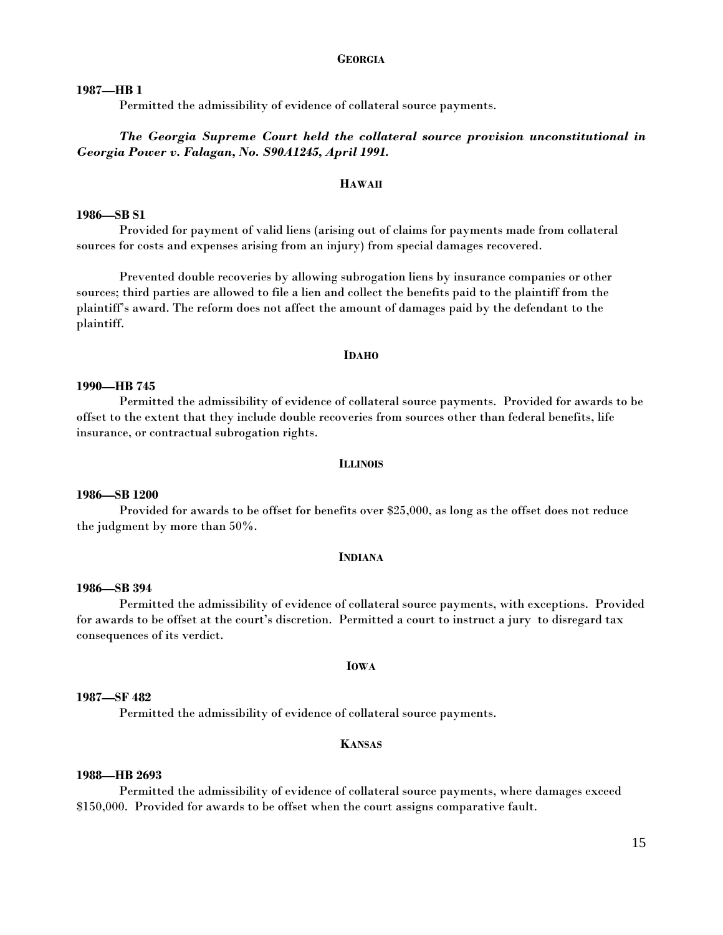# **GEORGIA**

## **1987—HB 1**

Permitted the admissibility of evidence of collateral source payments.

# *The Georgia Supreme Court held the collateral source provision unconstitutional in Georgia Power v. Falagan, No. S90A1245, April 1991.*

#### **HAWAII**

# **1986—SB S1**

Provided for payment of valid liens (arising out of claims for payments made from collateral sources for costs and expenses arising from an injury) from special damages recovered.

Prevented double recoveries by allowing subrogation liens by insurance companies or other sources; third parties are allowed to file a lien and collect the benefits paid to the plaintiff from the plaintiff's award. The reform does not affect the amount of damages paid by the defendant to the plaintiff.

#### **IDAHO**

# **1990—HB 745**

Permitted the admissibility of evidence of collateral source payments. Provided for awards to be offset to the extent that they include double recoveries from sources other than federal benefits, life insurance, or contractual subrogation rights.

#### **ILLINOIS**

# **1986—SB 1200**

Provided for awards to be offset for benefits over \$25,000, as long as the offset does not reduce the judgment by more than 50%.

#### **INDIANA**

#### **1986—SB 394**

Permitted the admissibility of evidence of collateral source payments, with exceptions. Provided for awards to be offset at the court's discretion. Permitted a court to instruct a jury to disregard tax consequences of its verdict.

#### **IOWA**

# **1987—SF 482**

Permitted the admissibility of evidence of collateral source payments.

#### **KANSAS**

# **1988—HB 2693**

Permitted the admissibility of evidence of collateral source payments, where damages exceed \$150,000. Provided for awards to be offset when the court assigns comparative fault.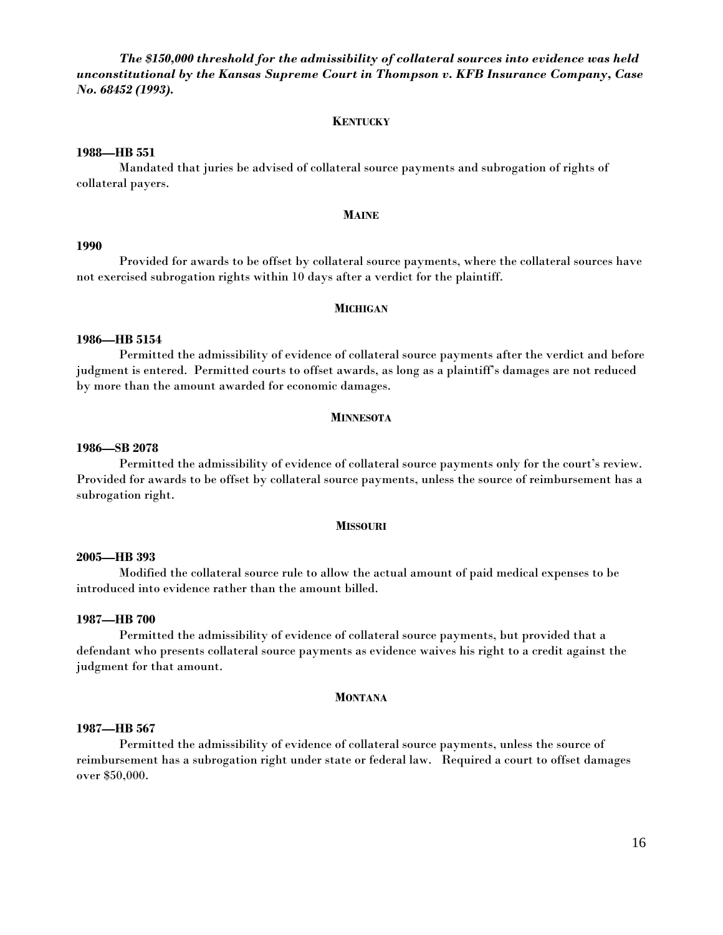*The \$150,000 threshold for the admissibility of collateral sources into evidence was held unconstitutional by the Kansas Supreme Court in Thompson v. KFB Insurance Company, Case No. 68452 (1993).* 

#### **KENTUCKY**

# **1988—HB 551**

Mandated that juries be advised of collateral source payments and subrogation of rights of collateral payers.

#### **MAINE**

#### **1990**

Provided for awards to be offset by collateral source payments, where the collateral sources have not exercised subrogation rights within 10 days after a verdict for the plaintiff.

#### **MICHIGAN**

## **1986—HB 5154**

Permitted the admissibility of evidence of collateral source payments after the verdict and before judgment is entered. Permitted courts to offset awards, as long as a plaintiff's damages are not reduced by more than the amount awarded for economic damages.

#### **MINNESOTA**

## **1986—SB 2078**

Permitted the admissibility of evidence of collateral source payments only for the court's review. Provided for awards to be offset by collateral source payments, unless the source of reimbursement has a subrogation right.

#### **MISSOURI**

#### **2005—HB 393**

Modified the collateral source rule to allow the actual amount of paid medical expenses to be introduced into evidence rather than the amount billed.

#### **1987—HB 700**

Permitted the admissibility of evidence of collateral source payments, but provided that a defendant who presents collateral source payments as evidence waives his right to a credit against the judgment for that amount.

#### **MONTANA**

# **1987—HB 567**

Permitted the admissibility of evidence of collateral source payments, unless the source of reimbursement has a subrogation right under state or federal law. Required a court to offset damages over \$50,000.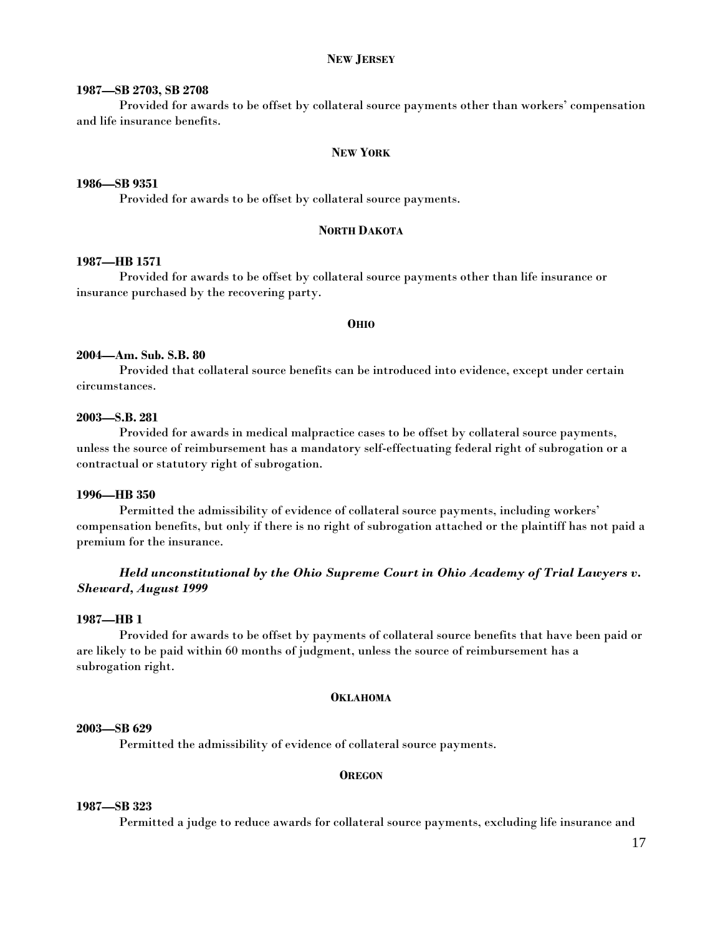# **NEW JERSEY**

#### **1987—SB 2703, SB 2708**

Provided for awards to be offset by collateral source payments other than workers' compensation and life insurance benefits.

## **NEW YORK**

# **1986—SB 9351**

Provided for awards to be offset by collateral source payments.

# **NORTH DAKOTA**

# **1987—HB 1571**

Provided for awards to be offset by collateral source payments other than life insurance or insurance purchased by the recovering party.

#### **OHIO**

# **2004—Am. Sub. S.B. 80**

Provided that collateral source benefits can be introduced into evidence, except under certain circumstances.

#### **2003—S.B. 281**

Provided for awards in medical malpractice cases to be offset by collateral source payments, unless the source of reimbursement has a mandatory self-effectuating federal right of subrogation or a contractual or statutory right of subrogation.

#### **1996—HB 350**

Permitted the admissibility of evidence of collateral source payments, including workers' compensation benefits, but only if there is no right of subrogation attached or the plaintiff has not paid a premium for the insurance.

# *Held unconstitutional by the Ohio Supreme Court in Ohio Academy of Trial Lawyers v. Sheward, August 1999*

#### **1987—HB 1**

Provided for awards to be offset by payments of collateral source benefits that have been paid or are likely to be paid within 60 months of judgment, unless the source of reimbursement has a subrogation right.

#### **OKLAHOMA**

# **2003—SB 629**

Permitted the admissibility of evidence of collateral source payments.

#### **OREGON**

# **1987—SB 323**

Permitted a judge to reduce awards for collateral source payments, excluding life insurance and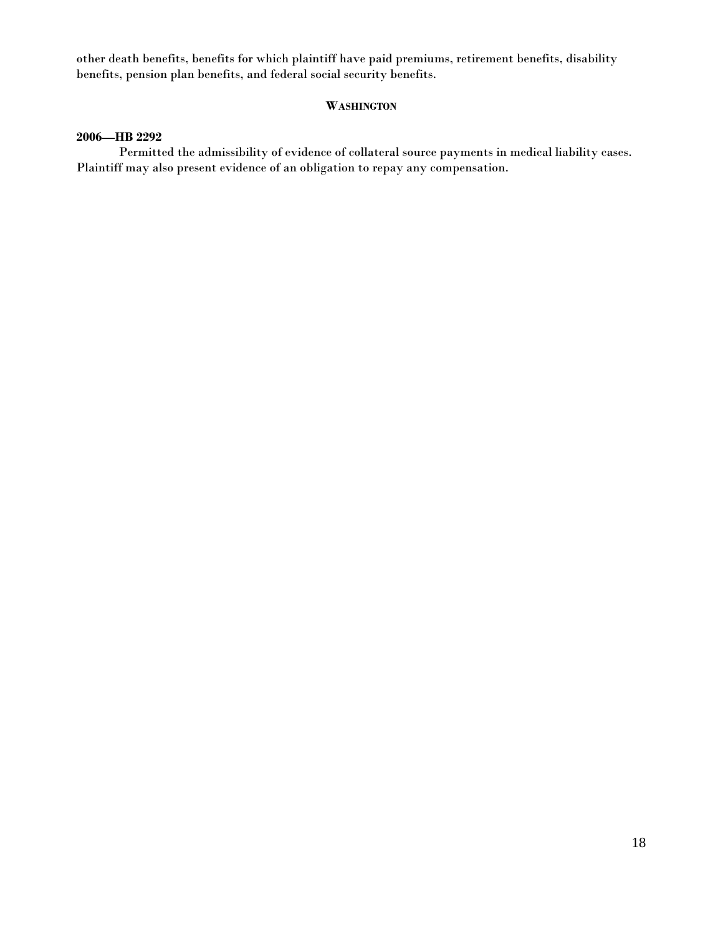other death benefits, benefits for which plaintiff have paid premiums, retirement benefits, disability benefits, pension plan benefits, and federal social security benefits.

# **WASHINGTON**

# **2006—HB 2292**

Permitted the admissibility of evidence of collateral source payments in medical liability cases. Plaintiff may also present evidence of an obligation to repay any compensation.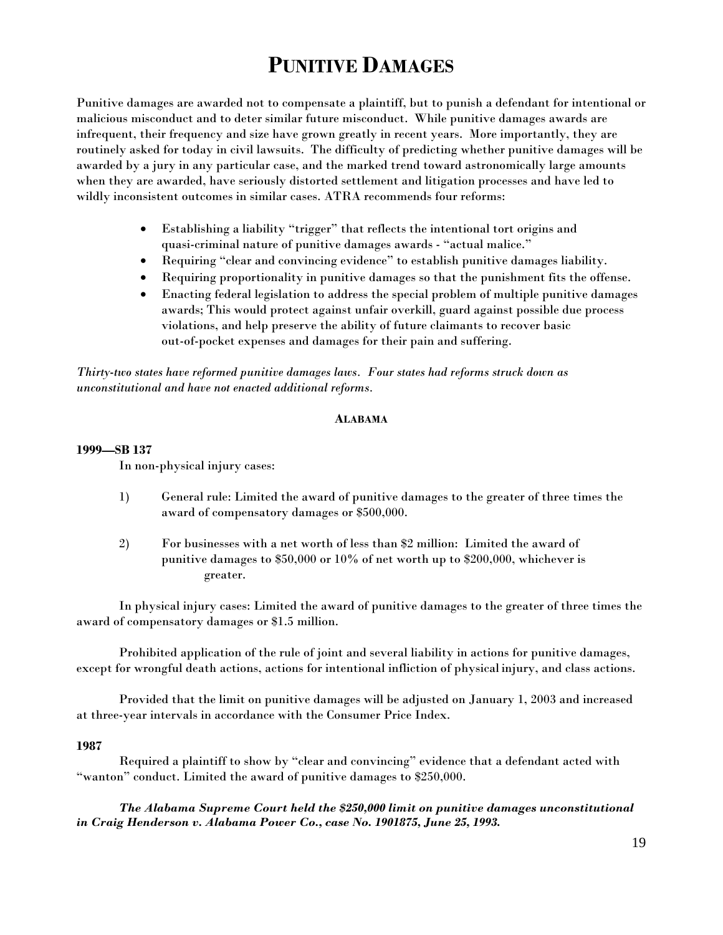# **PUNITIVE DAMAGES**

Punitive damages are awarded not to compensate a plaintiff, but to punish a defendant for intentional or malicious misconduct and to deter similar future misconduct. While punitive damages awards are infrequent, their frequency and size have grown greatly in recent years. More importantly, they are routinely asked for today in civil lawsuits. The difficulty of predicting whether punitive damages will be awarded by a jury in any particular case, and the marked trend toward astronomically large amounts when they are awarded, have seriously distorted settlement and litigation processes and have led to wildly inconsistent outcomes in similar cases. ATRA recommends four reforms:

- Establishing a liability "trigger" that reflects the intentional tort origins and quasi-criminal nature of punitive damages awards - "actual malice."
- Requiring "clear and convincing evidence" to establish punitive damages liability.
- Requiring proportionality in punitive damages so that the punishment fits the offense.
- Enacting federal legislation to address the special problem of multiple punitive damages awards; This would protect against unfair overkill, guard against possible due process violations, and help preserve the ability of future claimants to recover basic out-of-pocket expenses and damages for their pain and suffering.

*Thirty-two states have reformed punitive damages laws. Four states had reforms struck down as unconstitutional and have not enacted additional reforms.* 

# **ALABAMA**

# **1999—SB 137**

In non-physical injury cases:

- 1) General rule: Limited the award of punitive damages to the greater of three times the award of compensatory damages or \$500,000.
- 2) For businesses with a net worth of less than \$2 million: Limited the award of punitive damages to \$50,000 or 10% of net worth up to \$200,000, whichever is greater.

 In physical injury cases: Limited the award of punitive damages to the greater of three times the award of compensatory damages or \$1.5 million.

 Prohibited application of the rule of joint and several liability in actions for punitive damages, except for wrongful death actions, actions for intentional infliction of physical injury, and class actions.

 Provided that the limit on punitive damages will be adjusted on January 1, 2003 and increased at three-year intervals in accordance with the Consumer Price Index.

# **1987**

 Required a plaintiff to show by "clear and convincing" evidence that a defendant acted with "wanton" conduct. Limited the award of punitive damages to \$250,000.

 *The Alabama Supreme Court held the \$250,000 limit on punitive damages unconstitutional in Craig Henderson v. Alabama Power Co., case No. 1901875, June 25, 1993.*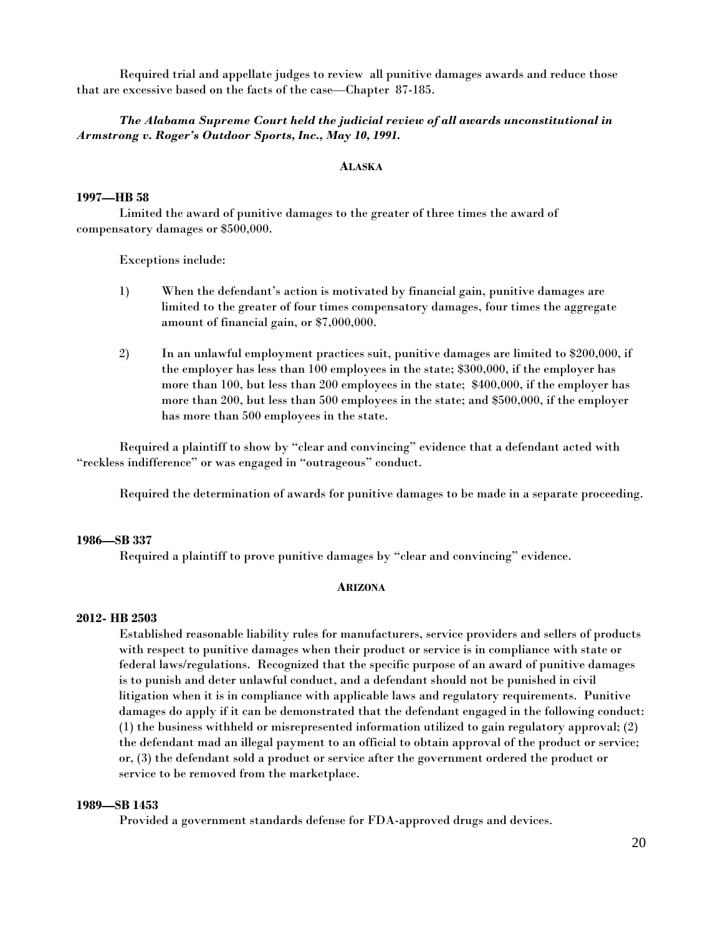Required trial and appellate judges to review all punitive damages awards and reduce those that are excessive based on the facts of the case—Chapter 87-185.

# *The Alabama Supreme Court held the judicial review of all awards unconstitutional in Armstrong v. Roger's Outdoor Sports, Inc., May 10, 1991.*

# **ALASKA**

# **1997—HB 58**

 Limited the award of punitive damages to the greater of three times the award of compensatory damages or \$500,000.

Exceptions include:

- 1) When the defendant's action is motivated by financial gain, punitive damages are limited to the greater of four times compensatory damages, four times the aggregate amount of financial gain, or \$7,000,000.
- 2) In an unlawful employment practices suit, punitive damages are limited to \$200,000, if the employer has less than 100 employees in the state; \$300,000, if the employer has more than 100, but less than 200 employees in the state; \$400,000, if the employer has more than 200, but less than 500 employees in the state; and \$500,000, if the employer has more than 500 employees in the state.

 Required a plaintiff to show by "clear and convincing" evidence that a defendant acted with "reckless indifference" or was engaged in "outrageous" conduct.

Required the determination of awards for punitive damages to be made in a separate proceeding.

# **1986—SB 337**

Required a plaintiff to prove punitive damages by "clear and convincing" evidence.

# **ARIZONA**

#### **2012- HB 2503**

Established reasonable liability rules for manufacturers, service providers and sellers of products with respect to punitive damages when their product or service is in compliance with state or federal laws/regulations. Recognized that the specific purpose of an award of punitive damages is to punish and deter unlawful conduct, and a defendant should not be punished in civil litigation when it is in compliance with applicable laws and regulatory requirements. Punitive damages do apply if it can be demonstrated that the defendant engaged in the following conduct: (1) the business withheld or misrepresented information utilized to gain regulatory approval; (2) the defendant mad an illegal payment to an official to obtain approval of the product or service; or, (3) the defendant sold a product or service after the government ordered the product or service to be removed from the marketplace.

# **1989—SB 1453**

Provided a government standards defense for FDA-approved drugs and devices.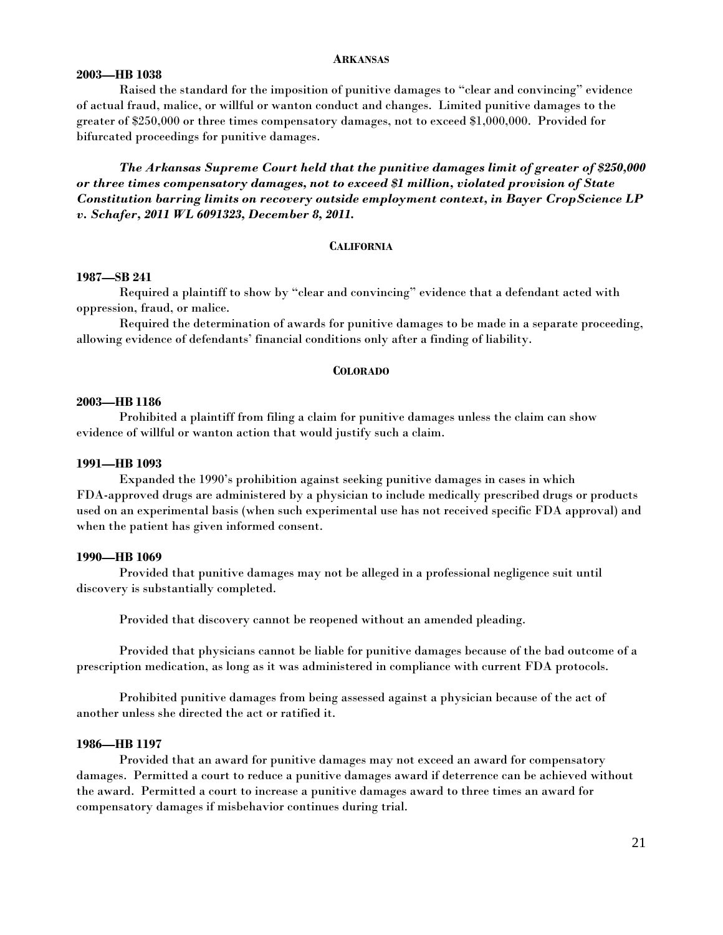# **ARKANSAS**

# **2003—HB 1038**

 Raised the standard for the imposition of punitive damages to "clear and convincing" evidence of actual fraud, malice, or willful or wanton conduct and changes. Limited punitive damages to the greater of \$250,000 or three times compensatory damages, not to exceed \$1,000,000. Provided for bifurcated proceedings for punitive damages.

*The Arkansas Supreme Court held that the punitive damages limit of greater of \$250,000 or three times compensatory damages, not to exceed \$1 million, violated provision of State Constitution barring limits on recovery outside employment context, in Bayer CropScience LP v. Schafer, 2011 WL 6091323, December 8, 2011.* 

#### **CALIFORNIA**

#### **1987—SB 241**

 Required a plaintiff to show by "clear and convincing" evidence that a defendant acted with oppression, fraud, or malice.

 Required the determination of awards for punitive damages to be made in a separate proceeding, allowing evidence of defendants' financial conditions only after a finding of liability.

# **COLORADO**

# **2003—HB 1186**

Prohibited a plaintiff from filing a claim for punitive damages unless the claim can show evidence of willful or wanton action that would justify such a claim.

#### **1991—HB 1093**

 Expanded the 1990's prohibition against seeking punitive damages in cases in which FDA-approved drugs are administered by a physician to include medically prescribed drugs or products used on an experimental basis (when such experimental use has not received specific FDA approval) and when the patient has given informed consent.

#### **1990—HB 1069**

 Provided that punitive damages may not be alleged in a professional negligence suit until discovery is substantially completed.

Provided that discovery cannot be reopened without an amended pleading.

 Provided that physicians cannot be liable for punitive damages because of the bad outcome of a prescription medication, as long as it was administered in compliance with current FDA protocols.

 Prohibited punitive damages from being assessed against a physician because of the act of another unless she directed the act or ratified it.

#### **1986—HB 1197**

 Provided that an award for punitive damages may not exceed an award for compensatory damages. Permitted a court to reduce a punitive damages award if deterrence can be achieved without the award. Permitted a court to increase a punitive damages award to three times an award for compensatory damages if misbehavior continues during trial.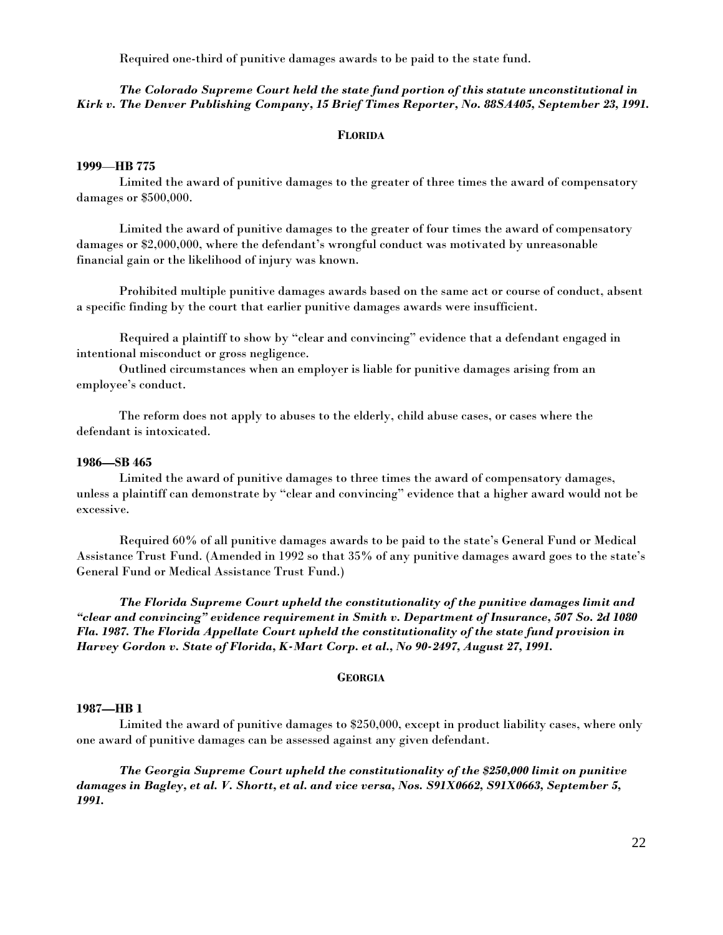Required one-third of punitive damages awards to be paid to the state fund.

# *The Colorado Supreme Court held the state fund portion of this statute unconstitutional in Kirk v. The Denver Publishing Company, 15 Brief Times Reporter, No. 88SA405, September 23, 1991.*

# **FLORIDA**

# **1999**—**HB 775**

 Limited the award of punitive damages to the greater of three times the award of compensatory damages or \$500,000.

 Limited the award of punitive damages to the greater of four times the award of compensatory damages or \$2,000,000, where the defendant's wrongful conduct was motivated by unreasonable financial gain or the likelihood of injury was known.

 Prohibited multiple punitive damages awards based on the same act or course of conduct, absent a specific finding by the court that earlier punitive damages awards were insufficient.

 Required a plaintiff to show by "clear and convincing" evidence that a defendant engaged in intentional misconduct or gross negligence.

 Outlined circumstances when an employer is liable for punitive damages arising from an employee's conduct.

 The reform does not apply to abuses to the elderly, child abuse cases, or cases where the defendant is intoxicated.

#### **1986—SB 465**

 Limited the award of punitive damages to three times the award of compensatory damages, unless a plaintiff can demonstrate by "clear and convincing" evidence that a higher award would not be excessive.

 Required 60% of all punitive damages awards to be paid to the state's General Fund or Medical Assistance Trust Fund. (Amended in 1992 so that 35% of any punitive damages award goes to the state's General Fund or Medical Assistance Trust Fund.)

 *The Florida Supreme Court upheld the constitutionality of the punitive damages limit and "clear and convincing" evidence requirement in Smith v. Department of Insurance, 507 So. 2d 1080 Fla. 1987. The Florida Appellate Court upheld the constitutionality of the state fund provision in Harvey Gordon v. State of Florida, K-Mart Corp. et al., No 90-2497, August 27, 1991.*

# **GEORGIA**

#### **1987—HB 1**

 Limited the award of punitive damages to \$250,000, except in product liability cases, where only one award of punitive damages can be assessed against any given defendant.

 *The Georgia Supreme Court upheld the constitutionality of the \$250,000 limit on punitive damages in Bagley, et al. V. Shortt, et al. and vice versa, Nos. S91X0662, S91X0663, September 5, 1991.*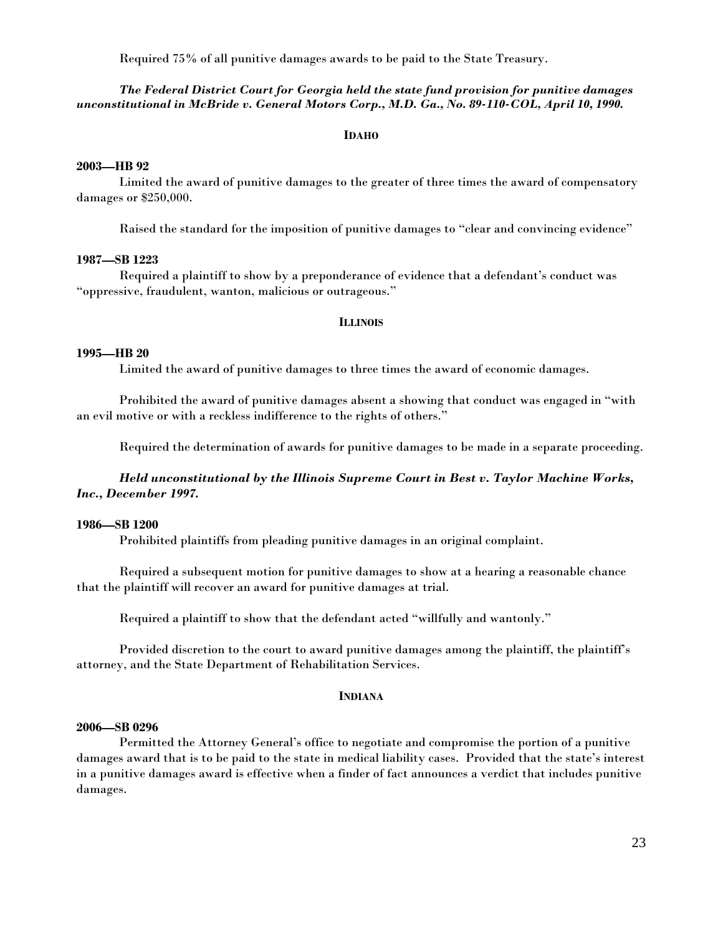Required 75% of all punitive damages awards to be paid to the State Treasury.

# *The Federal District Court for Georgia held the state fund provision for punitive damages unconstitutional in McBride v. General Motors Corp., M.D. Ga., No. 89-110-COL, April 10, 1990.*

# **IDAHO**

# **2003—HB 92**

 Limited the award of punitive damages to the greater of three times the award of compensatory damages or \$250,000.

Raised the standard for the imposition of punitive damages to "clear and convincing evidence"

# **1987—SB 1223**

 Required a plaintiff to show by a preponderance of evidence that a defendant's conduct was "oppressive, fraudulent, wanton, malicious or outrageous."

# **ILLINOIS**

#### **1995—HB 20**

Limited the award of punitive damages to three times the award of economic damages.

 Prohibited the award of punitive damages absent a showing that conduct was engaged in "with an evil motive or with a reckless indifference to the rights of others."

Required the determination of awards for punitive damages to be made in a separate proceeding.

# *Held unconstitutional by the Illinois Supreme Court in Best v. Taylor Machine Works, Inc., December 1997.*

#### **1986—SB 1200**

Prohibited plaintiffs from pleading punitive damages in an original complaint.

 Required a subsequent motion for punitive damages to show at a hearing a reasonable chance that the plaintiff will recover an award for punitive damages at trial.

Required a plaintiff to show that the defendant acted "willfully and wantonly."

 Provided discretion to the court to award punitive damages among the plaintiff, the plaintiff's attorney, and the State Department of Rehabilitation Services.

# **INDIANA**

# **2006—SB 0296**

 Permitted the Attorney General's office to negotiate and compromise the portion of a punitive damages award that is to be paid to the state in medical liability cases. Provided that the state's interest in a punitive damages award is effective when a finder of fact announces a verdict that includes punitive damages.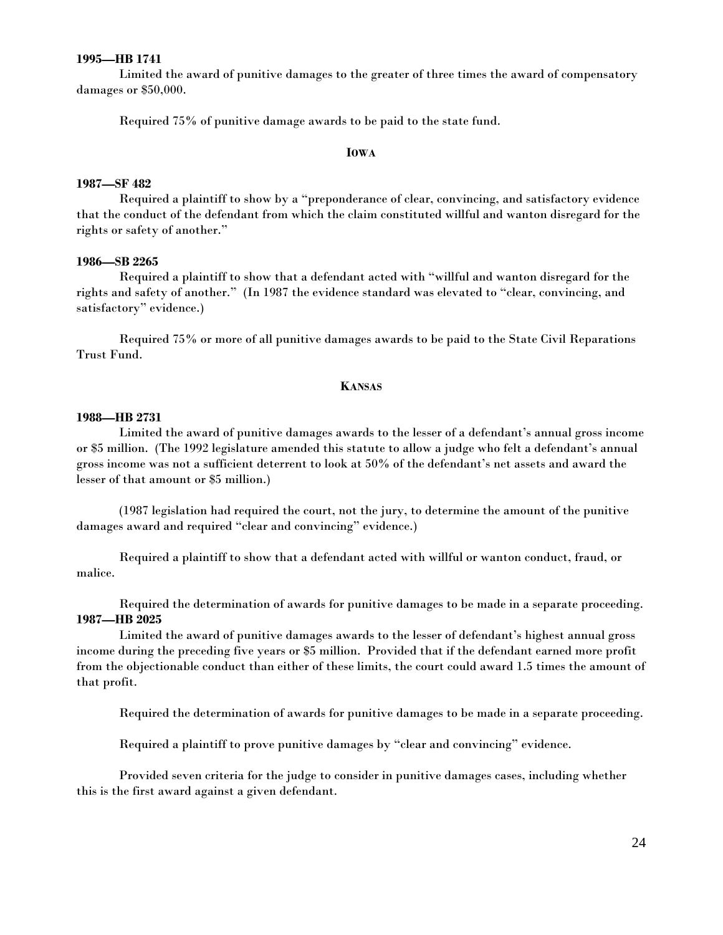# **1995—HB 1741**

 Limited the award of punitive damages to the greater of three times the award of compensatory damages or \$50,000.

Required 75% of punitive damage awards to be paid to the state fund.

#### **IOWA**

# **1987—SF 482**

 Required a plaintiff to show by a "preponderance of clear, convincing, and satisfactory evidence that the conduct of the defendant from which the claim constituted willful and wanton disregard for the rights or safety of another."

# **1986—SB 2265**

 Required a plaintiff to show that a defendant acted with "willful and wanton disregard for the rights and safety of another." (In 1987 the evidence standard was elevated to "clear, convincing, and satisfactory" evidence.)

 Required 75% or more of all punitive damages awards to be paid to the State Civil Reparations Trust Fund.

#### **KANSAS**

#### **1988—HB 2731**

 Limited the award of punitive damages awards to the lesser of a defendant's annual gross income or \$5 million. (The 1992 legislature amended this statute to allow a judge who felt a defendant's annual gross income was not a sufficient deterrent to look at 50% of the defendant's net assets and award the lesser of that amount or \$5 million.)

 (1987 legislation had required the court, not the jury, to determine the amount of the punitive damages award and required "clear and convincing" evidence.)

 Required a plaintiff to show that a defendant acted with willful or wanton conduct, fraud, or malice.

 Required the determination of awards for punitive damages to be made in a separate proceeding. **1987—HB 2025** 

 Limited the award of punitive damages awards to the lesser of defendant's highest annual gross income during the preceding five years or \$5 million. Provided that if the defendant earned more profit from the objectionable conduct than either of these limits, the court could award 1.5 times the amount of that profit.

Required the determination of awards for punitive damages to be made in a separate proceeding.

Required a plaintiff to prove punitive damages by "clear and convincing" evidence.

 Provided seven criteria for the judge to consider in punitive damages cases, including whether this is the first award against a given defendant.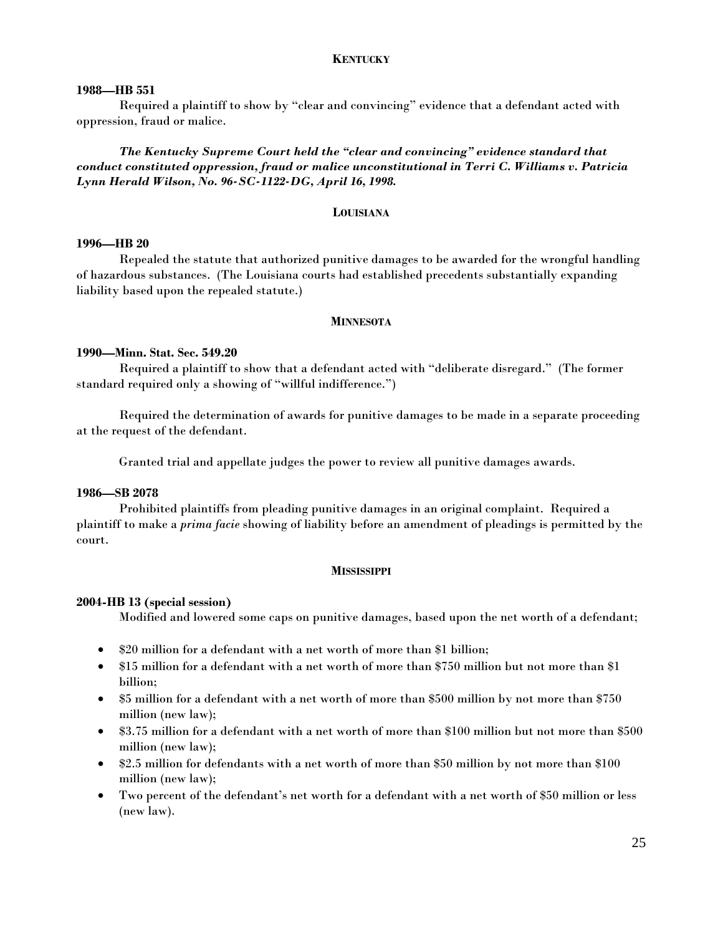# **KENTUCKY**

## **1988—HB 551**

 Required a plaintiff to show by "clear and convincing" evidence that a defendant acted with oppression, fraud or malice.

*The Kentucky Supreme Court held the "clear and convincing" evidence standard that conduct constituted oppression, fraud or malice unconstitutional in Terri C. Williams v. Patricia Lynn Herald Wilson, No. 96-SC-1122-DG, April 16, 1998.*

# **LOUISIANA**

# **1996—HB 20**

 Repealed the statute that authorized punitive damages to be awarded for the wrongful handling of hazardous substances. (The Louisiana courts had established precedents substantially expanding liability based upon the repealed statute.)

# **MINNESOTA**

# **1990—Minn. Stat. Sec. 549.20**

 Required a plaintiff to show that a defendant acted with "deliberate disregard." (The former standard required only a showing of "willful indifference.")

 Required the determination of awards for punitive damages to be made in a separate proceeding at the request of the defendant.

Granted trial and appellate judges the power to review all punitive damages awards.

# **1986—SB 2078**

 Prohibited plaintiffs from pleading punitive damages in an original complaint. Required a plaintiff to make a *prima facie* showing of liability before an amendment of pleadings is permitted by the court.

#### **MISSISSIPPI**

# **2004-HB 13 (special session)**

Modified and lowered some caps on punitive damages, based upon the net worth of a defendant;

- \$20 million for a defendant with a net worth of more than \$1 billion;
- \$15 million for a defendant with a net worth of more than \$750 million but not more than \$1 billion;
- \$5 million for a defendant with a net worth of more than \$500 million by not more than \$750 million (new law);
- \$3.75 million for a defendant with a net worth of more than \$100 million but not more than \$500 million (new law);
- \$2.5 million for defendants with a net worth of more than \$50 million by not more than \$100 million (new law);
- Two percent of the defendant's net worth for a defendant with a net worth of \$50 million or less (new law).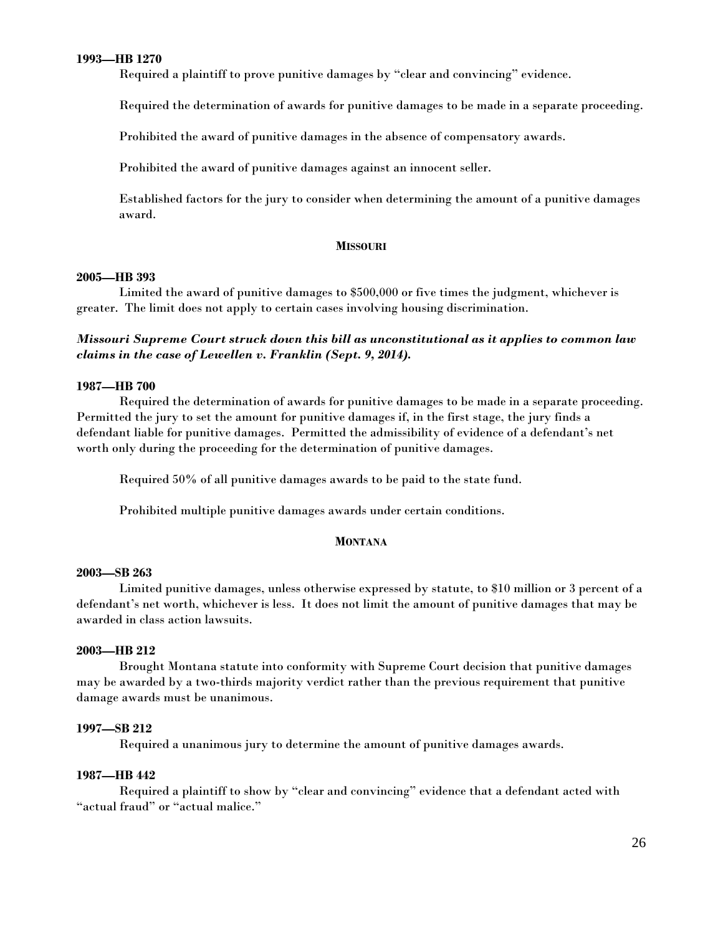# **1993—HB 1270**

Required a plaintiff to prove punitive damages by "clear and convincing" evidence.

Required the determination of awards for punitive damages to be made in a separate proceeding.

Prohibited the award of punitive damages in the absence of compensatory awards.

Prohibited the award of punitive damages against an innocent seller.

 Established factors for the jury to consider when determining the amount of a punitive damages award.

# **MISSOURI**

# **2005—HB 393**

Limited the award of punitive damages to \$500,000 or five times the judgment, whichever is greater. The limit does not apply to certain cases involving housing discrimination.

# *Missouri Supreme Court struck down this bill as unconstitutional as it applies to common law claims in the case of Lewellen v. Franklin (Sept. 9, 2014).*

# **1987—HB 700**

 Required the determination of awards for punitive damages to be made in a separate proceeding. Permitted the jury to set the amount for punitive damages if, in the first stage, the jury finds a defendant liable for punitive damages. Permitted the admissibility of evidence of a defendant's net worth only during the proceeding for the determination of punitive damages.

Required 50% of all punitive damages awards to be paid to the state fund.

Prohibited multiple punitive damages awards under certain conditions.

# **MONTANA**

# **2003—SB 263**

 Limited punitive damages, unless otherwise expressed by statute, to \$10 million or 3 percent of a defendant's net worth, whichever is less. It does not limit the amount of punitive damages that may be awarded in class action lawsuits.

# **2003—HB 212**

Brought Montana statute into conformity with Supreme Court decision that punitive damages may be awarded by a two-thirds majority verdict rather than the previous requirement that punitive damage awards must be unanimous.

# **1997—SB 212**

Required a unanimous jury to determine the amount of punitive damages awards.

# **1987—HB 442**

 Required a plaintiff to show by "clear and convincing" evidence that a defendant acted with "actual fraud" or "actual malice."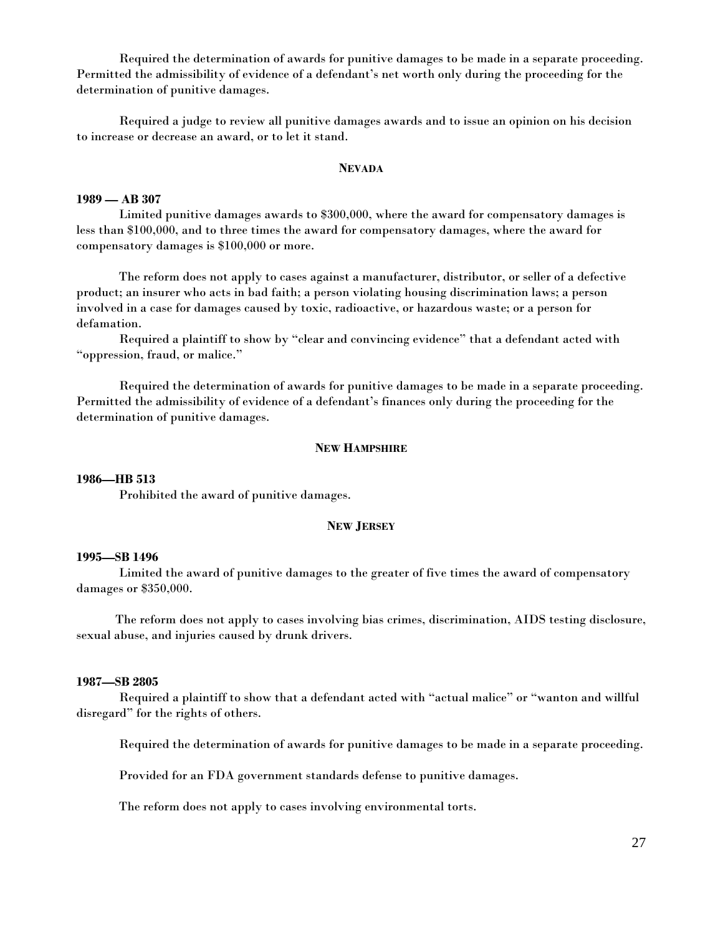Required the determination of awards for punitive damages to be made in a separate proceeding. Permitted the admissibility of evidence of a defendant's net worth only during the proceeding for the determination of punitive damages.

 Required a judge to review all punitive damages awards and to issue an opinion on his decision to increase or decrease an award, or to let it stand.

#### **NEVADA**

#### **1989 — AB 307**

 Limited punitive damages awards to \$300,000, where the award for compensatory damages is less than \$100,000, and to three times the award for compensatory damages, where the award for compensatory damages is \$100,000 or more.

 The reform does not apply to cases against a manufacturer, distributor, or seller of a defective product; an insurer who acts in bad faith; a person violating housing discrimination laws; a person involved in a case for damages caused by toxic, radioactive, or hazardous waste; or a person for defamation.

 Required a plaintiff to show by "clear and convincing evidence" that a defendant acted with "oppression, fraud, or malice."

 Required the determination of awards for punitive damages to be made in a separate proceeding. Permitted the admissibility of evidence of a defendant's finances only during the proceeding for the determination of punitive damages.

# **NEW HAMPSHIRE**

#### **1986—HB 513**

Prohibited the award of punitive damages.

# **NEW JERSEY**

#### **1995—SB 1496**

 Limited the award of punitive damages to the greater of five times the award of compensatory damages or \$350,000.

 The reform does not apply to cases involving bias crimes, discrimination, AIDS testing disclosure, sexual abuse, and injuries caused by drunk drivers.

## **1987—SB 2805**

 Required a plaintiff to show that a defendant acted with "actual malice" or "wanton and willful disregard" for the rights of others.

Required the determination of awards for punitive damages to be made in a separate proceeding.

Provided for an FDA government standards defense to punitive damages.

The reform does not apply to cases involving environmental torts.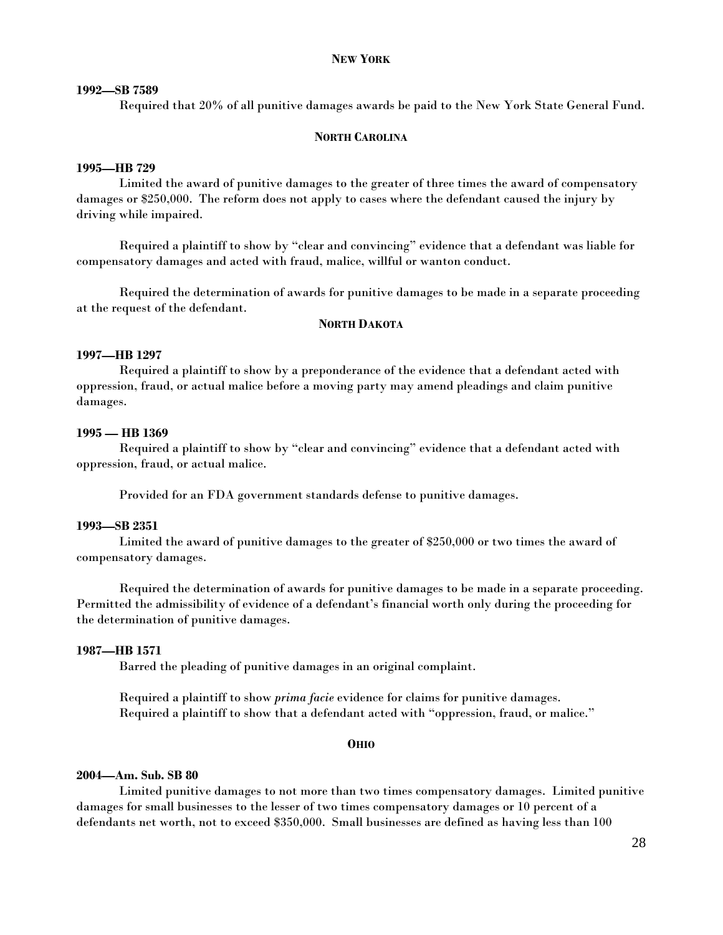# **NEW YORK**

## **1992—SB 7589**

Required that 20% of all punitive damages awards be paid to the New York State General Fund.

# **NORTH CAROLINA**

#### **1995—HB 729**

 Limited the award of punitive damages to the greater of three times the award of compensatory damages or \$250,000. The reform does not apply to cases where the defendant caused the injury by driving while impaired.

 Required a plaintiff to show by "clear and convincing" evidence that a defendant was liable for compensatory damages and acted with fraud, malice, willful or wanton conduct.

 Required the determination of awards for punitive damages to be made in a separate proceeding at the request of the defendant.

# **NORTH DAKOTA**

# **1997—HB 1297**

 Required a plaintiff to show by a preponderance of the evidence that a defendant acted with oppression, fraud, or actual malice before a moving party may amend pleadings and claim punitive damages.

#### **1995 — HB 1369**

 Required a plaintiff to show by "clear and convincing" evidence that a defendant acted with oppression, fraud, or actual malice.

Provided for an FDA government standards defense to punitive damages.

# **1993—SB 2351**

 Limited the award of punitive damages to the greater of \$250,000 or two times the award of compensatory damages.

 Required the determination of awards for punitive damages to be made in a separate proceeding. Permitted the admissibility of evidence of a defendant's financial worth only during the proceeding for the determination of punitive damages.

# **1987—HB 1571**

Barred the pleading of punitive damages in an original complaint.

 Required a plaintiff to show *prima facie* evidence for claims for punitive damages. Required a plaintiff to show that a defendant acted with "oppression, fraud, or malice."

#### **OHIO**

#### **2004—Am. Sub. SB 80**

Limited punitive damages to not more than two times compensatory damages. Limited punitive damages for small businesses to the lesser of two times compensatory damages or 10 percent of a defendants net worth, not to exceed \$350,000. Small businesses are defined as having less than 100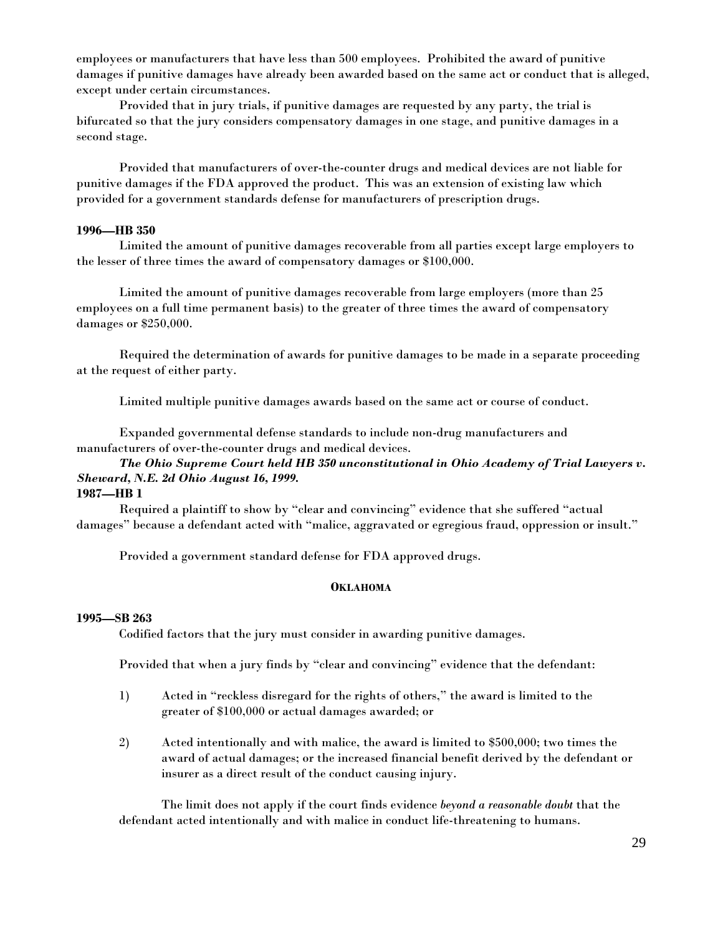employees or manufacturers that have less than 500 employees. Prohibited the award of punitive damages if punitive damages have already been awarded based on the same act or conduct that is alleged, except under certain circumstances.

Provided that in jury trials, if punitive damages are requested by any party, the trial is bifurcated so that the jury considers compensatory damages in one stage, and punitive damages in a second stage.

Provided that manufacturers of over-the-counter drugs and medical devices are not liable for punitive damages if the FDA approved the product. This was an extension of existing law which provided for a government standards defense for manufacturers of prescription drugs.

# **1996—HB 350**

 Limited the amount of punitive damages recoverable from all parties except large employers to the lesser of three times the award of compensatory damages or \$100,000.

 Limited the amount of punitive damages recoverable from large employers (more than 25 employees on a full time permanent basis) to the greater of three times the award of compensatory damages or \$250,000.

 Required the determination of awards for punitive damages to be made in a separate proceeding at the request of either party.

Limited multiple punitive damages awards based on the same act or course of conduct.

 Expanded governmental defense standards to include non-drug manufacturers and manufacturers of over-the-counter drugs and medical devices.

# *The Ohio Supreme Court held HB 350 unconstitutional in Ohio Academy of Trial Lawyers v. Sheward, N.E. 2d Ohio August 16, 1999.*

**1987—HB 1** 

 Required a plaintiff to show by "clear and convincing" evidence that she suffered "actual damages" because a defendant acted with "malice, aggravated or egregious fraud, oppression or insult."

Provided a government standard defense for FDA approved drugs.

# **OKLAHOMA**

#### **1995—SB 263**

Codified factors that the jury must consider in awarding punitive damages.

Provided that when a jury finds by "clear and convincing" evidence that the defendant:

- 1) Acted in "reckless disregard for the rights of others," the award is limited to the greater of \$100,000 or actual damages awarded; or
- 2) Acted intentionally and with malice, the award is limited to \$500,000; two times the award of actual damages; or the increased financial benefit derived by the defendant or insurer as a direct result of the conduct causing injury.

 The limit does not apply if the court finds evidence *beyond a reasonable doubt* that the defendant acted intentionally and with malice in conduct life-threatening to humans.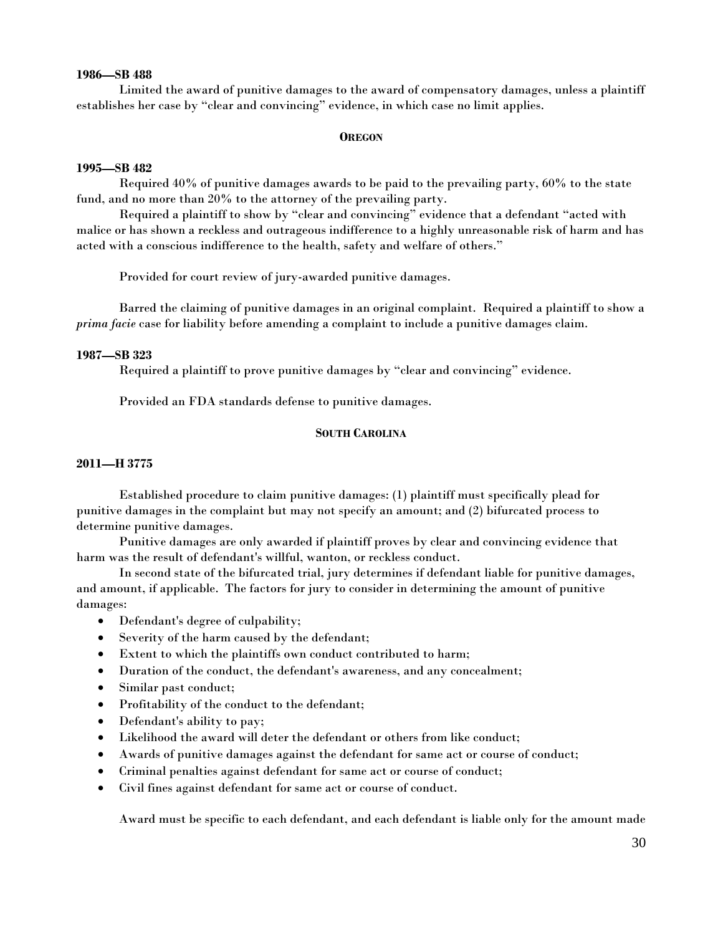# **1986—SB 488**

 Limited the award of punitive damages to the award of compensatory damages, unless a plaintiff establishes her case by "clear and convincing" evidence, in which case no limit applies.

# **OREGON**

# **1995—SB 482**

 Required 40% of punitive damages awards to be paid to the prevailing party, 60% to the state fund, and no more than 20% to the attorney of the prevailing party.

 Required a plaintiff to show by "clear and convincing" evidence that a defendant "acted with malice or has shown a reckless and outrageous indifference to a highly unreasonable risk of harm and has acted with a conscious indifference to the health, safety and welfare of others."

Provided for court review of jury-awarded punitive damages.

 Barred the claiming of punitive damages in an original complaint. Required a plaintiff to show a *prima facie* case for liability before amending a complaint to include a punitive damages claim.

# **1987—SB 323**

Required a plaintiff to prove punitive damages by "clear and convincing" evidence.

Provided an FDA standards defense to punitive damages.

# **SOUTH CAROLINA**

# **2011—H 3775**

 Established procedure to claim punitive damages: (1) plaintiff must specifically plead for punitive damages in the complaint but may not specify an amount; and (2) bifurcated process to determine punitive damages.

 Punitive damages are only awarded if plaintiff proves by clear and convincing evidence that harm was the result of defendant's willful, wanton, or reckless conduct.

 In second state of the bifurcated trial, jury determines if defendant liable for punitive damages, and amount, if applicable. The factors for jury to consider in determining the amount of punitive damages:

- Defendant's degree of culpability;
- Severity of the harm caused by the defendant;
- Extent to which the plaintiffs own conduct contributed to harm;
- Duration of the conduct, the defendant's awareness, and any concealment;
- Similar past conduct;
- Profitability of the conduct to the defendant;
- Defendant's ability to pay;
- Likelihood the award will deter the defendant or others from like conduct;
- Awards of punitive damages against the defendant for same act or course of conduct;
- Criminal penalties against defendant for same act or course of conduct;
- Civil fines against defendant for same act or course of conduct.

Award must be specific to each defendant, and each defendant is liable only for the amount made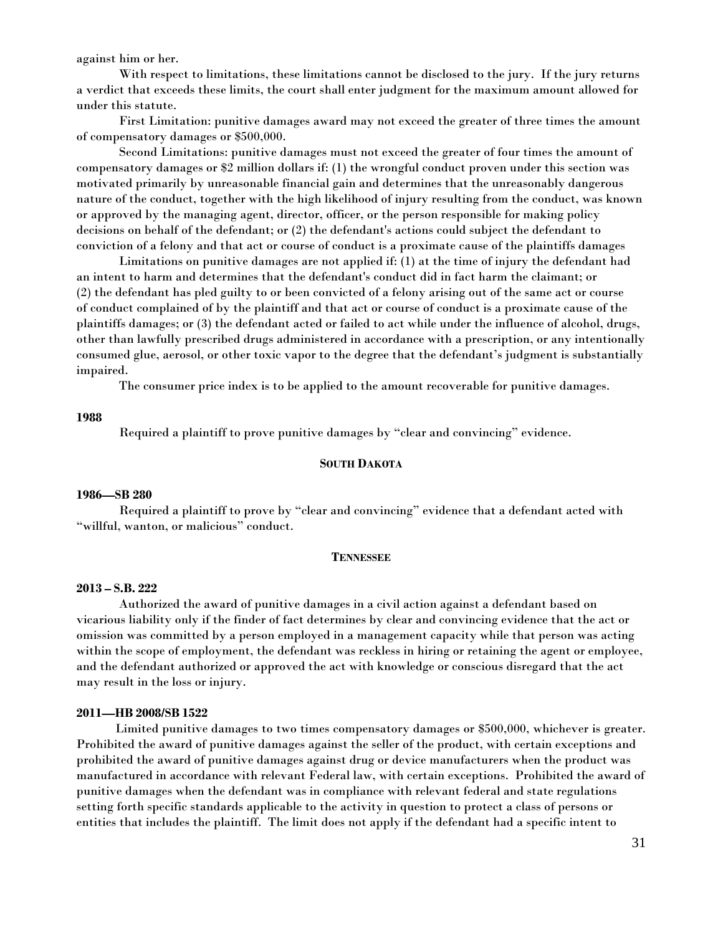against him or her.

 With respect to limitations, these limitations cannot be disclosed to the jury. If the jury returns a verdict that exceeds these limits, the court shall enter judgment for the maximum amount allowed for under this statute.

 First Limitation: punitive damages award may not exceed the greater of three times the amount of compensatory damages or \$500,000.

 Second Limitations: punitive damages must not exceed the greater of four times the amount of compensatory damages or \$2 million dollars if: (1) the wrongful conduct proven under this section was motivated primarily by unreasonable financial gain and determines that the unreasonably dangerous nature of the conduct, together with the high likelihood of injury resulting from the conduct, was known or approved by the managing agent, director, officer, or the person responsible for making policy decisions on behalf of the defendant; or (2) the defendant's actions could subject the defendant to conviction of a felony and that act or course of conduct is a proximate cause of the plaintiffs damages

 Limitations on punitive damages are not applied if: (1) at the time of injury the defendant had an intent to harm and determines that the defendant's conduct did in fact harm the claimant; or (2) the defendant has pled guilty to or been convicted of a felony arising out of the same act or course of conduct complained of by the plaintiff and that act or course of conduct is a proximate cause of the plaintiffs damages; or (3) the defendant acted or failed to act while under the influence of alcohol, drugs, other than lawfully prescribed drugs administered in accordance with a prescription, or any intentionally consumed glue, aerosol, or other toxic vapor to the degree that the defendant's judgment is substantially impaired.

The consumer price index is to be applied to the amount recoverable for punitive damages.

# **1988**

Required a plaintiff to prove punitive damages by "clear and convincing" evidence.

#### **SOUTH DAKOTA**

#### **1986—SB 280**

 Required a plaintiff to prove by "clear and convincing" evidence that a defendant acted with "willful, wanton, or malicious" conduct.

#### **TENNESSEE**

#### **2013 – S.B. 222**

Authorized the award of punitive damages in a civil action against a defendant based on vicarious liability only if the finder of fact determines by clear and convincing evidence that the act or omission was committed by a person employed in a management capacity while that person was acting within the scope of employment, the defendant was reckless in hiring or retaining the agent or employee, and the defendant authorized or approved the act with knowledge or conscious disregard that the act may result in the loss or injury.

# **2011—HB 2008/SB 1522**

 Limited punitive damages to two times compensatory damages or \$500,000, whichever is greater. Prohibited the award of punitive damages against the seller of the product, with certain exceptions and prohibited the award of punitive damages against drug or device manufacturers when the product was manufactured in accordance with relevant Federal law, with certain exceptions. Prohibited the award of punitive damages when the defendant was in compliance with relevant federal and state regulations setting forth specific standards applicable to the activity in question to protect a class of persons or entities that includes the plaintiff. The limit does not apply if the defendant had a specific intent to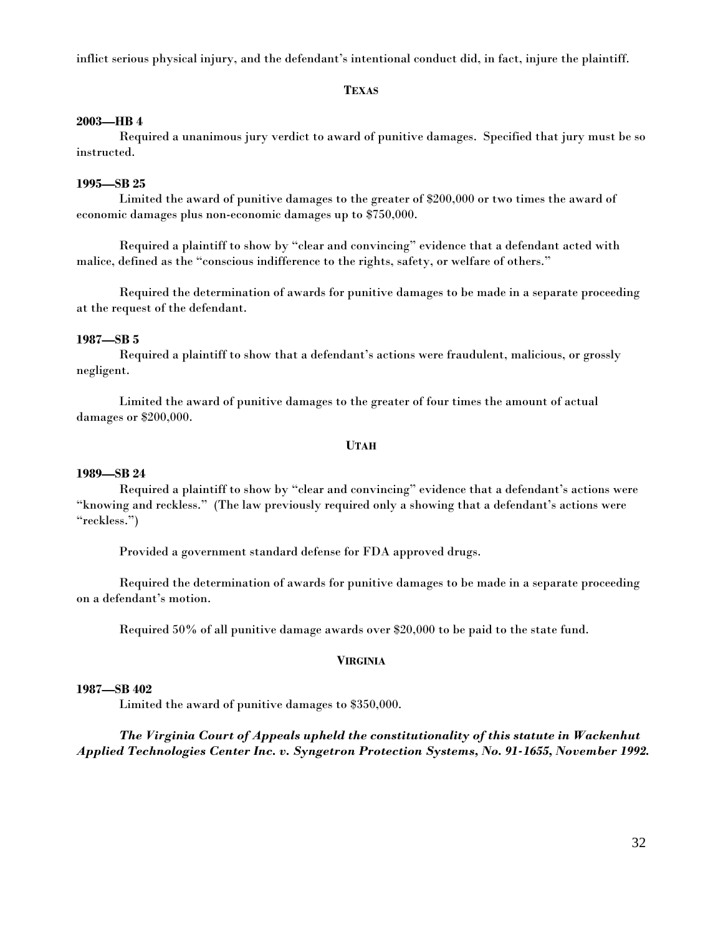inflict serious physical injury, and the defendant's intentional conduct did, in fact, injure the plaintiff.

# **TEXAS**

# **2003—HB 4**

 Required a unanimous jury verdict to award of punitive damages. Specified that jury must be so instructed.

# **1995—SB 25**

 Limited the award of punitive damages to the greater of \$200,000 or two times the award of economic damages plus non-economic damages up to \$750,000.

 Required a plaintiff to show by "clear and convincing" evidence that a defendant acted with malice, defined as the "conscious indifference to the rights, safety, or welfare of others."

 Required the determination of awards for punitive damages to be made in a separate proceeding at the request of the defendant.

# **1987—SB 5**

 Required a plaintiff to show that a defendant's actions were fraudulent, malicious, or grossly negligent.

 Limited the award of punitive damages to the greater of four times the amount of actual damages or \$200,000.

#### **UTAH**

# **1989—SB 24**

 Required a plaintiff to show by "clear and convincing" evidence that a defendant's actions were "knowing and reckless." (The law previously required only a showing that a defendant's actions were "reckless.")

Provided a government standard defense for FDA approved drugs.

 Required the determination of awards for punitive damages to be made in a separate proceeding on a defendant's motion.

Required 50% of all punitive damage awards over \$20,000 to be paid to the state fund.

# **VIRGINIA**

# **1987—SB 402**

Limited the award of punitive damages to \$350,000.

# *The Virginia Court of Appeals upheld the constitutionality of this statute in Wackenhut Applied Technologies Center Inc. v. Syngetron Protection Systems, No. 91-1655, November 1992.*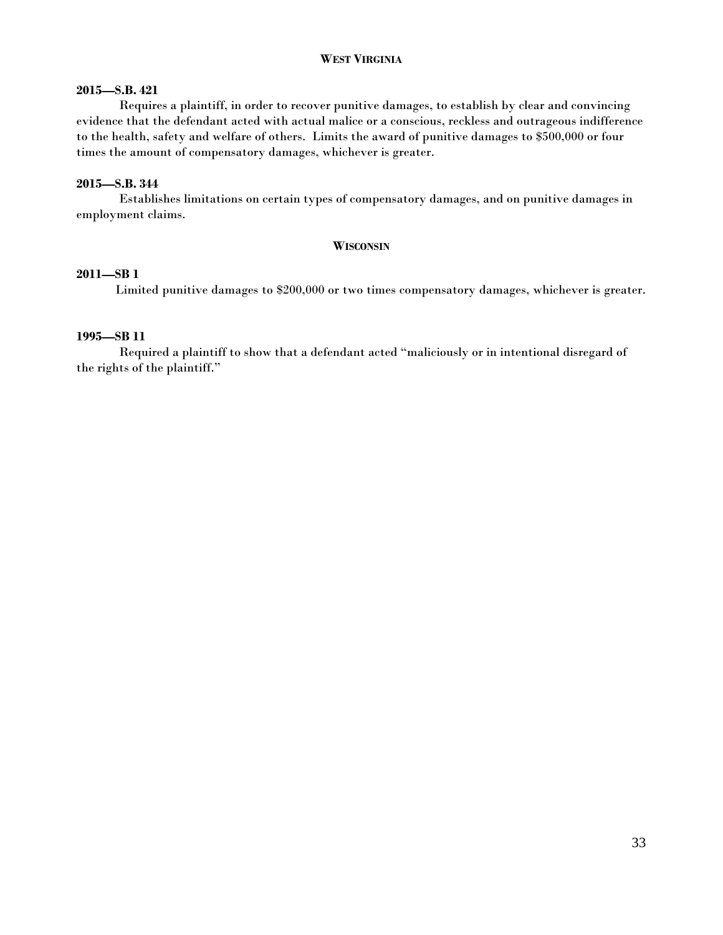# **WEST VIRGINIA**

# **2015—S.B. 421**

Requires a plaintiff, in order to recover punitive damages, to establish by clear and convincing evidence that the defendant acted with actual malice or a conscious, reckless and outrageous indifference to the health, safety and welfare of others. Limits the award of punitive damages to \$500,000 or four times the amount of compensatory damages, whichever is greater.

# **2015—S.B. 344**

Establishes limitations on certain types of compensatory damages, and on punitive damages in employment claims.

#### **WISCONSIN**

# **2011—SB 1**

Limited punitive damages to \$200,000 or two times compensatory damages, whichever is greater.

# **1995—SB 11**

 Required a plaintiff to show that a defendant acted "maliciously or in intentional disregard of the rights of the plaintiff."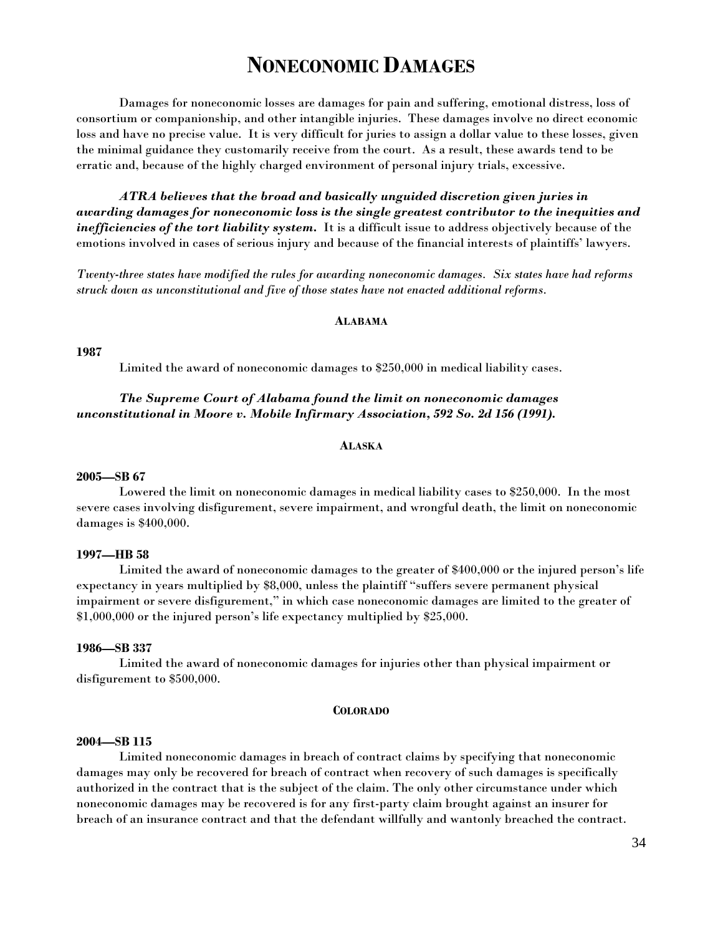# **NONECONOMIC DAMAGES**

 Damages for noneconomic losses are damages for pain and suffering, emotional distress, loss of consortium or companionship, and other intangible injuries. These damages involve no direct economic loss and have no precise value. It is very difficult for juries to assign a dollar value to these losses, given the minimal guidance they customarily receive from the court. As a result, these awards tend to be erratic and, because of the highly charged environment of personal injury trials, excessive.

 *ATRA believes that the broad and basically unguided discretion given juries in awarding damages for noneconomic loss is the single greatest contributor to the inequities and inefficiencies of the tort liability system.* It is a difficult issue to address objectively because of the emotions involved in cases of serious injury and because of the financial interests of plaintiffs' lawyers.

*Twenty-three states have modified the rules for awarding noneconomic damages. Six states have had reforms struck down as unconstitutional and five of those states have not enacted additional reforms.* 

#### **ALABAMA**

#### **1987**

Limited the award of noneconomic damages to \$250,000 in medical liability cases.

# *The Supreme Court of Alabama found the limit on noneconomic damages unconstitutional in Moore v. Mobile Infirmary Association, 592 So. 2d 156 (1991).*

#### **ALASKA**

#### **2005—SB 67**

Lowered the limit on noneconomic damages in medical liability cases to \$250,000. In the most severe cases involving disfigurement, severe impairment, and wrongful death, the limit on noneconomic damages is \$400,000.

# **1997—HB 58**

Limited the award of noneconomic damages to the greater of \$400,000 or the injured person's life expectancy in years multiplied by \$8,000, unless the plaintiff "suffers severe permanent physical impairment or severe disfigurement," in which case noneconomic damages are limited to the greater of \$1,000,000 or the injured person's life expectancy multiplied by \$25,000.

#### **1986—SB 337**

Limited the award of noneconomic damages for injuries other than physical impairment or disfigurement to \$500,000.

#### **COLORADO**

#### **2004—SB 115**

 Limited noneconomic damages in breach of contract claims by specifying that noneconomic damages may only be recovered for breach of contract when recovery of such damages is specifically authorized in the contract that is the subject of the claim. The only other circumstance under which noneconomic damages may be recovered is for any first-party claim brought against an insurer for breach of an insurance contract and that the defendant willfully and wantonly breached the contract.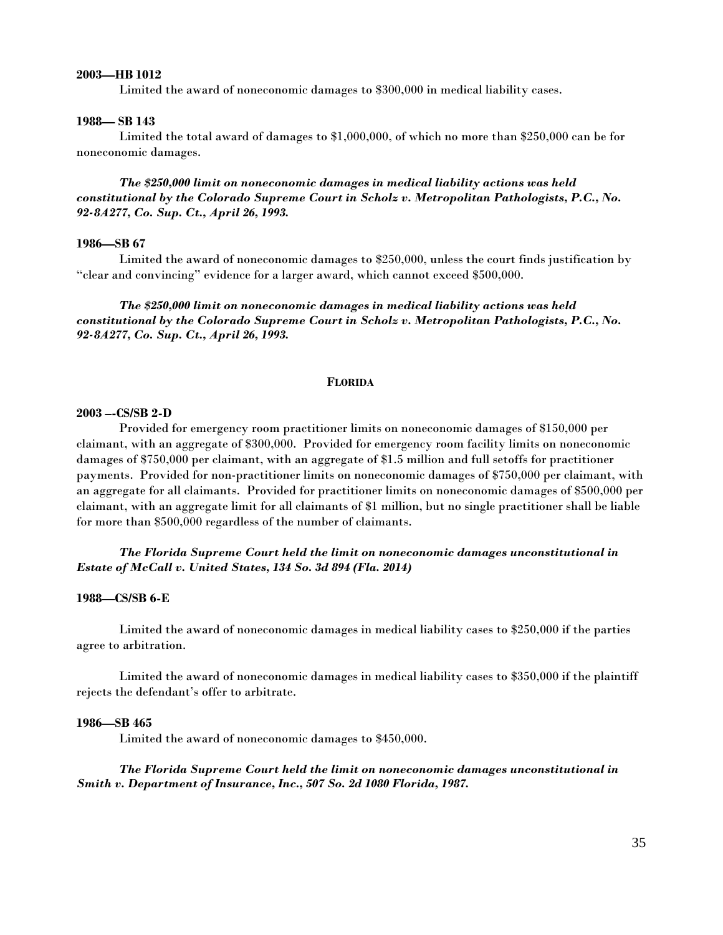# **2003—HB 1012**

Limited the award of noneconomic damages to \$300,000 in medical liability cases.

#### **1988— SB 143**

Limited the total award of damages to \$1,000,000, of which no more than \$250,000 can be for noneconomic damages.

*The \$250,000 limit on noneconomic damages in medical liability actions was held constitutional by the Colorado Supreme Court in Scholz v. Metropolitan Pathologists, P.C., No. 92-8A277, Co. Sup. Ct., April 26, 1993.* 

#### **1986—SB 67**

Limited the award of noneconomic damages to \$250,000, unless the court finds justification by "clear and convincing" evidence for a larger award, which cannot exceed \$500,000.

*The \$250,000 limit on noneconomic damages in medical liability actions was held constitutional by the Colorado Supreme Court in Scholz v. Metropolitan Pathologists, P.C., No. 92-8A277, Co. Sup. Ct., April 26, 1993.* 

#### **FLORIDA**

# **2003 –-CS/SB 2-D**

Provided for emergency room practitioner limits on noneconomic damages of \$150,000 per claimant, with an aggregate of \$300,000. Provided for emergency room facility limits on noneconomic damages of \$750,000 per claimant, with an aggregate of \$1.5 million and full setoffs for practitioner payments. Provided for non-practitioner limits on noneconomic damages of \$750,000 per claimant, with an aggregate for all claimants. Provided for practitioner limits on noneconomic damages of \$500,000 per claimant, with an aggregate limit for all claimants of \$1 million, but no single practitioner shall be liable for more than \$500,000 regardless of the number of claimants.

# *The Florida Supreme Court held the limit on noneconomic damages unconstitutional in Estate of McCall v. United States, 134 So. 3d 894 (Fla. 2014)*

#### **1988—CS/SB 6-E**

Limited the award of noneconomic damages in medical liability cases to \$250,000 if the parties agree to arbitration.

Limited the award of noneconomic damages in medical liability cases to \$350,000 if the plaintiff rejects the defendant's offer to arbitrate.

#### **1986—SB 465**

Limited the award of noneconomic damages to \$450,000.

*The Florida Supreme Court held the limit on noneconomic damages unconstitutional in Smith v. Department of Insurance, Inc., 507 So. 2d 1080 Florida, 1987.*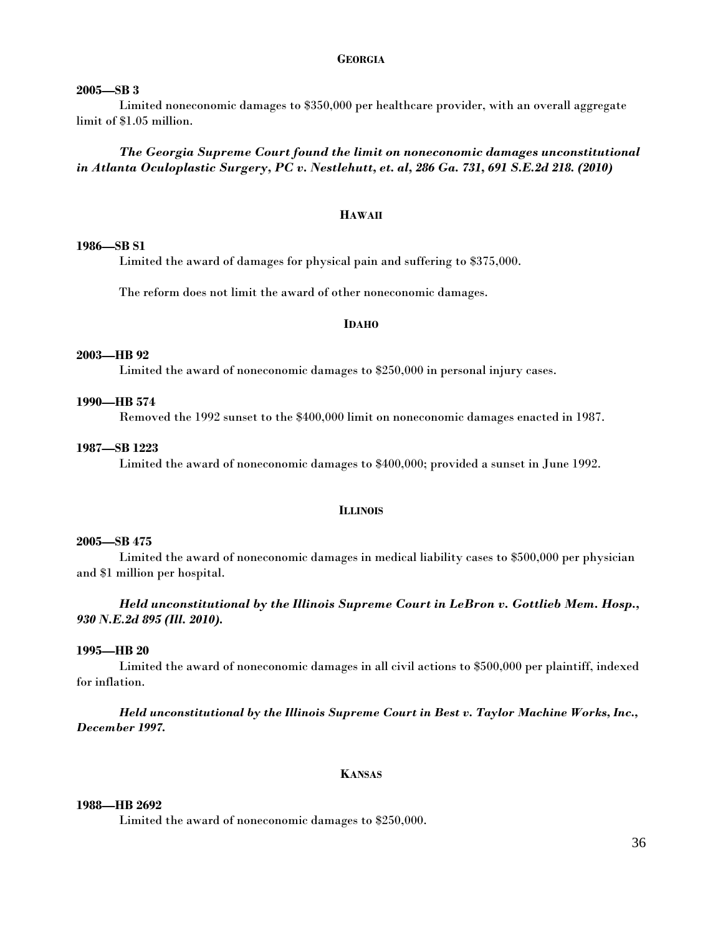# **GEORGIA**

# **2005—SB 3**

 Limited noneconomic damages to \$350,000 per healthcare provider, with an overall aggregate limit of \$1.05 million.

*The Georgia Supreme Court found the limit on noneconomic damages unconstitutional in Atlanta Oculoplastic Surgery, PC v. Nestlehutt, et. al, 286 Ga. 731, 691 S.E.2d 218. (2010)* 

# **HAWAII**

# **1986—SB S1**

Limited the award of damages for physical pain and suffering to \$375,000.

The reform does not limit the award of other noneconomic damages.

#### **IDAHO**

#### **2003—HB 92**

Limited the award of noneconomic damages to \$250,000 in personal injury cases.

# **1990—HB 574**

Removed the 1992 sunset to the \$400,000 limit on noneconomic damages enacted in 1987.

# **1987—SB 1223**

Limited the award of noneconomic damages to \$400,000; provided a sunset in June 1992.

#### **ILLINOIS**

#### **2005—SB 475**

Limited the award of noneconomic damages in medical liability cases to \$500,000 per physician and \$1 million per hospital.

# *Held unconstitutional by the Illinois Supreme Court in LeBron v. Gottlieb Mem. Hosp., 930 N.E.2d 895 (Ill. 2010).*

#### **1995—HB 20**

Limited the award of noneconomic damages in all civil actions to \$500,000 per plaintiff, indexed for inflation.

*Held unconstitutional by the Illinois Supreme Court in Best v. Taylor Machine Works, Inc., December 1997.* 

# **KANSAS**

# **1988—HB 2692**

Limited the award of noneconomic damages to \$250,000.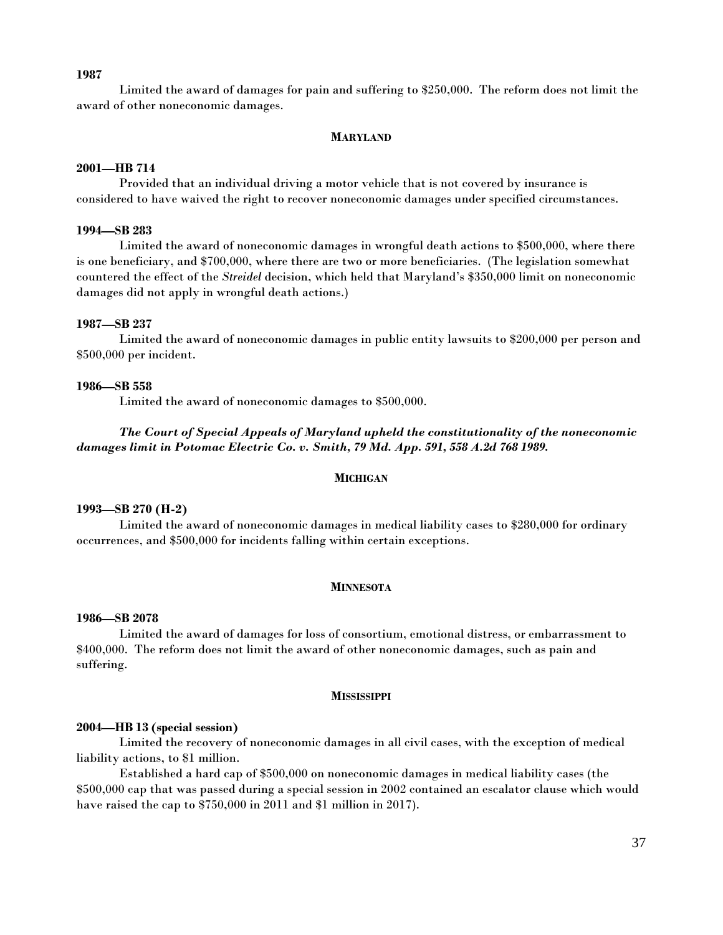#### **1987**

Limited the award of damages for pain and suffering to \$250,000. The reform does not limit the award of other noneconomic damages.

#### **MARYLAND**

#### **2001—HB 714**

 Provided that an individual driving a motor vehicle that is not covered by insurance is considered to have waived the right to recover noneconomic damages under specified circumstances.

## **1994—SB 283**

Limited the award of noneconomic damages in wrongful death actions to \$500,000, where there is one beneficiary, and \$700,000, where there are two or more beneficiaries. (The legislation somewhat countered the effect of the *Streidel* decision, which held that Maryland's \$350,000 limit on noneconomic damages did not apply in wrongful death actions.)

#### **1987—SB 237**

Limited the award of noneconomic damages in public entity lawsuits to \$200,000 per person and \$500,000 per incident.

## **1986—SB 558**

Limited the award of noneconomic damages to \$500,000.

# *The Court of Special Appeals of Maryland upheld the constitutionality of the noneconomic damages limit in Potomac Electric Co. v. Smith, 79 Md. App. 591, 558 A.2d 768 1989.*

#### **MICHIGAN**

## **1993—SB 270 (H-2)**

Limited the award of noneconomic damages in medical liability cases to \$280,000 for ordinary occurrences, and \$500,000 for incidents falling within certain exceptions.

#### **MINNESOTA**

## **1986—SB 2078**

Limited the award of damages for loss of consortium, emotional distress, or embarrassment to \$400,000. The reform does not limit the award of other noneconomic damages, such as pain and suffering.

#### **MISSISSIPPI**

## **2004—HB 13 (special session)**

 Limited the recovery of noneconomic damages in all civil cases, with the exception of medical liability actions, to \$1 million.

 Established a hard cap of \$500,000 on noneconomic damages in medical liability cases (the \$500,000 cap that was passed during a special session in 2002 contained an escalator clause which would have raised the cap to \$750,000 in 2011 and \$1 million in 2017).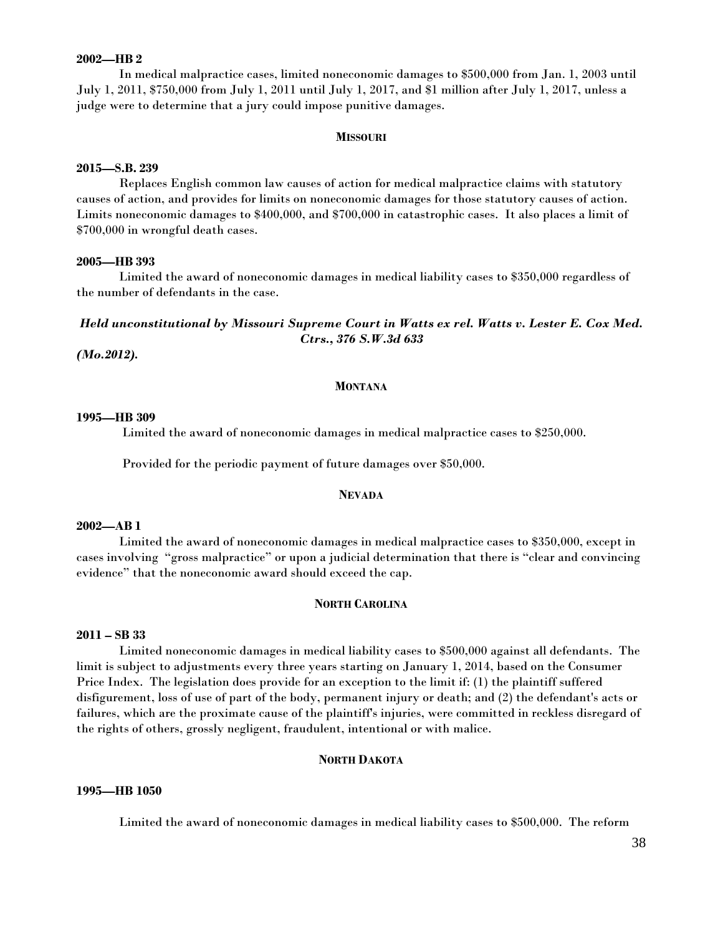# **2002—HB 2**

In medical malpractice cases, limited noneconomic damages to \$500,000 from Jan. 1, 2003 until July 1, 2011, \$750,000 from July 1, 2011 until July 1, 2017, and \$1 million after July 1, 2017, unless a judge were to determine that a jury could impose punitive damages.

## **MISSOURI**

## **2015—S.B. 239**

Replaces English common law causes of action for medical malpractice claims with statutory causes of action, and provides for limits on noneconomic damages for those statutory causes of action. Limits noneconomic damages to \$400,000, and \$700,000 in catastrophic cases. It also places a limit of \$700,000 in wrongful death cases.

## **2005—HB 393**

Limited the award of noneconomic damages in medical liability cases to \$350,000 regardless of the number of defendants in the case.

# *Held unconstitutional by Missouri Supreme Court in Watts ex rel. Watts v. Lester E. Cox Med. Ctrs., 376 S.W.3d 633*

 *(Mo.2012).* 

## **MONTANA**

#### **1995—HB 309**

Limited the award of noneconomic damages in medical malpractice cases to \$250,000.

Provided for the periodic payment of future damages over \$50,000.

#### **NEVADA**

## **2002—AB 1**

Limited the award of noneconomic damages in medical malpractice cases to \$350,000, except in cases involving "gross malpractice" or upon a judicial determination that there is "clear and convincing evidence" that the noneconomic award should exceed the cap.

# **NORTH CAROLINA**

## **2011 – SB 33**

 Limited noneconomic damages in medical liability cases to \$500,000 against all defendants. The limit is subject to adjustments every three years starting on January 1, 2014, based on the Consumer Price Index. The legislation does provide for an exception to the limit if: (1) the plaintiff suffered disfigurement, loss of use of part of the body, permanent injury or death; and (2) the defendant's acts or failures, which are the proximate cause of the plaintiff's injuries, were committed in reckless disregard of the rights of others, grossly negligent, fraudulent, intentional or with malice.

# **NORTH DAKOTA**

### **1995—HB 1050**

Limited the award of noneconomic damages in medical liability cases to \$500,000. The reform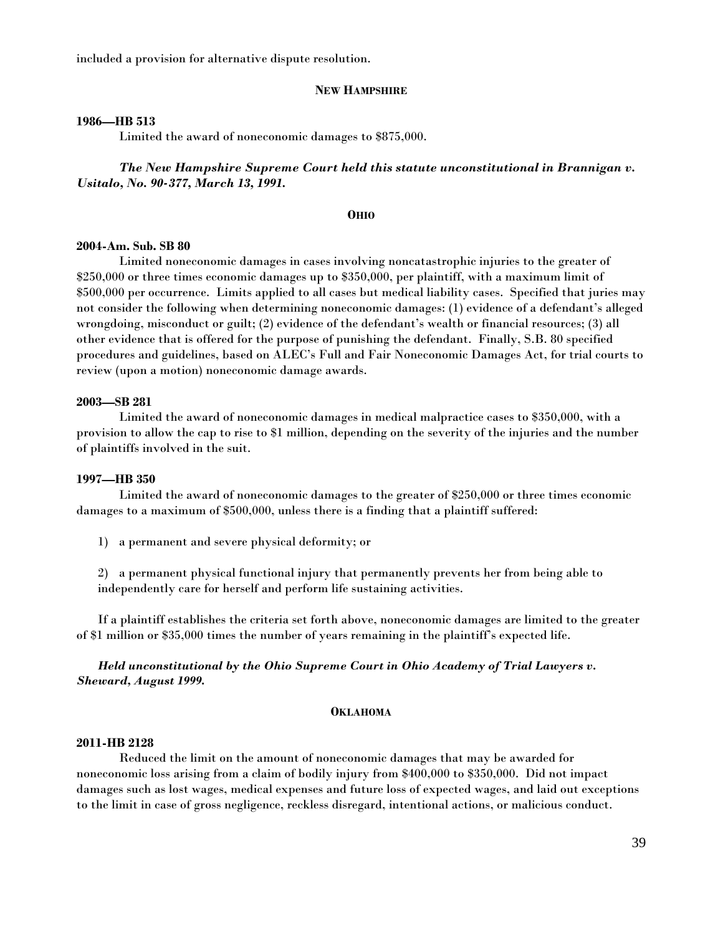included a provision for alternative dispute resolution.

## **NEW HAMPSHIRE**

#### **1986—HB 513**

Limited the award of noneconomic damages to \$875,000.

# *The New Hampshire Supreme Court held this statute unconstitutional in Brannigan v. Usitalo, No. 90-377, March 13, 1991.*

#### **OHIO**

#### **2004-Am. Sub. SB 80**

Limited noneconomic damages in cases involving noncatastrophic injuries to the greater of \$250,000 or three times economic damages up to \$350,000, per plaintiff, with a maximum limit of \$500,000 per occurrence. Limits applied to all cases but medical liability cases. Specified that juries may not consider the following when determining noneconomic damages: (1) evidence of a defendant's alleged wrongdoing, misconduct or guilt; (2) evidence of the defendant's wealth or financial resources; (3) all other evidence that is offered for the purpose of punishing the defendant. Finally, S.B. 80 specified procedures and guidelines, based on ALEC's Full and Fair Noneconomic Damages Act, for trial courts to review (upon a motion) noneconomic damage awards.

## **2003—SB 281**

Limited the award of noneconomic damages in medical malpractice cases to \$350,000, with a provision to allow the cap to rise to \$1 million, depending on the severity of the injuries and the number of plaintiffs involved in the suit.

## **1997—HB 350**

 Limited the award of noneconomic damages to the greater of \$250,000 or three times economic damages to a maximum of \$500,000, unless there is a finding that a plaintiff suffered:

1) a permanent and severe physical deformity; or

2) a permanent physical functional injury that permanently prevents her from being able to independently care for herself and perform life sustaining activities.

 If a plaintiff establishes the criteria set forth above, noneconomic damages are limited to the greater of \$1 million or \$35,000 times the number of years remaining in the plaintiff's expected life.

# *Held unconstitutional by the Ohio Supreme Court in Ohio Academy of Trial Lawyers v. Sheward, August 1999.*

#### **OKLAHOMA**

#### **2011-HB 2128**

 Reduced the limit on the amount of noneconomic damages that may be awarded for noneconomic loss arising from a claim of bodily injury from \$400,000 to \$350,000. Did not impact damages such as lost wages, medical expenses and future loss of expected wages, and laid out exceptions to the limit in case of gross negligence, reckless disregard, intentional actions, or malicious conduct.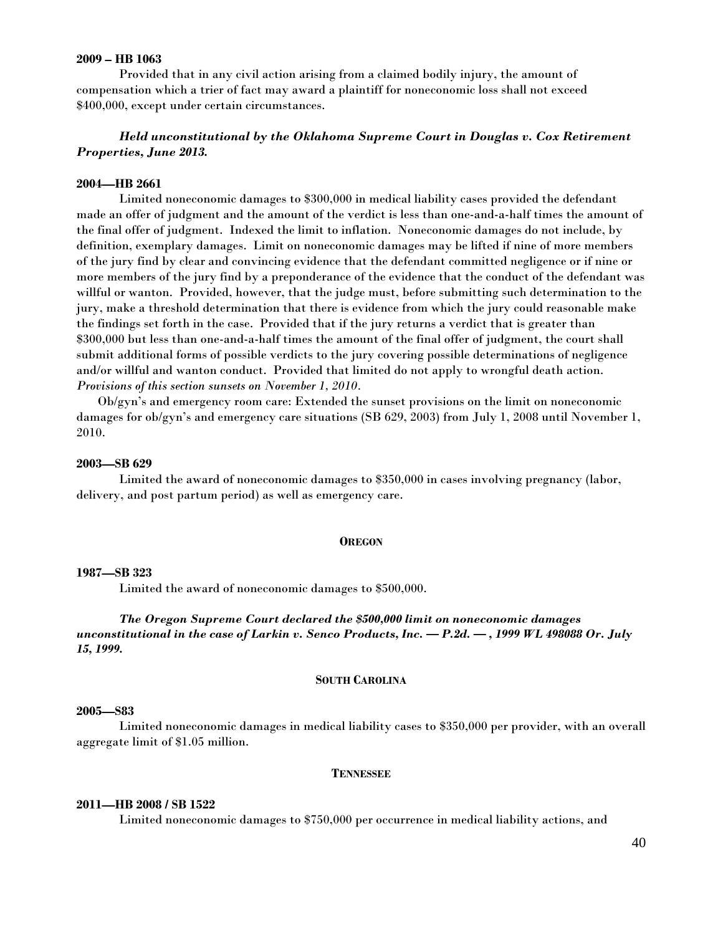## **2009 – HB 1063**

Provided that in any civil action arising from a claimed bodily injury, the amount of compensation which a trier of fact may award a plaintiff for noneconomic loss shall not exceed \$400,000, except under certain circumstances.

# *Held unconstitutional by the Oklahoma Supreme Court in Douglas v. Cox Retirement Properties, June 2013.*

## **2004—HB 2661**

Limited noneconomic damages to \$300,000 in medical liability cases provided the defendant made an offer of judgment and the amount of the verdict is less than one-and-a-half times the amount of the final offer of judgment. Indexed the limit to inflation. Noneconomic damages do not include, by definition, exemplary damages. Limit on noneconomic damages may be lifted if nine of more members of the jury find by clear and convincing evidence that the defendant committed negligence or if nine or more members of the jury find by a preponderance of the evidence that the conduct of the defendant was willful or wanton. Provided, however, that the judge must, before submitting such determination to the jury, make a threshold determination that there is evidence from which the jury could reasonable make the findings set forth in the case. Provided that if the jury returns a verdict that is greater than \$300,000 but less than one-and-a-half times the amount of the final offer of judgment, the court shall submit additional forms of possible verdicts to the jury covering possible determinations of negligence and/or willful and wanton conduct. Provided that limited do not apply to wrongful death action. *Provisions of this section sunsets on November 1, 2010.* 

Ob/gyn's and emergency room care: Extended the sunset provisions on the limit on noneconomic damages for ob/gyn's and emergency care situations (SB 629, 2003) from July 1, 2008 until November 1, 2010.

#### **2003—SB 629**

 Limited the award of noneconomic damages to \$350,000 in cases involving pregnancy (labor, delivery, and post partum period) as well as emergency care.

#### **OREGON**

## **1987—SB 323**

Limited the award of noneconomic damages to \$500,000.

 *The Oregon Supreme Court declared the \$500,000 limit on noneconomic damages unconstitutional in the case of Larkin v. Senco Products, Inc. — P.2d. — , 1999 WL 498088 Or. July 15, 1999.*

#### **SOUTH CAROLINA**

#### **2005—S83**

 Limited noneconomic damages in medical liability cases to \$350,000 per provider, with an overall aggregate limit of \$1.05 million.

## **TENNESSEE**

## **2011—HB 2008 / SB 1522**

Limited noneconomic damages to \$750,000 per occurrence in medical liability actions, and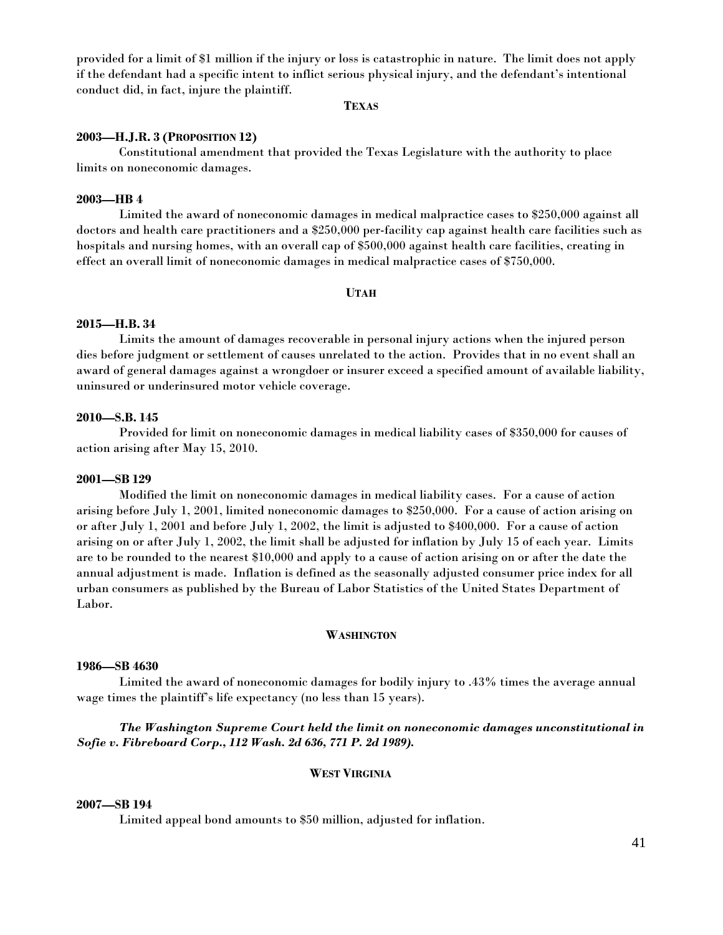provided for a limit of \$1 million if the injury or loss is catastrophic in nature. The limit does not apply if the defendant had a specific intent to inflict serious physical injury, and the defendant's intentional conduct did, in fact, injure the plaintiff.

**TEXAS**

## **2003—H.J.R. 3 (PROPOSITION 12)**

Constitutional amendment that provided the Texas Legislature with the authority to place limits on noneconomic damages.

## **2003—HB 4**

 Limited the award of noneconomic damages in medical malpractice cases to \$250,000 against all doctors and health care practitioners and a \$250,000 per-facility cap against health care facilities such as hospitals and nursing homes, with an overall cap of \$500,000 against health care facilities, creating in effect an overall limit of noneconomic damages in medical malpractice cases of \$750,000.

# **UTAH**

## **2015—H.B. 34**

Limits the amount of damages recoverable in personal injury actions when the injured person dies before judgment or settlement of causes unrelated to the action. Provides that in no event shall an award of general damages against a wrongdoer or insurer exceed a specified amount of available liability, uninsured or underinsured motor vehicle coverage.

## **2010—S.B. 145**

Provided for limit on noneconomic damages in medical liability cases of \$350,000 for causes of action arising after May 15, 2010.

#### **2001—SB 129**

Modified the limit on noneconomic damages in medical liability cases. For a cause of action arising before July 1, 2001, limited noneconomic damages to \$250,000. For a cause of action arising on or after July 1, 2001 and before July 1, 2002, the limit is adjusted to \$400,000. For a cause of action arising on or after July 1, 2002, the limit shall be adjusted for inflation by July 15 of each year. Limits are to be rounded to the nearest \$10,000 and apply to a cause of action arising on or after the date the annual adjustment is made. Inflation is defined as the seasonally adjusted consumer price index for all urban consumers as published by the Bureau of Labor Statistics of the United States Department of Labor.

#### **WASHINGTON**

#### **1986—SB 4630**

 Limited the award of noneconomic damages for bodily injury to .43% times the average annual wage times the plaintiff's life expectancy (no less than 15 years).

# *The Washington Supreme Court held the limit on noneconomic damages unconstitutional in Sofie v. Fibreboard Corp., 112 Wash. 2d 636, 771 P. 2d 1989).*

## **WEST VIRGINIA**

## **2007—SB 194**

Limited appeal bond amounts to \$50 million, adjusted for inflation.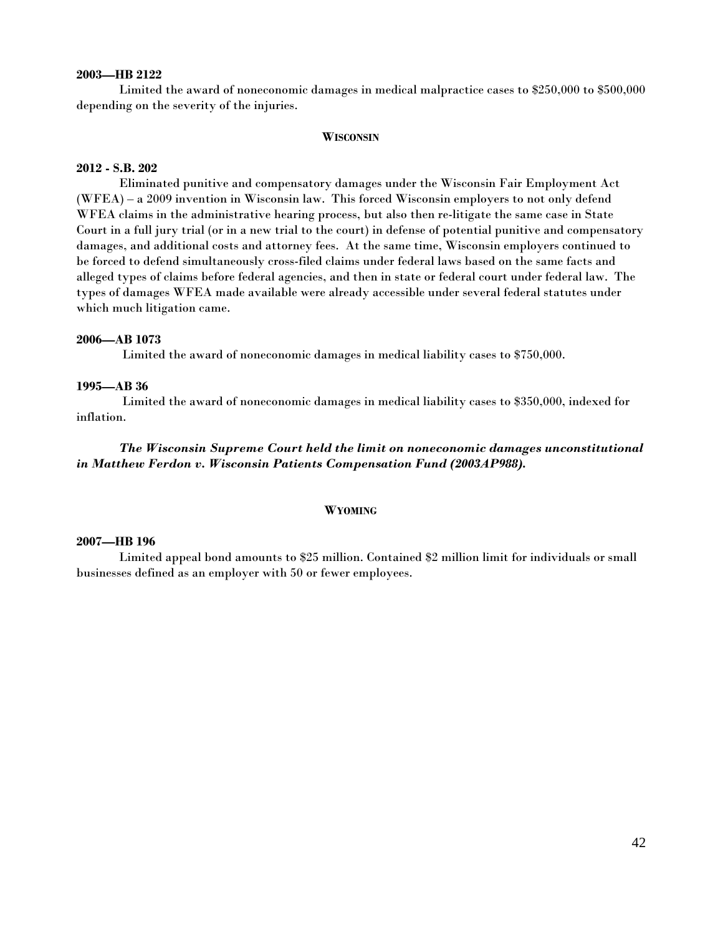## **2003—HB 2122**

 Limited the award of noneconomic damages in medical malpractice cases to \$250,000 to \$500,000 depending on the severity of the injuries.

#### **WISCONSIN**

## **2012 - S.B. 202**

Eliminated punitive and compensatory damages under the Wisconsin Fair Employment Act (WFEA) – a 2009 invention in Wisconsin law. This forced Wisconsin employers to not only defend WFEA claims in the administrative hearing process, but also then re-litigate the same case in State Court in a full jury trial (or in a new trial to the court) in defense of potential punitive and compensatory damages, and additional costs and attorney fees. At the same time, Wisconsin employers continued to be forced to defend simultaneously cross-filed claims under federal laws based on the same facts and alleged types of claims before federal agencies, and then in state or federal court under federal law. The types of damages WFEA made available were already accessible under several federal statutes under which much litigation came.

## **2006—AB 1073**

Limited the award of noneconomic damages in medical liability cases to \$750,000.

## **1995—AB 36**

 Limited the award of noneconomic damages in medical liability cases to \$350,000, indexed for inflation.

 *The Wisconsin Supreme Court held the limit on noneconomic damages unconstitutional in Matthew Ferdon v. Wisconsin Patients Compensation Fund (2003AP988).*

#### **WYOMING**

#### **2007—HB 196**

Limited appeal bond amounts to \$25 million. Contained \$2 million limit for individuals or small businesses defined as an employer with 50 or fewer employees.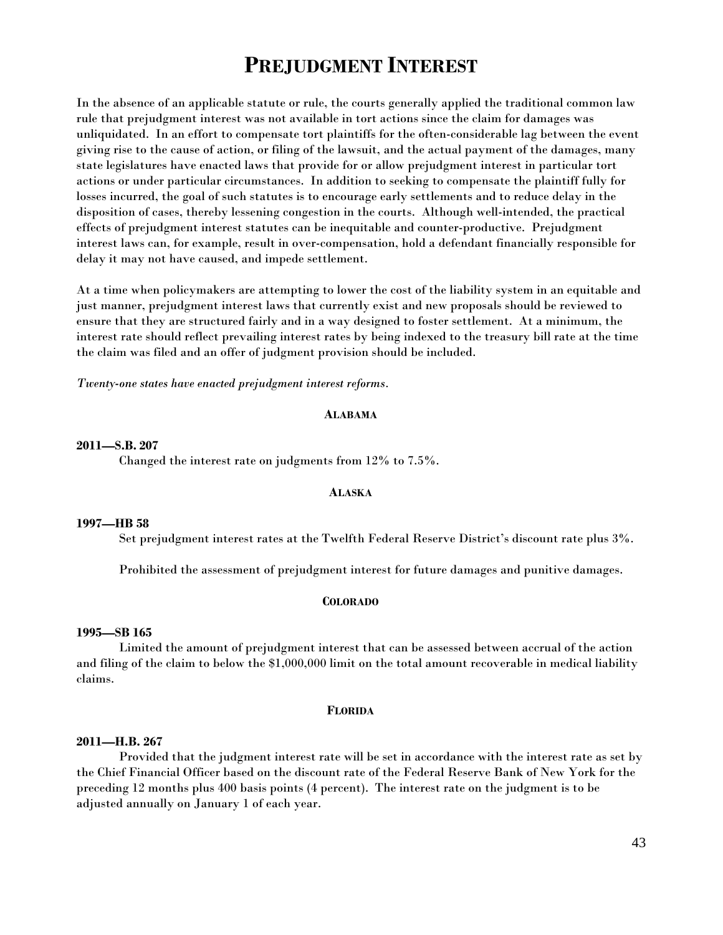# **PREJUDGMENT INTEREST**

In the absence of an applicable statute or rule, the courts generally applied the traditional common law rule that prejudgment interest was not available in tort actions since the claim for damages was unliquidated. In an effort to compensate tort plaintiffs for the often-considerable lag between the event giving rise to the cause of action, or filing of the lawsuit, and the actual payment of the damages, many state legislatures have enacted laws that provide for or allow prejudgment interest in particular tort actions or under particular circumstances. In addition to seeking to compensate the plaintiff fully for losses incurred, the goal of such statutes is to encourage early settlements and to reduce delay in the disposition of cases, thereby lessening congestion in the courts. Although well-intended, the practical effects of prejudgment interest statutes can be inequitable and counter-productive. Prejudgment interest laws can, for example, result in over-compensation, hold a defendant financially responsible for delay it may not have caused, and impede settlement.

At a time when policymakers are attempting to lower the cost of the liability system in an equitable and just manner, prejudgment interest laws that currently exist and new proposals should be reviewed to ensure that they are structured fairly and in a way designed to foster settlement. At a minimum, the interest rate should reflect prevailing interest rates by being indexed to the treasury bill rate at the time the claim was filed and an offer of judgment provision should be included.

*Twenty-one states have enacted prejudgment interest reforms.* 

## **ALABAMA**

#### **2011—S.B. 207**

Changed the interest rate on judgments from 12% to 7.5%.

## **ALASKA**

#### **1997—HB 58**

Set prejudgment interest rates at the Twelfth Federal Reserve District's discount rate plus 3%.

Prohibited the assessment of prejudgment interest for future damages and punitive damages.

#### **COLORADO**

#### **1995—SB 165**

 Limited the amount of prejudgment interest that can be assessed between accrual of the action and filing of the claim to below the \$1,000,000 limit on the total amount recoverable in medical liability claims.

#### **FLORIDA**

## **2011—H.B. 267**

Provided that the judgment interest rate will be set in accordance with the interest rate as set by the Chief Financial Officer based on the discount rate of the Federal Reserve Bank of New York for the preceding 12 months plus 400 basis points (4 percent). The interest rate on the judgment is to be adjusted annually on January 1 of each year.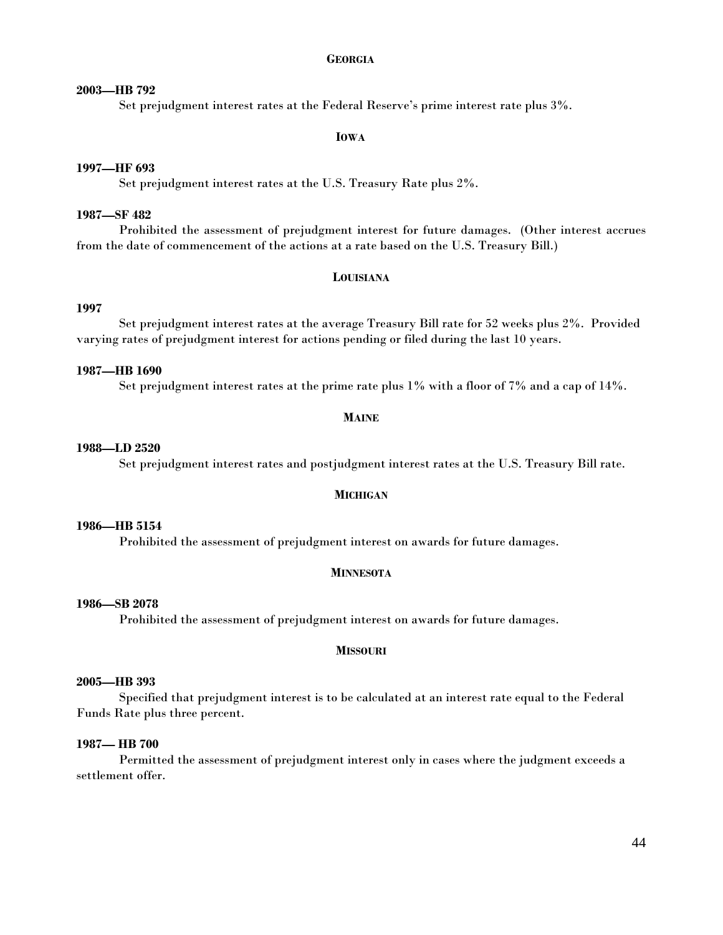## **GEORGIA**

# **2003—HB 792**

Set prejudgment interest rates at the Federal Reserve's prime interest rate plus 3%.

## **IOWA**

## **1997—HF 693**

Set prejudgment interest rates at the U.S. Treasury Rate plus 2%.

# **1987—SF 482**

 Prohibited the assessment of prejudgment interest for future damages. (Other interest accrues from the date of commencement of the actions at a rate based on the U.S. Treasury Bill.)

#### **LOUISIANA**

# **1997**

 Set prejudgment interest rates at the average Treasury Bill rate for 52 weeks plus 2%. Provided varying rates of prejudgment interest for actions pending or filed during the last 10 years.

# **1987—HB 1690**

Set prejudgment interest rates at the prime rate plus 1% with a floor of 7% and a cap of 14%.

#### **MAINE**

## **1988—LD 2520**

Set prejudgment interest rates and postjudgment interest rates at the U.S. Treasury Bill rate.

## **MICHIGAN**

# **1986—HB 5154**

Prohibited the assessment of prejudgment interest on awards for future damages.

## **MINNESOTA**

# **1986—SB 2078**

Prohibited the assessment of prejudgment interest on awards for future damages.

#### **MISSOURI**

# **2005—HB 393**

Specified that prejudgment interest is to be calculated at an interest rate equal to the Federal Funds Rate plus three percent.

#### **1987— HB 700**

Permitted the assessment of prejudgment interest only in cases where the judgment exceeds a settlement offer.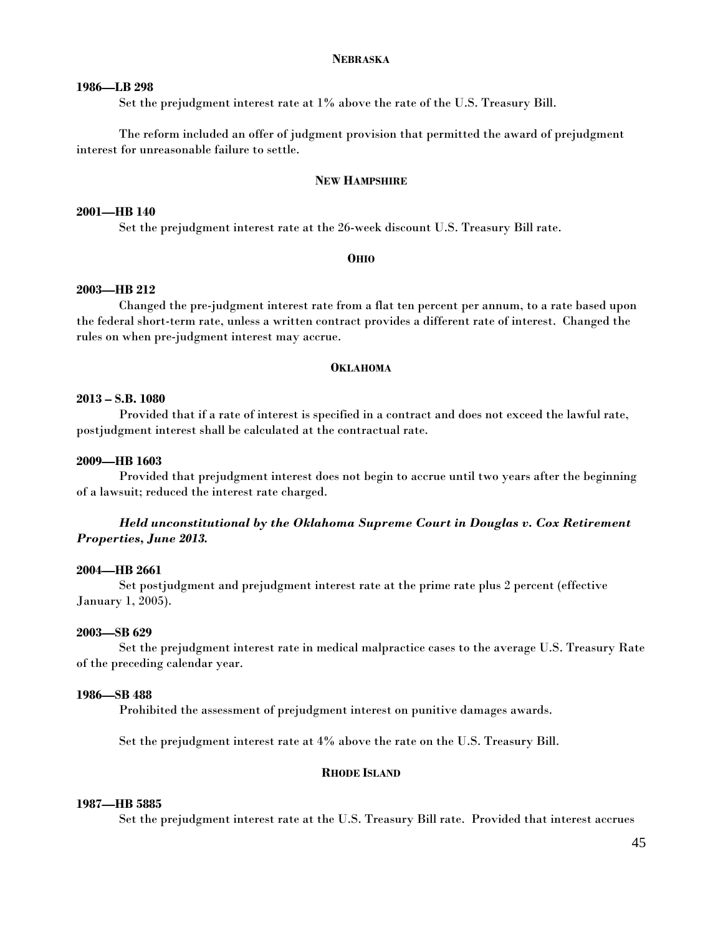#### **NEBRASKA**

# **1986—LB 298**

Set the prejudgment interest rate at 1% above the rate of the U.S. Treasury Bill.

 The reform included an offer of judgment provision that permitted the award of prejudgment interest for unreasonable failure to settle.

#### **NEW HAMPSHIRE**

## **2001—HB 140**

Set the prejudgment interest rate at the 26-week discount U.S. Treasury Bill rate.

#### **OHIO**

## **2003—HB 212**

 Changed the pre-judgment interest rate from a flat ten percent per annum, to a rate based upon the federal short-term rate, unless a written contract provides a different rate of interest. Changed the rules on when pre-judgment interest may accrue.

#### **OKLAHOMA**

## **2013 – S.B. 1080**

Provided that if a rate of interest is specified in a contract and does not exceed the lawful rate, postjudgment interest shall be calculated at the contractual rate.

## **2009—HB 1603**

Provided that prejudgment interest does not begin to accrue until two years after the beginning of a lawsuit; reduced the interest rate charged.

# *Held unconstitutional by the Oklahoma Supreme Court in Douglas v. Cox Retirement Properties, June 2013.*

#### **2004—HB 2661**

 Set postjudgment and prejudgment interest rate at the prime rate plus 2 percent (effective January 1, 2005).

## **2003—SB 629**

 Set the prejudgment interest rate in medical malpractice cases to the average U.S. Treasury Rate of the preceding calendar year.

#### **1986—SB 488**

Prohibited the assessment of prejudgment interest on punitive damages awards.

Set the prejudgment interest rate at 4% above the rate on the U.S. Treasury Bill.

#### **RHODE ISLAND**

## **1987—HB 5885**

Set the prejudgment interest rate at the U.S. Treasury Bill rate. Provided that interest accrues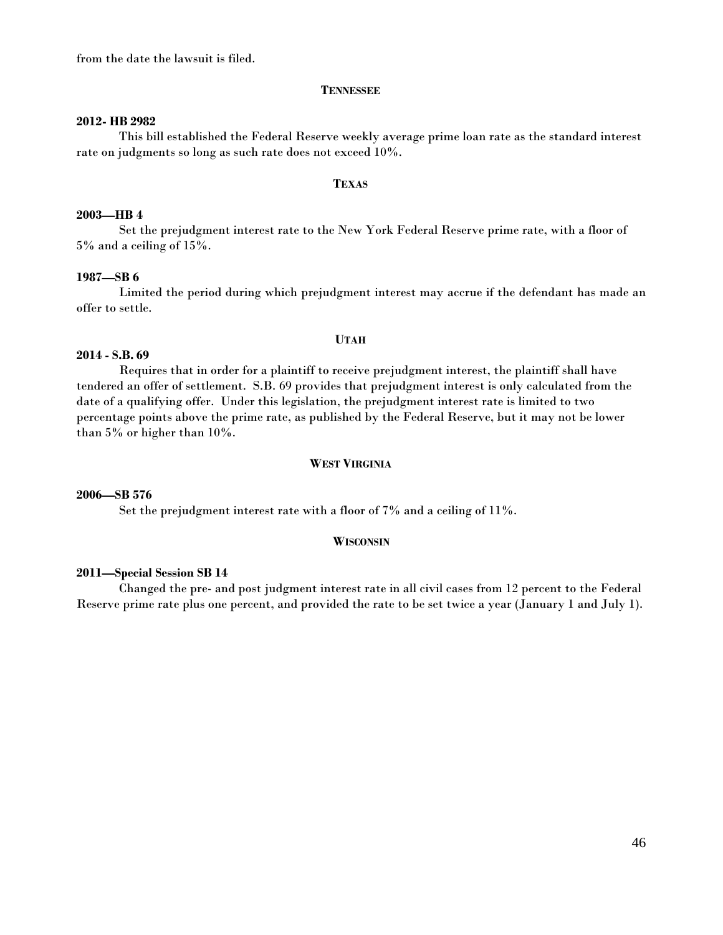from the date the lawsuit is filed.

## **TENNESSEE**

#### **2012- HB 2982**

This bill established the Federal Reserve weekly average prime loan rate as the standard interest rate on judgments so long as such rate does not exceed 10%.

#### **TEXAS**

## **2003—HB 4**

 Set the prejudgment interest rate to the New York Federal Reserve prime rate, with a floor of 5% and a ceiling of 15%.

#### **1987—SB 6**

Limited the period during which prejudgment interest may accrue if the defendant has made an offer to settle.

#### **UTAH**

#### **2014 - S.B. 69**

Requires that in order for a plaintiff to receive prejudgment interest, the plaintiff shall have tendered an offer of settlement. S.B. 69 provides that prejudgment interest is only calculated from the date of a qualifying offer. Under this legislation, the prejudgment interest rate is limited to two percentage points above the prime rate, as published by the Federal Reserve, but it may not be lower than 5% or higher than 10%.

#### **WEST VIRGINIA**

## **2006—SB 576**

Set the prejudgment interest rate with a floor of 7% and a ceiling of 11%.

#### **WISCONSIN**

#### **2011—Special Session SB 14**

 Changed the pre- and post judgment interest rate in all civil cases from 12 percent to the Federal Reserve prime rate plus one percent, and provided the rate to be set twice a year (January 1 and July 1).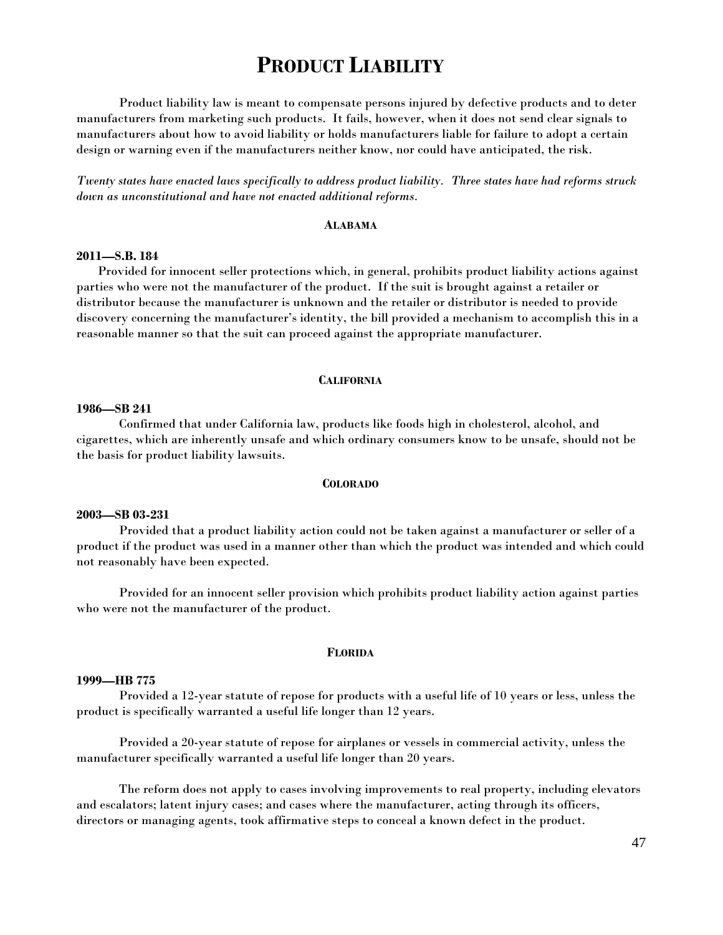# **PRODUCT LIABILITY**

 Product liability law is meant to compensate persons injured by defective products and to deter manufacturers from marketing such products. It fails, however, when it does not send clear signals to manufacturers about how to avoid liability or holds manufacturers liable for failure to adopt a certain design or warning even if the manufacturers neither know, nor could have anticipated, the risk.

*Twenty states have enacted laws specifically to address product liability. Three states have had reforms struck down as unconstitutional and have not enacted additional reforms.* 

## **ALABAMA**

#### **2011—S.B. 184**

Provided for innocent seller protections which, in general, prohibits product liability actions against parties who were not the manufacturer of the product. If the suit is brought against a retailer or distributor because the manufacturer is unknown and the retailer or distributor is needed to provide discovery concerning the manufacturer's identity, the bill provided a mechanism to accomplish this in a reasonable manner so that the suit can proceed against the appropriate manufacturer.

#### **CALIFORNIA**

## **1986—SB 241**

 Confirmed that under California law, products like foods high in cholesterol, alcohol, and cigarettes, which are inherently unsafe and which ordinary consumers know to be unsafe, should not be the basis for product liability lawsuits.

#### **COLORADO**

#### **2003—SB 03-231**

 Provided that a product liability action could not be taken against a manufacturer or seller of a product if the product was used in a manner other than which the product was intended and which could not reasonably have been expected.

 Provided for an innocent seller provision which prohibits product liability action against parties who were not the manufacturer of the product.

#### **FLORIDA**

#### **1999—HB 775**

 Provided a 12-year statute of repose for products with a useful life of 10 years or less, unless the product is specifically warranted a useful life longer than 12 years.

 Provided a 20-year statute of repose for airplanes or vessels in commercial activity, unless the manufacturer specifically warranted a useful life longer than 20 years.

 The reform does not apply to cases involving improvements to real property, including elevators and escalators; latent injury cases; and cases where the manufacturer, acting through its officers, directors or managing agents, took affirmative steps to conceal a known defect in the product.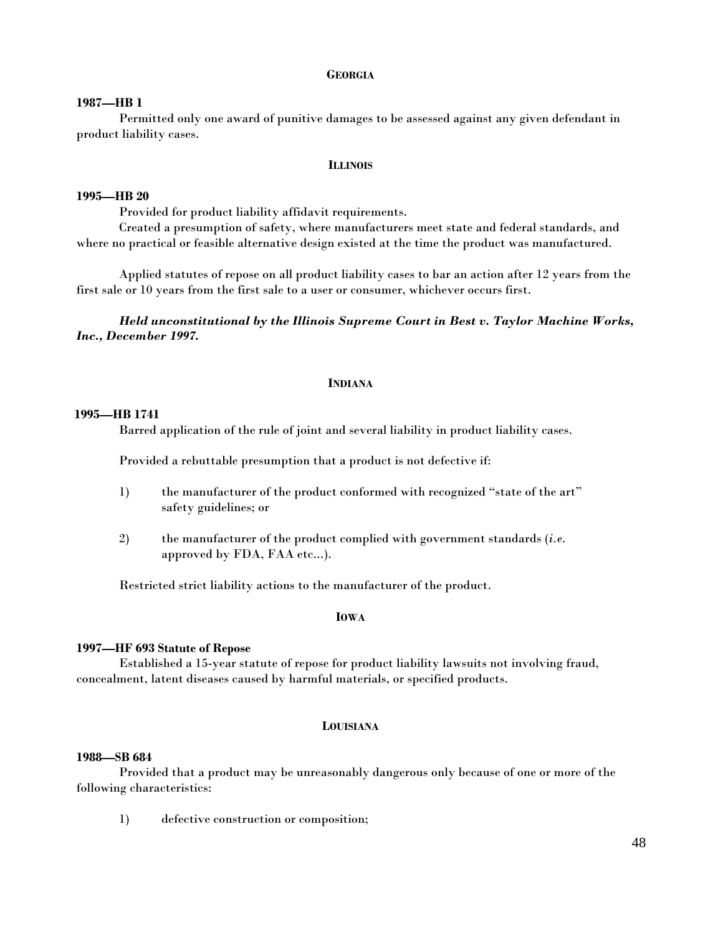## **GEORGIA**

## **1987—HB 1**

 Permitted only one award of punitive damages to be assessed against any given defendant in product liability cases.

#### **ILLINOIS**

## **1995—HB 20**

Provided for product liability affidavit requirements.

 Created a presumption of safety, where manufacturers meet state and federal standards, and where no practical or feasible alternative design existed at the time the product was manufactured.

 Applied statutes of repose on all product liability cases to bar an action after 12 years from the first sale or 10 years from the first sale to a user or consumer, whichever occurs first.

 *Held unconstitutional by the Illinois Supreme Court in Best v. Taylor Machine Works, Inc., December 1997.* 

## **INDIANA**

## **1995—HB 1741**

Barred application of the rule of joint and several liability in product liability cases.

Provided a rebuttable presumption that a product is not defective if:

- 1) the manufacturer of the product conformed with recognized "state of the art" safety guidelines; or
- 2) the manufacturer of the product complied with government standards (*i.e*. approved by FDA, FAA etc...).

Restricted strict liability actions to the manufacturer of the product.

# **IOWA**

## **1997—HF 693 Statute of Repose**

 Established a 15-year statute of repose for product liability lawsuits not involving fraud, concealment, latent diseases caused by harmful materials, or specified products.

#### **LOUISIANA**

## **1988—SB 684**

 Provided that a product may be unreasonably dangerous only because of one or more of the following characteristics:

1) defective construction or composition;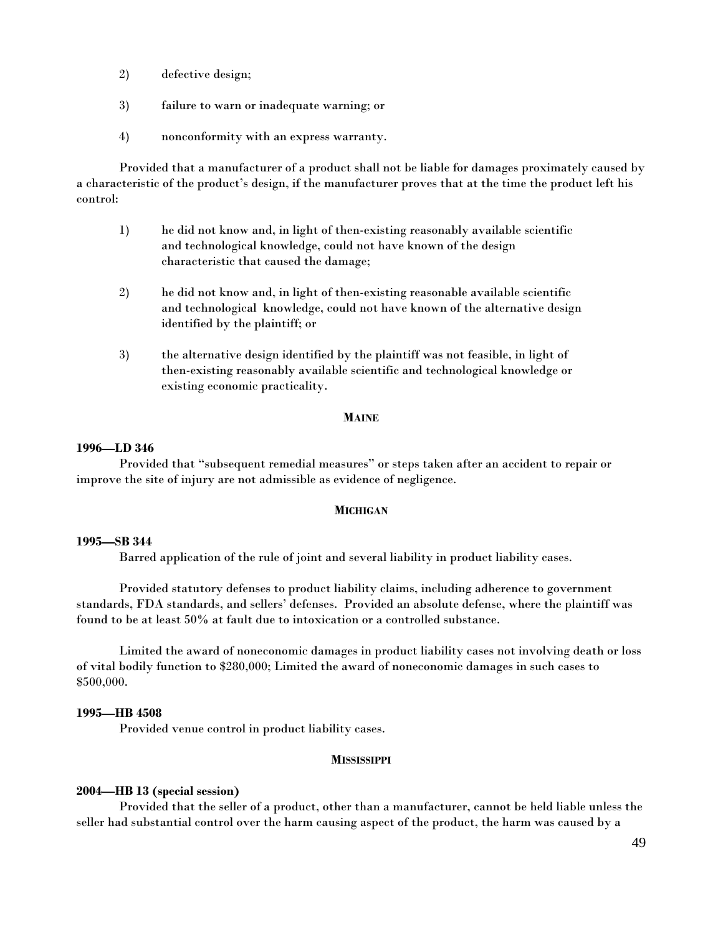- 2) defective design;
- 3) failure to warn or inadequate warning; or
- 4) nonconformity with an express warranty.

 Provided that a manufacturer of a product shall not be liable for damages proximately caused by a characteristic of the product's design, if the manufacturer proves that at the time the product left his control:

- 1) he did not know and, in light of then-existing reasonably available scientific and technological knowledge, could not have known of the design characteristic that caused the damage;
- 2) he did not know and, in light of then-existing reasonable available scientific and technological knowledge, could not have known of the alternative design identified by the plaintiff; or
- 3) the alternative design identified by the plaintiff was not feasible, in light of then-existing reasonably available scientific and technological knowledge or existing economic practicality.

## **MAINE**

## **1996—LD 346**

 Provided that "subsequent remedial measures" or steps taken after an accident to repair or improve the site of injury are not admissible as evidence of negligence.

## **MICHIGAN**

## **1995—SB 344**

Barred application of the rule of joint and several liability in product liability cases.

 Provided statutory defenses to product liability claims, including adherence to government standards, FDA standards, and sellers' defenses. Provided an absolute defense, where the plaintiff was found to be at least 50% at fault due to intoxication or a controlled substance.

 Limited the award of noneconomic damages in product liability cases not involving death or loss of vital bodily function to \$280,000; Limited the award of noneconomic damages in such cases to \$500,000.

## **1995—HB 4508**

Provided venue control in product liability cases.

## **MISSISSIPPI**

## **2004—HB 13 (special session)**

Provided that the seller of a product, other than a manufacturer, cannot be held liable unless the seller had substantial control over the harm causing aspect of the product, the harm was caused by a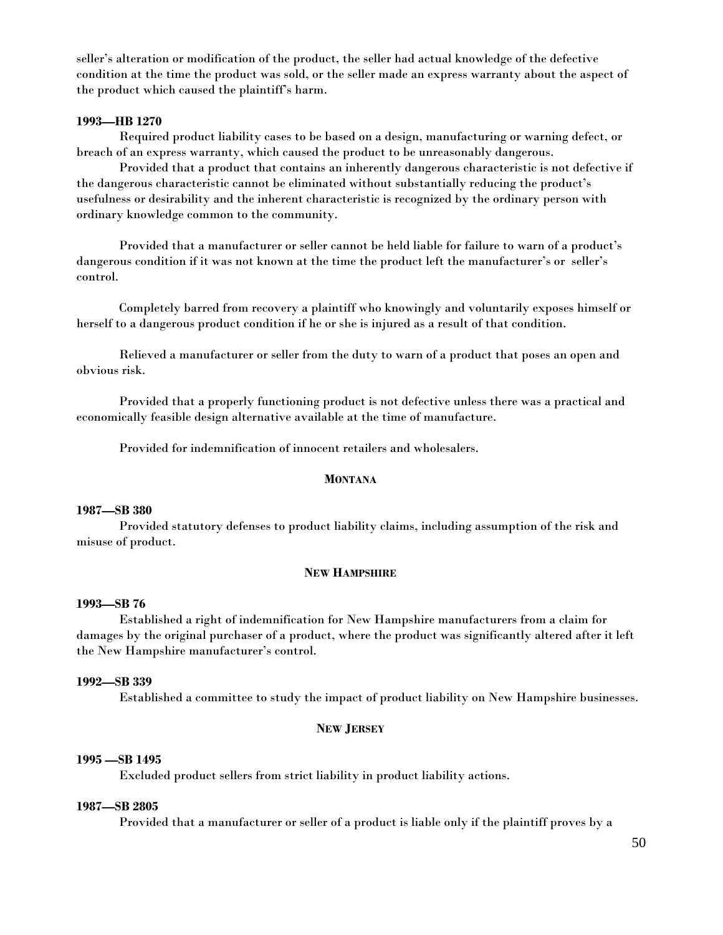seller's alteration or modification of the product, the seller had actual knowledge of the defective condition at the time the product was sold, or the seller made an express warranty about the aspect of the product which caused the plaintiff's harm.

## **1993—HB 1270**

 Required product liability cases to be based on a design, manufacturing or warning defect, or breach of an express warranty, which caused the product to be unreasonably dangerous.

 Provided that a product that contains an inherently dangerous characteristic is not defective if the dangerous characteristic cannot be eliminated without substantially reducing the product's usefulness or desirability and the inherent characteristic is recognized by the ordinary person with ordinary knowledge common to the community.

 Provided that a manufacturer or seller cannot be held liable for failure to warn of a product's dangerous condition if it was not known at the time the product left the manufacturer's or seller's control.

 Completely barred from recovery a plaintiff who knowingly and voluntarily exposes himself or herself to a dangerous product condition if he or she is injured as a result of that condition.

 Relieved a manufacturer or seller from the duty to warn of a product that poses an open and obvious risk.

 Provided that a properly functioning product is not defective unless there was a practical and economically feasible design alternative available at the time of manufacture.

Provided for indemnification of innocent retailers and wholesalers.

#### **MONTANA**

## **1987—SB 380**

 Provided statutory defenses to product liability claims, including assumption of the risk and misuse of product.

## **NEW HAMPSHIRE**

# **1993—SB 76**

 Established a right of indemnification for New Hampshire manufacturers from a claim for damages by the original purchaser of a product, where the product was significantly altered after it left the New Hampshire manufacturer's control.

## **1992—SB 339**

Established a committee to study the impact of product liability on New Hampshire businesses.

## **NEW JERSEY**

# **1995 —SB 1495**

Excluded product sellers from strict liability in product liability actions.

# **1987—SB 2805**

Provided that a manufacturer or seller of a product is liable only if the plaintiff proves by a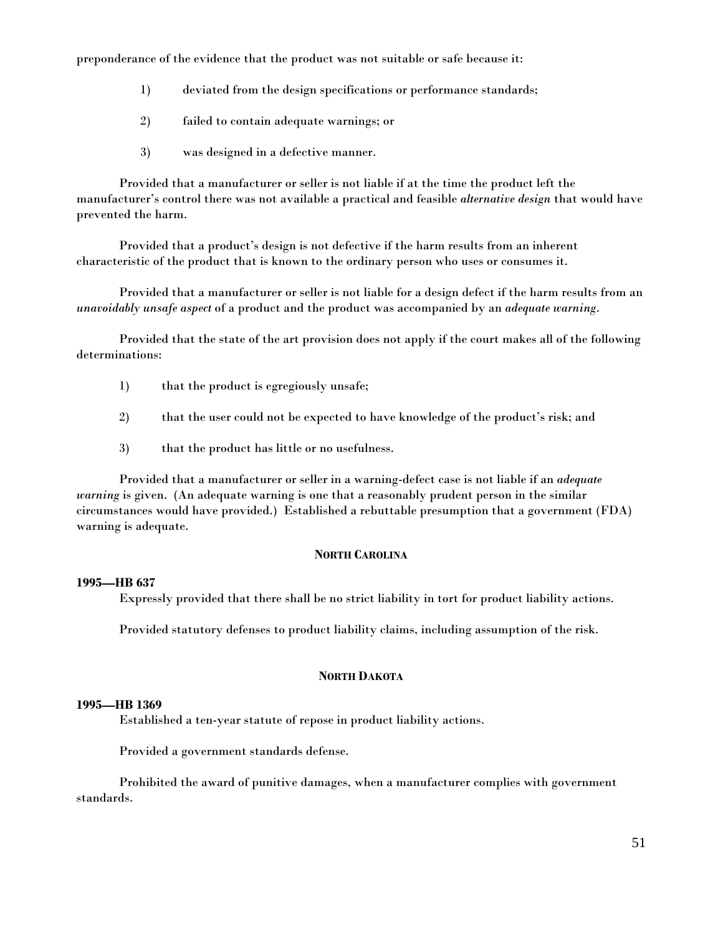preponderance of the evidence that the product was not suitable or safe because it:

- 1) deviated from the design specifications or performance standards;
- 2) failed to contain adequate warnings; or
- 3) was designed in a defective manner.

 Provided that a manufacturer or seller is not liable if at the time the product left the manufacturer's control there was not available a practical and feasible *alternative design* that would have prevented the harm.

 Provided that a product's design is not defective if the harm results from an inherent characteristic of the product that is known to the ordinary person who uses or consumes it.

 Provided that a manufacturer or seller is not liable for a design defect if the harm results from an *unavoidably unsafe aspect* of a product and the product was accompanied by an *adequate warning*.

 Provided that the state of the art provision does not apply if the court makes all of the following determinations:

- 1) that the product is egregiously unsafe;
- 2) that the user could not be expected to have knowledge of the product's risk; and
- 3) that the product has little or no usefulness.

 Provided that a manufacturer or seller in a warning-defect case is not liable if an *adequate warning* is given. (An adequate warning is one that a reasonably prudent person in the similar circumstances would have provided.) Established a rebuttable presumption that a government (FDA) warning is adequate.

# **NORTH CAROLINA**

# **1995—HB 637**

Expressly provided that there shall be no strict liability in tort for product liability actions.

Provided statutory defenses to product liability claims, including assumption of the risk.

# **NORTH DAKOTA**

# **1995—HB 1369**

Established a ten-year statute of repose in product liability actions.

Provided a government standards defense.

 Prohibited the award of punitive damages, when a manufacturer complies with government standards.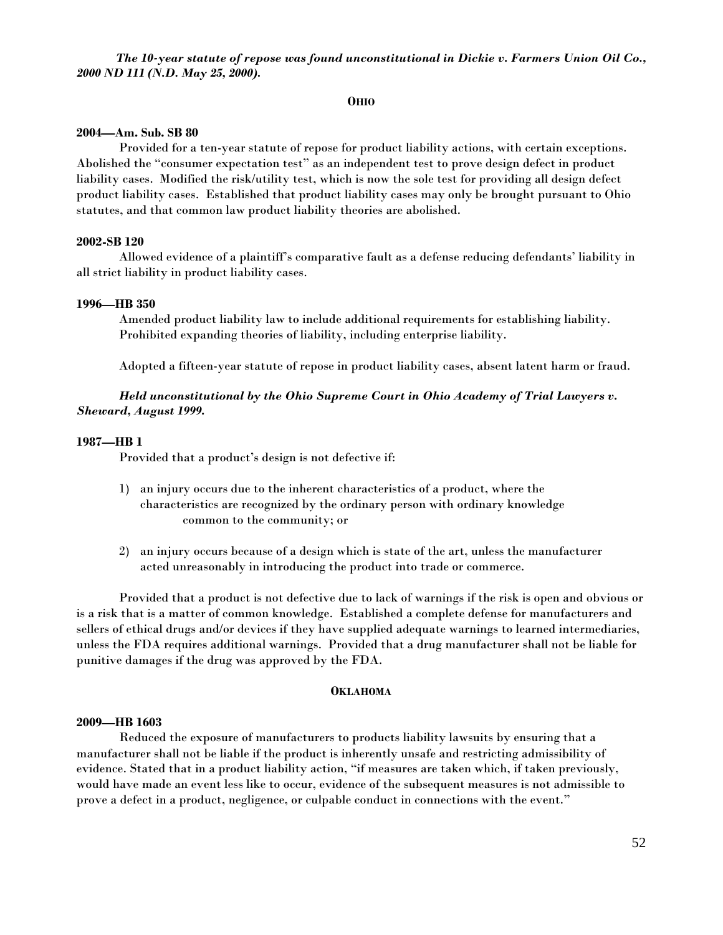*The 10-year statute of repose was found unconstitutional in Dickie v. Farmers Union Oil Co., 2000 ND 111 (N.D. May 25, 2000).* 

#### **OHIO**

#### **2004—Am. Sub. SB 80**

 Provided for a ten-year statute of repose for product liability actions, with certain exceptions. Abolished the "consumer expectation test" as an independent test to prove design defect in product liability cases. Modified the risk/utility test, which is now the sole test for providing all design defect product liability cases. Established that product liability cases may only be brought pursuant to Ohio statutes, and that common law product liability theories are abolished.

#### **2002-SB 120**

Allowed evidence of a plaintiff's comparative fault as a defense reducing defendants' liability in all strict liability in product liability cases.

#### **1996—HB 350**

 Amended product liability law to include additional requirements for establishing liability. Prohibited expanding theories of liability, including enterprise liability.

Adopted a fifteen-year statute of repose in product liability cases, absent latent harm or fraud.

 *Held unconstitutional by the Ohio Supreme Court in Ohio Academy of Trial Lawyers v. Sheward, August 1999.* 

#### **1987—HB 1**

Provided that a product's design is not defective if:

- 1) an injury occurs due to the inherent characteristics of a product, where the characteristics are recognized by the ordinary person with ordinary knowledge common to the community; or
- 2) an injury occurs because of a design which is state of the art, unless the manufacturer acted unreasonably in introducing the product into trade or commerce.

 Provided that a product is not defective due to lack of warnings if the risk is open and obvious or is a risk that is a matter of common knowledge. Established a complete defense for manufacturers and sellers of ethical drugs and/or devices if they have supplied adequate warnings to learned intermediaries, unless the FDA requires additional warnings. Provided that a drug manufacturer shall not be liable for punitive damages if the drug was approved by the FDA.

#### **OKLAHOMA**

#### **2009—HB 1603**

 Reduced the exposure of manufacturers to products liability lawsuits by ensuring that a manufacturer shall not be liable if the product is inherently unsafe and restricting admissibility of evidence. Stated that in a product liability action, "if measures are taken which, if taken previously, would have made an event less like to occur, evidence of the subsequent measures is not admissible to prove a defect in a product, negligence, or culpable conduct in connections with the event."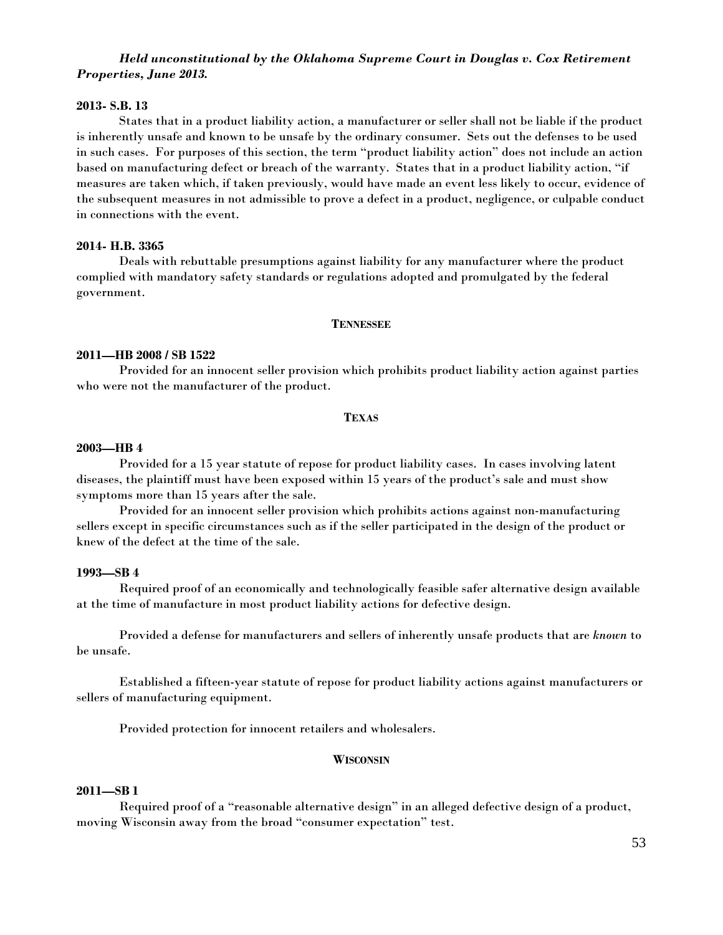# *Held unconstitutional by the Oklahoma Supreme Court in Douglas v. Cox Retirement Properties, June 2013.*

## **2013- S.B. 13**

States that in a product liability action, a manufacturer or seller shall not be liable if the product is inherently unsafe and known to be unsafe by the ordinary consumer. Sets out the defenses to be used in such cases. For purposes of this section, the term "product liability action" does not include an action based on manufacturing defect or breach of the warranty. States that in a product liability action, "if measures are taken which, if taken previously, would have made an event less likely to occur, evidence of the subsequent measures in not admissible to prove a defect in a product, negligence, or culpable conduct in connections with the event.

## **2014- H.B. 3365**

Deals with rebuttable presumptions against liability for any manufacturer where the product complied with mandatory safety standards or regulations adopted and promulgated by the federal government.

## **TENNESSEE**

## **2011—HB 2008 / SB 1522**

Provided for an innocent seller provision which prohibits product liability action against parties who were not the manufacturer of the product.

#### **TEXAS**

## **2003—HB 4**

 Provided for a 15 year statute of repose for product liability cases. In cases involving latent diseases, the plaintiff must have been exposed within 15 years of the product's sale and must show symptoms more than 15 years after the sale.

 Provided for an innocent seller provision which prohibits actions against non-manufacturing sellers except in specific circumstances such as if the seller participated in the design of the product or knew of the defect at the time of the sale.

## **1993—SB 4**

 Required proof of an economically and technologically feasible safer alternative design available at the time of manufacture in most product liability actions for defective design.

 Provided a defense for manufacturers and sellers of inherently unsafe products that are *known* to be unsafe.

 Established a fifteen-year statute of repose for product liability actions against manufacturers or sellers of manufacturing equipment.

Provided protection for innocent retailers and wholesalers.

# **WISCONSIN**

## **2011—SB 1**

Required proof of a "reasonable alternative design" in an alleged defective design of a product, moving Wisconsin away from the broad "consumer expectation" test.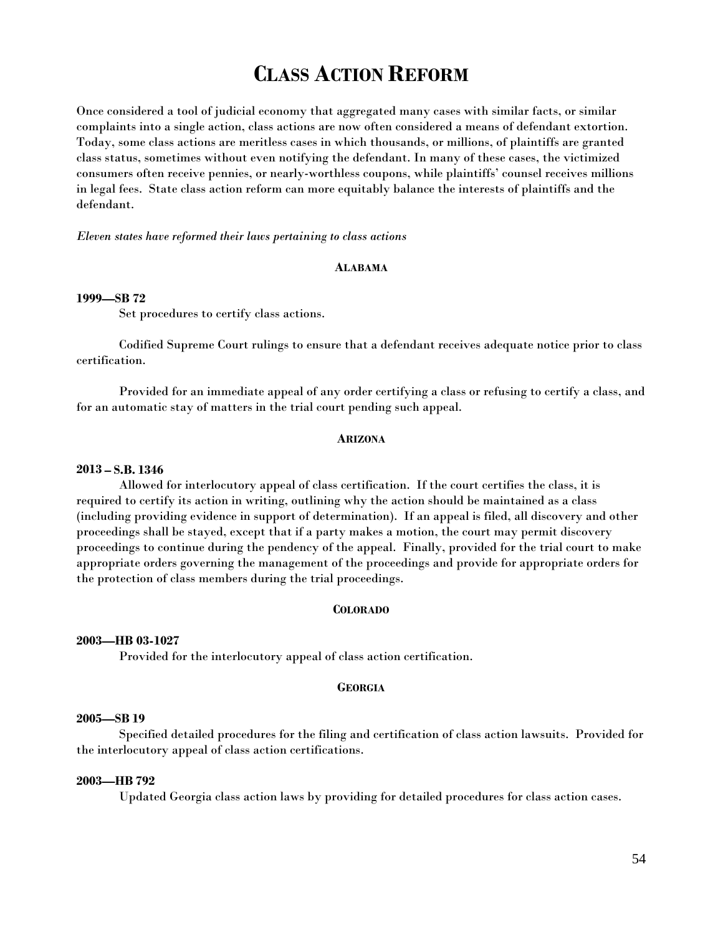# **CLASS ACTION REFORM**

Once considered a tool of judicial economy that aggregated many cases with similar facts, or similar complaints into a single action, class actions are now often considered a means of defendant extortion. Today, some class actions are meritless cases in which thousands, or millions, of plaintiffs are granted class status, sometimes without even notifying the defendant. In many of these cases, the victimized consumers often receive pennies, or nearly-worthless coupons, while plaintiffs' counsel receives millions in legal fees. State class action reform can more equitably balance the interests of plaintiffs and the defendant.

## *Eleven states have reformed their laws pertaining to class actions*

#### **ALABAMA**

## **1999—SB 72**

Set procedures to certify class actions.

 Codified Supreme Court rulings to ensure that a defendant receives adequate notice prior to class certification.

 Provided for an immediate appeal of any order certifying a class or refusing to certify a class, and for an automatic stay of matters in the trial court pending such appeal.

#### **ARIZONA**

#### **2013 – S.B. 1346**

 Allowed for interlocutory appeal of class certification. If the court certifies the class, it is required to certify its action in writing, outlining why the action should be maintained as a class (including providing evidence in support of determination). If an appeal is filed, all discovery and other proceedings shall be stayed, except that if a party makes a motion, the court may permit discovery proceedings to continue during the pendency of the appeal. Finally, provided for the trial court to make appropriate orders governing the management of the proceedings and provide for appropriate orders for the protection of class members during the trial proceedings.

## **COLORADO**

#### **2003—HB 03-1027**

Provided for the interlocutory appeal of class action certification.

#### **GEORGIA**

## **2005—SB 19**

Specified detailed procedures for the filing and certification of class action lawsuits. Provided for the interlocutory appeal of class action certifications.

## **2003—HB 792**

Updated Georgia class action laws by providing for detailed procedures for class action cases.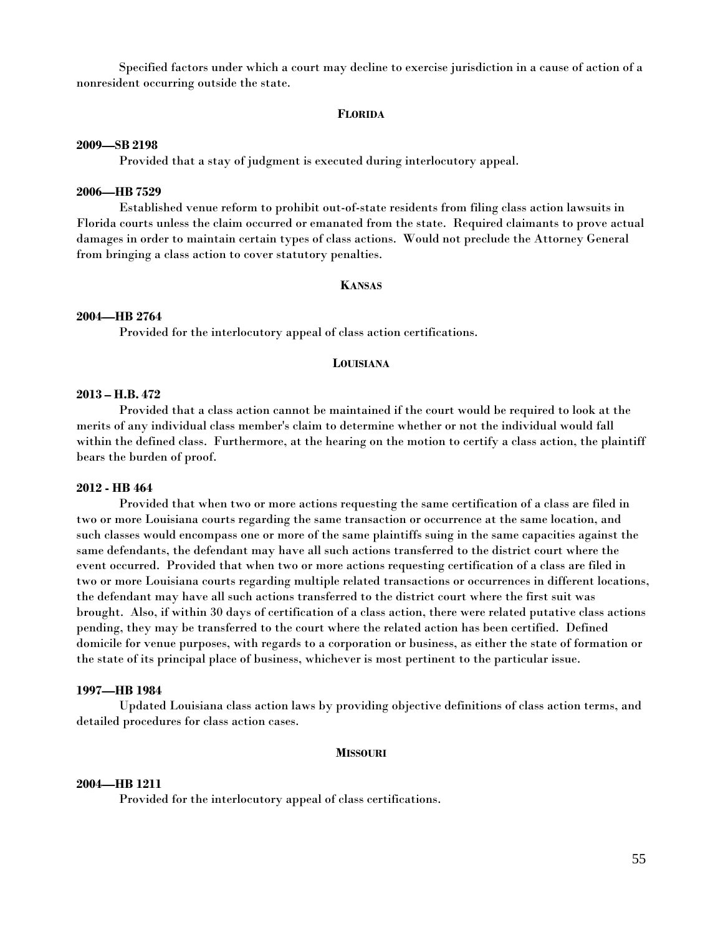Specified factors under which a court may decline to exercise jurisdiction in a cause of action of a nonresident occurring outside the state.

#### **FLORIDA**

#### **2009—SB 2198**

Provided that a stay of judgment is executed during interlocutory appeal.

## **2006—HB 7529**

Established venue reform to prohibit out-of-state residents from filing class action lawsuits in Florida courts unless the claim occurred or emanated from the state. Required claimants to prove actual damages in order to maintain certain types of class actions. Would not preclude the Attorney General from bringing a class action to cover statutory penalties.

## **KANSAS**

#### **2004—HB 2764**

Provided for the interlocutory appeal of class action certifications.

# **LOUISIANA**

#### **2013 – H.B. 472**

 Provided that a class action cannot be maintained if the court would be required to look at the merits of any individual class member's claim to determine whether or not the individual would fall within the defined class. Furthermore, at the hearing on the motion to certify a class action, the plaintiff bears the burden of proof.

# **2012 - HB 464**

Provided that when two or more actions requesting the same certification of a class are filed in two or more Louisiana courts regarding the same transaction or occurrence at the same location, and such classes would encompass one or more of the same plaintiffs suing in the same capacities against the same defendants, the defendant may have all such actions transferred to the district court where the event occurred. Provided that when two or more actions requesting certification of a class are filed in two or more Louisiana courts regarding multiple related transactions or occurrences in different locations, the defendant may have all such actions transferred to the district court where the first suit was brought. Also, if within 30 days of certification of a class action, there were related putative class actions pending, they may be transferred to the court where the related action has been certified. Defined domicile for venue purposes, with regards to a corporation or business, as either the state of formation or the state of its principal place of business, whichever is most pertinent to the particular issue.

## **1997—HB 1984**

 Updated Louisiana class action laws by providing objective definitions of class action terms, and detailed procedures for class action cases.

## **MISSOURI**

#### **2004—HB 1211**

Provided for the interlocutory appeal of class certifications.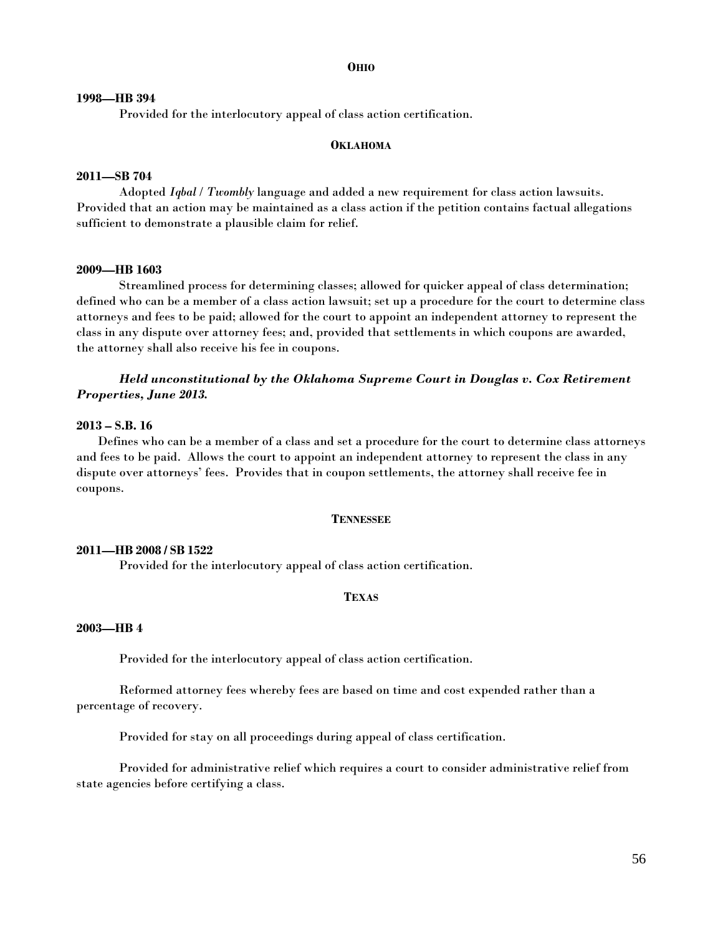#### **OHIO**

#### **1998—HB 394**

Provided for the interlocutory appeal of class action certification.

## **OKLAHOMA**

## **2011—SB 704**

 Adopted *Iqbal* / *Twombly* language and added a new requirement for class action lawsuits. Provided that an action may be maintained as a class action if the petition contains factual allegations sufficient to demonstrate a plausible claim for relief.

#### **2009—HB 1603**

Streamlined process for determining classes; allowed for quicker appeal of class determination; defined who can be a member of a class action lawsuit; set up a procedure for the court to determine class attorneys and fees to be paid; allowed for the court to appoint an independent attorney to represent the class in any dispute over attorney fees; and, provided that settlements in which coupons are awarded, the attorney shall also receive his fee in coupons.

# *Held unconstitutional by the Oklahoma Supreme Court in Douglas v. Cox Retirement Properties, June 2013.*

#### **2013 – S.B. 16**

Defines who can be a member of a class and set a procedure for the court to determine class attorneys and fees to be paid. Allows the court to appoint an independent attorney to represent the class in any dispute over attorneys' fees. Provides that in coupon settlements, the attorney shall receive fee in coupons.

## **TENNESSEE**

#### **2011—HB 2008 / SB 1522**

Provided for the interlocutory appeal of class action certification.

## **TEXAS**

#### **2003—HB 4**

Provided for the interlocutory appeal of class action certification.

 Reformed attorney fees whereby fees are based on time and cost expended rather than a percentage of recovery.

Provided for stay on all proceedings during appeal of class certification.

 Provided for administrative relief which requires a court to consider administrative relief from state agencies before certifying a class.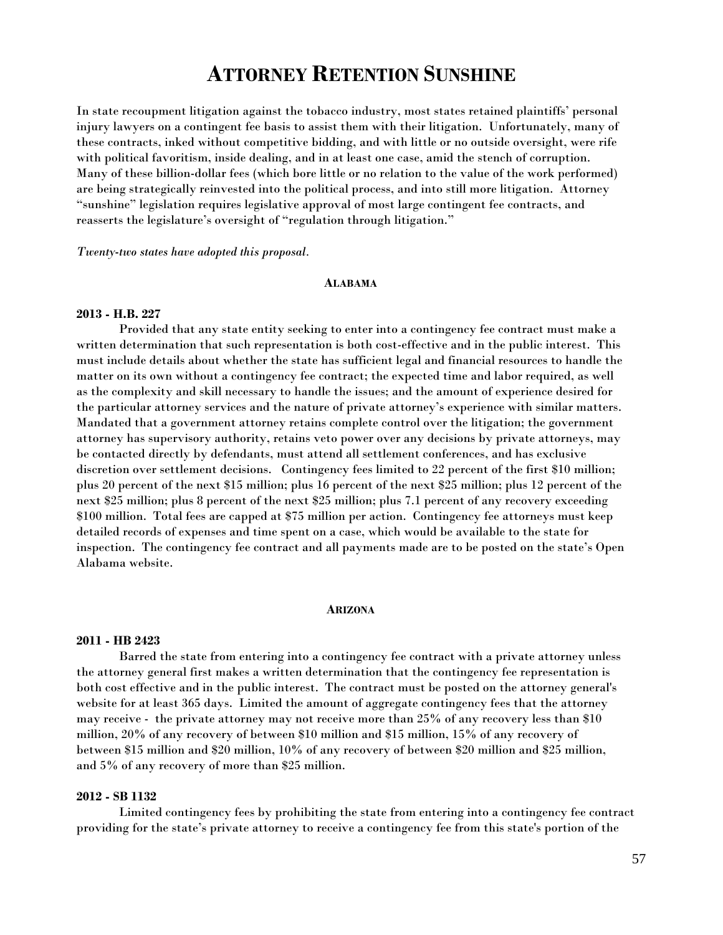# **ATTORNEY RETENTION SUNSHINE**

In state recoupment litigation against the tobacco industry, most states retained plaintiffs' personal injury lawyers on a contingent fee basis to assist them with their litigation. Unfortunately, many of these contracts, inked without competitive bidding, and with little or no outside oversight, were rife with political favoritism, inside dealing, and in at least one case, amid the stench of corruption. Many of these billion-dollar fees (which bore little or no relation to the value of the work performed) are being strategically reinvested into the political process, and into still more litigation. Attorney "sunshine" legislation requires legislative approval of most large contingent fee contracts, and reasserts the legislature's oversight of "regulation through litigation."

*Twenty-two states have adopted this proposal.*

#### **ALABAMA**

#### **2013 - H.B. 227**

 Provided that any state entity seeking to enter into a contingency fee contract must make a written determination that such representation is both cost-effective and in the public interest. This must include details about whether the state has sufficient legal and financial resources to handle the matter on its own without a contingency fee contract; the expected time and labor required, as well as the complexity and skill necessary to handle the issues; and the amount of experience desired for the particular attorney services and the nature of private attorney's experience with similar matters. Mandated that a government attorney retains complete control over the litigation; the government attorney has supervisory authority, retains veto power over any decisions by private attorneys, may be contacted directly by defendants, must attend all settlement conferences, and has exclusive discretion over settlement decisions. Contingency fees limited to 22 percent of the first \$10 million; plus 20 percent of the next \$15 million; plus 16 percent of the next \$25 million; plus 12 percent of the next \$25 million; plus 8 percent of the next \$25 million; plus 7.1 percent of any recovery exceeding \$100 million. Total fees are capped at \$75 million per action. Contingency fee attorneys must keep detailed records of expenses and time spent on a case, which would be available to the state for inspection. The contingency fee contract and all payments made are to be posted on the state's Open Alabama website.

#### **ARIZONA**

#### **2011 - HB 2423**

Barred the state from entering into a contingency fee contract with a private attorney unless the attorney general first makes a written determination that the contingency fee representation is both cost effective and in the public interest. The contract must be posted on the attorney general's website for at least 365 days. Limited the amount of aggregate contingency fees that the attorney may receive - the private attorney may not receive more than 25% of any recovery less than \$10 million, 20% of any recovery of between \$10 million and \$15 million, 15% of any recovery of between \$15 million and \$20 million, 10% of any recovery of between \$20 million and \$25 million, and 5% of any recovery of more than \$25 million.

## **2012 - SB 1132**

Limited contingency fees by prohibiting the state from entering into a contingency fee contract providing for the state's private attorney to receive a contingency fee from this state's portion of the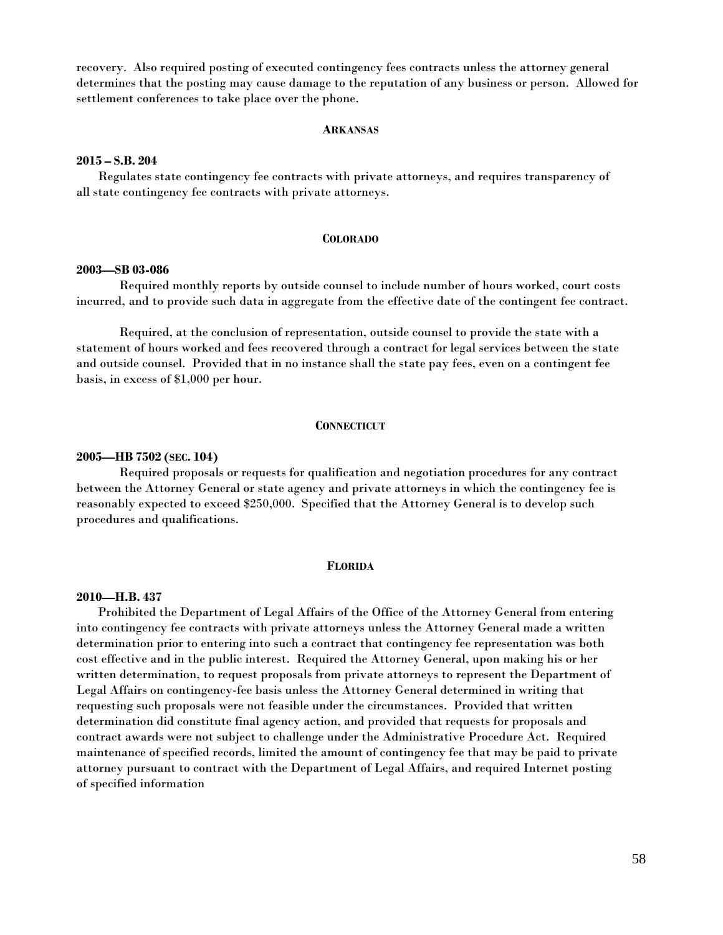recovery. Also required posting of executed contingency fees contracts unless the attorney general determines that the posting may cause damage to the reputation of any business or person. Allowed for settlement conferences to take place over the phone.

#### **ARKANSAS**

## **2015 – S.B. 204**

 Regulates state contingency fee contracts with private attorneys, and requires transparency of all state contingency fee contracts with private attorneys.

#### **COLORADO**

#### **2003—SB 03-086**

Required monthly reports by outside counsel to include number of hours worked, court costs incurred, and to provide such data in aggregate from the effective date of the contingent fee contract.

 Required, at the conclusion of representation, outside counsel to provide the state with a statement of hours worked and fees recovered through a contract for legal services between the state and outside counsel. Provided that in no instance shall the state pay fees, even on a contingent fee basis, in excess of \$1,000 per hour.

#### **CONNECTICUT**

#### **2005—HB 7502 (SEC. 104)**

Required proposals or requests for qualification and negotiation procedures for any contract between the Attorney General or state agency and private attorneys in which the contingency fee is reasonably expected to exceed \$250,000. Specified that the Attorney General is to develop such procedures and qualifications.

#### **FLORIDA**

#### **2010—H.B. 437**

Prohibited the Department of Legal Affairs of the Office of the Attorney General from entering into contingency fee contracts with private attorneys unless the Attorney General made a written determination prior to entering into such a contract that contingency fee representation was both cost effective and in the public interest. Required the Attorney General, upon making his or her written determination, to request proposals from private attorneys to represent the Department of Legal Affairs on contingency-fee basis unless the Attorney General determined in writing that requesting such proposals were not feasible under the circumstances. Provided that written determination did constitute final agency action, and provided that requests for proposals and contract awards were not subject to challenge under the Administrative Procedure Act. Required maintenance of specified records, limited the amount of contingency fee that may be paid to private attorney pursuant to contract with the Department of Legal Affairs, and required Internet posting of specified information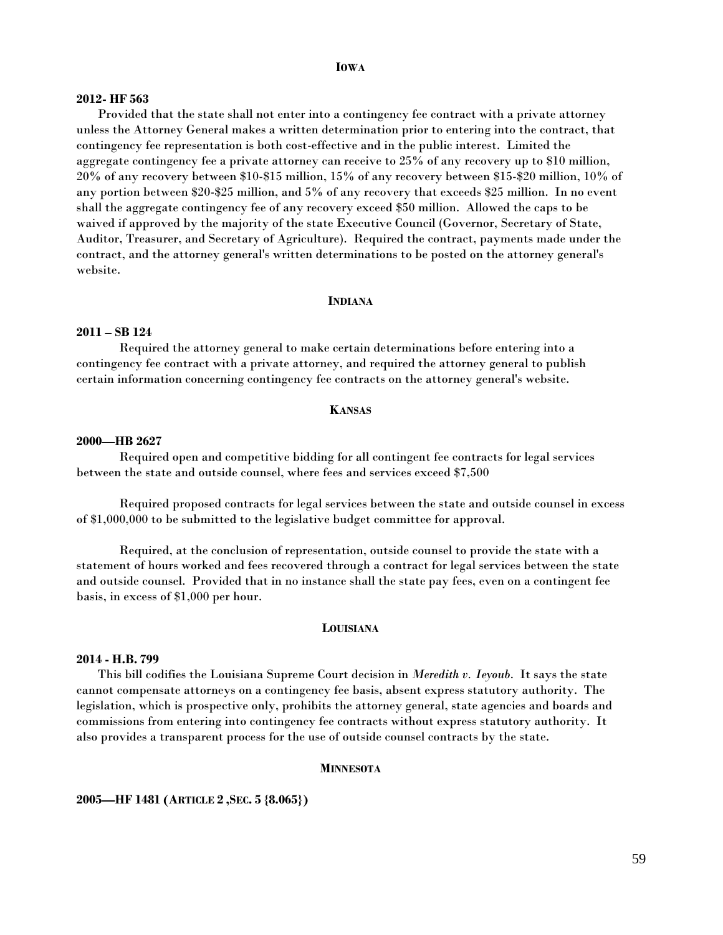#### **IOWA**

## **2012- HF 563**

Provided that the state shall not enter into a contingency fee contract with a private attorney unless the Attorney General makes a written determination prior to entering into the contract, that contingency fee representation is both cost-effective and in the public interest. Limited the aggregate contingency fee a private attorney can receive to 25% of any recovery up to \$10 million, 20% of any recovery between \$10-\$15 million, 15% of any recovery between \$15-\$20 million, 10% of any portion between \$20-\$25 million, and 5% of any recovery that exceeds \$25 million. In no event shall the aggregate contingency fee of any recovery exceed \$50 million. Allowed the caps to be waived if approved by the majority of the state Executive Council (Governor, Secretary of State, Auditor, Treasurer, and Secretary of Agriculture). Required the contract, payments made under the contract, and the attorney general's written determinations to be posted on the attorney general's website.

#### **INDIANA**

# **2011 – SB 124**

 Required the attorney general to make certain determinations before entering into a contingency fee contract with a private attorney, and required the attorney general to publish certain information concerning contingency fee contracts on the attorney general's website.

#### **KANSAS**

#### **2000—HB 2627**

 Required open and competitive bidding for all contingent fee contracts for legal services between the state and outside counsel, where fees and services exceed \$7,500

 Required proposed contracts for legal services between the state and outside counsel in excess of \$1,000,000 to be submitted to the legislative budget committee for approval.

 Required, at the conclusion of representation, outside counsel to provide the state with a statement of hours worked and fees recovered through a contract for legal services between the state and outside counsel. Provided that in no instance shall the state pay fees, even on a contingent fee basis, in excess of \$1,000 per hour.

#### **LOUISIANA**

#### **2014 - H.B. 799**

 This bill codifies the Louisiana Supreme Court decision in *Meredith v. Ieyoub*. It says the state cannot compensate attorneys on a contingency fee basis, absent express statutory authority. The legislation, which is prospective only, prohibits the attorney general, state agencies and boards and commissions from entering into contingency fee contracts without express statutory authority. It also provides a transparent process for the use of outside counsel contracts by the state.

#### **MINNESOTA**

## **2005—HF 1481 (ARTICLE 2 ,SEC. 5 {8.065})**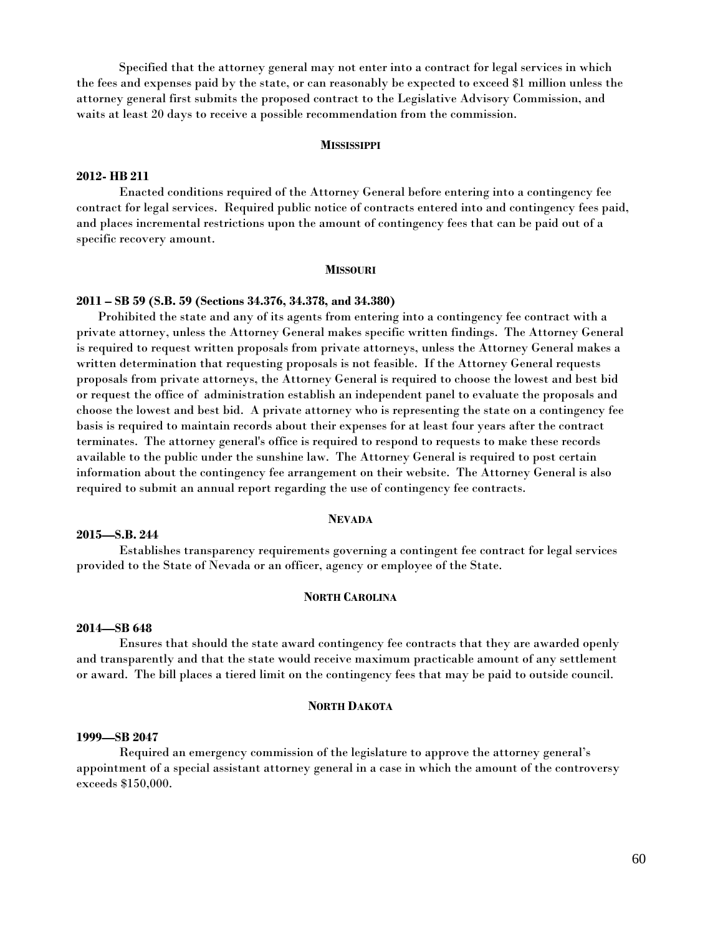Specified that the attorney general may not enter into a contract for legal services in which the fees and expenses paid by the state, or can reasonably be expected to exceed \$1 million unless the attorney general first submits the proposed contract to the Legislative Advisory Commission, and waits at least 20 days to receive a possible recommendation from the commission.

#### **MISSISSIPPI**

# **2012- HB 211**

Enacted conditions required of the Attorney General before entering into a contingency fee contract for legal services. Required public notice of contracts entered into and contingency fees paid, and places incremental restrictions upon the amount of contingency fees that can be paid out of a specific recovery amount.

#### **MISSOURI**

#### **2011 – SB 59 (S.B. 59 (Sections 34.376, 34.378, and 34.380)**

 Prohibited the state and any of its agents from entering into a contingency fee contract with a private attorney, unless the Attorney General makes specific written findings. The Attorney General is required to request written proposals from private attorneys, unless the Attorney General makes a written determination that requesting proposals is not feasible. If the Attorney General requests proposals from private attorneys, the Attorney General is required to choose the lowest and best bid or request the office of administration establish an independent panel to evaluate the proposals and choose the lowest and best bid. A private attorney who is representing the state on a contingency fee basis is required to maintain records about their expenses for at least four years after the contract terminates. The attorney general's office is required to respond to requests to make these records available to the public under the sunshine law. The Attorney General is required to post certain information about the contingency fee arrangement on their website. The Attorney General is also required to submit an annual report regarding the use of contingency fee contracts.

#### **NEVADA**

## **2015—S.B. 244**

Establishes transparency requirements governing a contingent fee contract for legal services provided to the State of Nevada or an officer, agency or employee of the State.

# **NORTH CAROLINA**

#### **2014—SB 648**

 Ensures that should the state award contingency fee contracts that they are awarded openly and transparently and that the state would receive maximum practicable amount of any settlement or award. The bill places a tiered limit on the contingency fees that may be paid to outside council.

#### **NORTH DAKOTA**

#### **1999—SB 2047**

 Required an emergency commission of the legislature to approve the attorney general's appointment of a special assistant attorney general in a case in which the amount of the controversy exceeds \$150,000.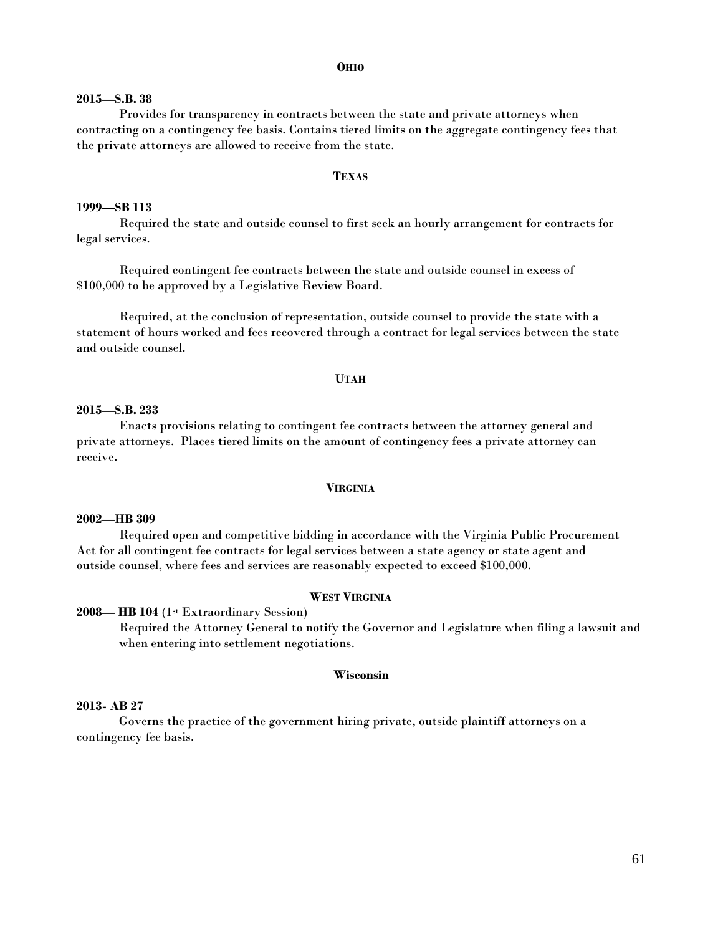#### **OHIO**

## **2015—S.B. 38**

 Provides for transparency in contracts between the state and private attorneys when contracting on a contingency fee basis. Contains tiered limits on the aggregate contingency fees that the private attorneys are allowed to receive from the state.

#### **TEXAS**

## **1999—SB 113**

 Required the state and outside counsel to first seek an hourly arrangement for contracts for legal services.

 Required contingent fee contracts between the state and outside counsel in excess of \$100,000 to be approved by a Legislative Review Board.

 Required, at the conclusion of representation, outside counsel to provide the state with a statement of hours worked and fees recovered through a contract for legal services between the state and outside counsel.

#### **UTAH**

# **2015—S.B. 233**

 Enacts provisions relating to contingent fee contracts between the attorney general and private attorneys. Places tiered limits on the amount of contingency fees a private attorney can receive.

#### **VIRGINIA**

#### **2002—HB 309**

 Required open and competitive bidding in accordance with the Virginia Public Procurement Act for all contingent fee contracts for legal services between a state agency or state agent and outside counsel, where fees and services are reasonably expected to exceed \$100,000.

## **WEST VIRGINIA**

#### **2008— HB 104** (1st Extraordinary Session)

Required the Attorney General to notify the Governor and Legislature when filing a lawsuit and when entering into settlement negotiations.

## **Wisconsin**

## **2013- AB 27**

Governs the practice of the government hiring private, outside plaintiff attorneys on a contingency fee basis.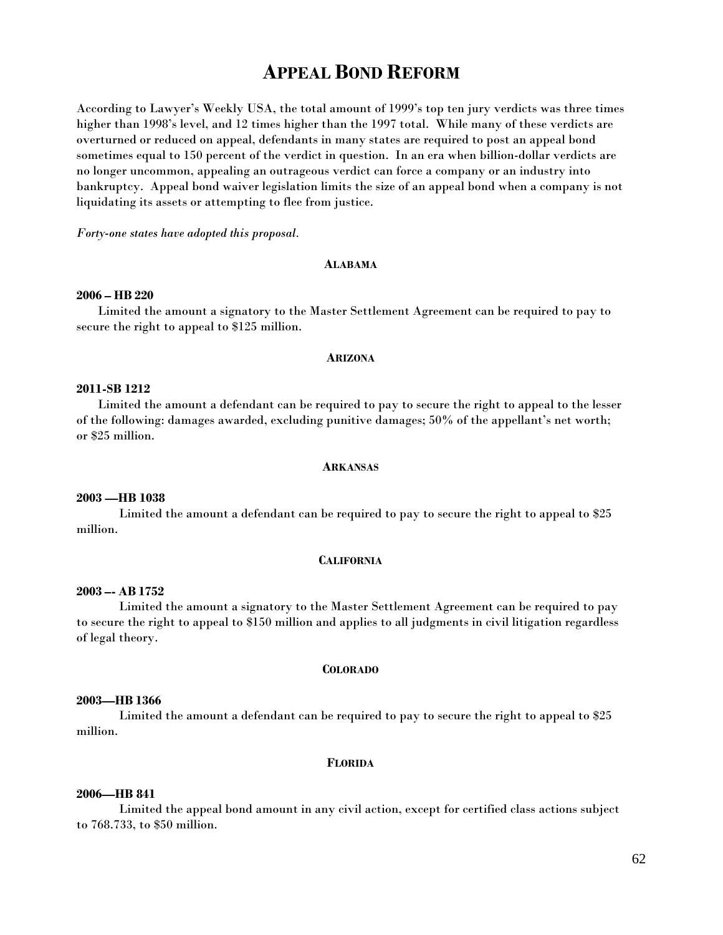# **APPEAL BOND REFORM**

According to Lawyer's Weekly USA, the total amount of 1999's top ten jury verdicts was three times higher than 1998's level, and 12 times higher than the 1997 total. While many of these verdicts are overturned or reduced on appeal, defendants in many states are required to post an appeal bond sometimes equal to 150 percent of the verdict in question. In an era when billion-dollar verdicts are no longer uncommon, appealing an outrageous verdict can force a company or an industry into bankruptcy. Appeal bond waiver legislation limits the size of an appeal bond when a company is not liquidating its assets or attempting to flee from justice.

*Forty-one states have adopted this proposal.*

### **ALABAMA**

#### **2006 – HB 220**

Limited the amount a signatory to the Master Settlement Agreement can be required to pay to secure the right to appeal to \$125 million.

#### **ARIZONA**

# **2011-SB 1212**

Limited the amount a defendant can be required to pay to secure the right to appeal to the lesser of the following: damages awarded, excluding punitive damages; 50% of the appellant's net worth; or \$25 million.

#### **ARKANSAS**

#### **2003 —HB 1038**

 Limited the amount a defendant can be required to pay to secure the right to appeal to \$25 million.

## **CALIFORNIA**

## **2003 –- AB 1752**

Limited the amount a signatory to the Master Settlement Agreement can be required to pay to secure the right to appeal to \$150 million and applies to all judgments in civil litigation regardless of legal theory.

#### **COLORADO**

# **2003—HB 1366**

 Limited the amount a defendant can be required to pay to secure the right to appeal to \$25 million.

#### **FLORIDA**

## **2006—HB 841**

Limited the appeal bond amount in any civil action, except for certified class actions subject to 768.733, to \$50 million.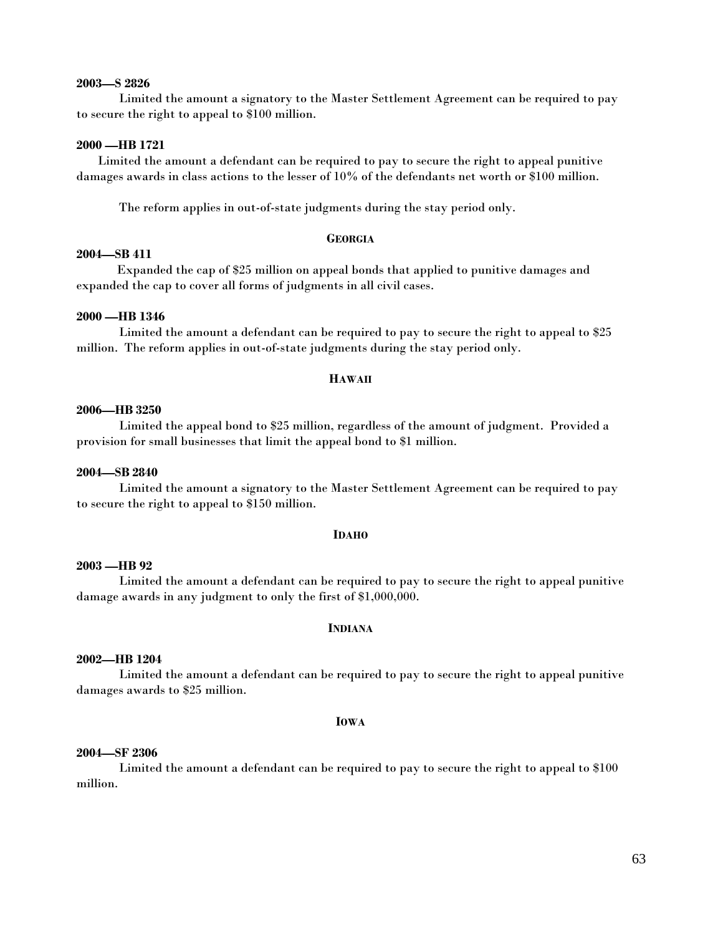#### **2003—S 2826**

Limited the amount a signatory to the Master Settlement Agreement can be required to pay to secure the right to appeal to \$100 million.

# **2000 —HB 1721**

 Limited the amount a defendant can be required to pay to secure the right to appeal punitive damages awards in class actions to the lesser of 10% of the defendants net worth or \$100 million.

The reform applies in out-of-state judgments during the stay period only.

#### **GEORGIA**

# **2004—SB 411**

 Expanded the cap of \$25 million on appeal bonds that applied to punitive damages and expanded the cap to cover all forms of judgments in all civil cases.

#### **2000 —HB 1346**

 Limited the amount a defendant can be required to pay to secure the right to appeal to \$25 million. The reform applies in out-of-state judgments during the stay period only.

## **HAWAII**

## **2006—HB 3250**

 Limited the appeal bond to \$25 million, regardless of the amount of judgment. Provided a provision for small businesses that limit the appeal bond to \$1 million.

## **2004—SB 2840**

 Limited the amount a signatory to the Master Settlement Agreement can be required to pay to secure the right to appeal to \$150 million.

#### **IDAHO**

## **2003 —HB 92**

 Limited the amount a defendant can be required to pay to secure the right to appeal punitive damage awards in any judgment to only the first of \$1,000,000.

## **INDIANA**

## **2002—HB 1204**

 Limited the amount a defendant can be required to pay to secure the right to appeal punitive damages awards to \$25 million.

#### **IOWA**

# **2004—SF 2306**

 Limited the amount a defendant can be required to pay to secure the right to appeal to \$100 million.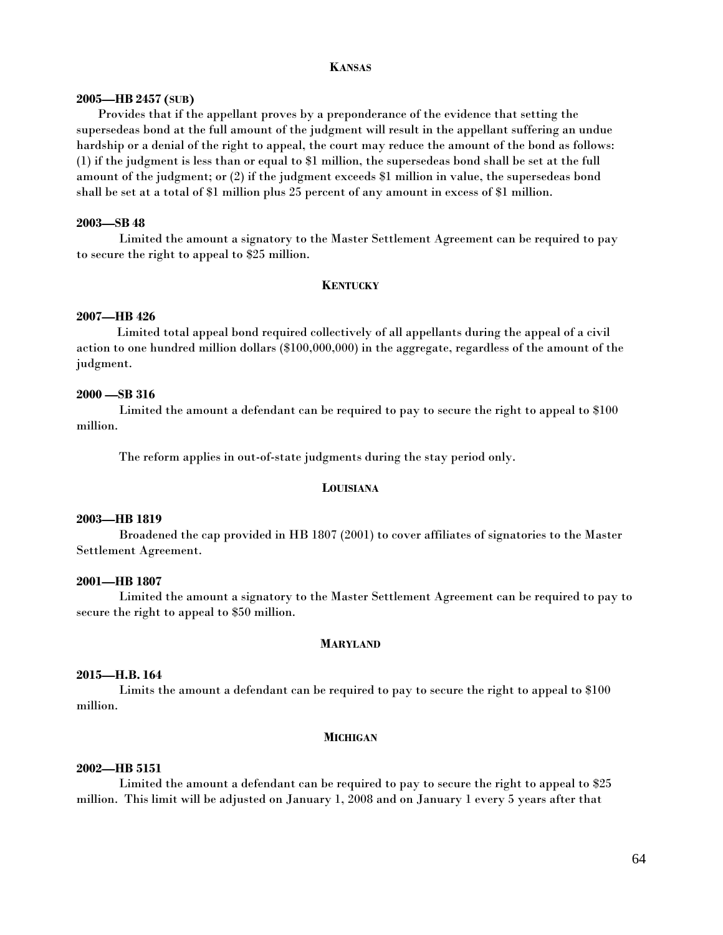#### **KANSAS**

#### **2005—HB 2457 (SUB)**

 Provides that if the appellant proves by a preponderance of the evidence that setting the supersedeas bond at the full amount of the judgment will result in the appellant suffering an undue hardship or a denial of the right to appeal, the court may reduce the amount of the bond as follows: (1) if the judgment is less than or equal to \$1 million, the supersedeas bond shall be set at the full amount of the judgment; or (2) if the judgment exceeds \$1 million in value, the supersedeas bond shall be set at a total of \$1 million plus 25 percent of any amount in excess of \$1 million.

#### **2003—SB 48**

Limited the amount a signatory to the Master Settlement Agreement can be required to pay to secure the right to appeal to \$25 million.

## **KENTUCKY**

### **2007—HB 426**

 Limited total appeal bond required collectively of all appellants during the appeal of a civil action to one hundred million dollars (\$100,000,000) in the aggregate, regardless of the amount of the judgment.

## **2000 —SB 316**

 Limited the amount a defendant can be required to pay to secure the right to appeal to \$100 million.

The reform applies in out-of-state judgments during the stay period only.

#### **LOUISIANA**

#### **2003—HB 1819**

Broadened the cap provided in HB 1807 (2001) to cover affiliates of signatories to the Master Settlement Agreement.

## **2001—HB 1807**

 Limited the amount a signatory to the Master Settlement Agreement can be required to pay to secure the right to appeal to \$50 million.

#### **MARYLAND**

# **2015—H.B. 164**

Limits the amount a defendant can be required to pay to secure the right to appeal to \$100 million.

#### **MICHIGAN**

#### **2002—HB 5151**

 Limited the amount a defendant can be required to pay to secure the right to appeal to \$25 million. This limit will be adjusted on January 1, 2008 and on January 1 every 5 years after that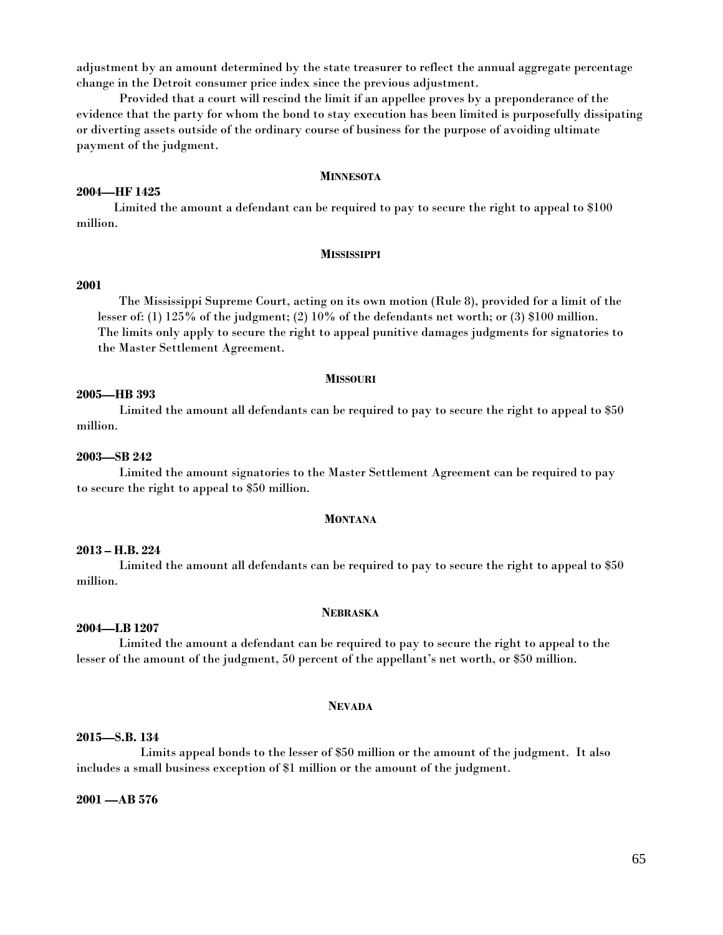adjustment by an amount determined by the state treasurer to reflect the annual aggregate percentage change in the Detroit consumer price index since the previous adjustment.

 Provided that a court will rescind the limit if an appellee proves by a preponderance of the evidence that the party for whom the bond to stay execution has been limited is purposefully dissipating or diverting assets outside of the ordinary course of business for the purpose of avoiding ultimate payment of the judgment.

#### **MINNESOTA**

## **2004—HF 1425**

Limited the amount a defendant can be required to pay to secure the right to appeal to \$100 million.

#### **MISSISSIPPI**

## **2001**

 The Mississippi Supreme Court, acting on its own motion (Rule 8), provided for a limit of the lesser of: (1) 125% of the judgment; (2) 10% of the defendants net worth; or (3) \$100 million. The limits only apply to secure the right to appeal punitive damages judgments for signatories to the Master Settlement Agreement.

#### **MISSOURI**

## **2005—HB 393**

 Limited the amount all defendants can be required to pay to secure the right to appeal to \$50 million.

## **2003—SB 242**

 Limited the amount signatories to the Master Settlement Agreement can be required to pay to secure the right to appeal to \$50 million.

## **MONTANA**

# **2013 – H.B. 224**

 Limited the amount all defendants can be required to pay to secure the right to appeal to \$50 million.

## **NEBRASKA**

# **2004—LB 1207**

Limited the amount a defendant can be required to pay to secure the right to appeal to the lesser of the amount of the judgment, 50 percent of the appellant's net worth, or \$50 million.

## **NEVADA**

## **2015—S.B. 134**

Limits appeal bonds to the lesser of \$50 million or the amount of the judgment. It also includes a small business exception of \$1 million or the amount of the judgment.

## **2001 —AB 576**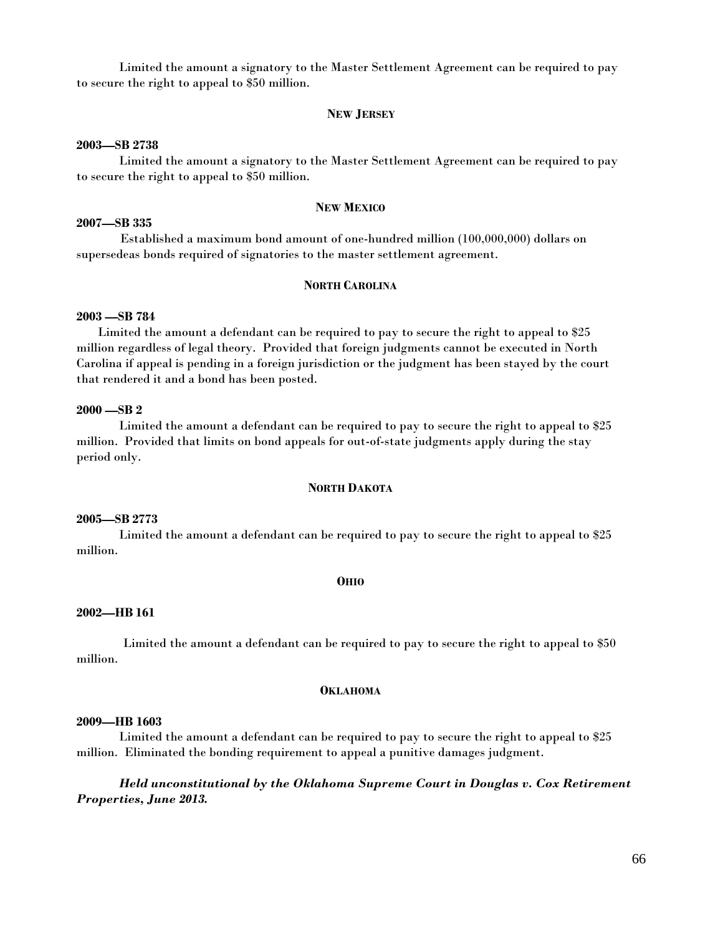Limited the amount a signatory to the Master Settlement Agreement can be required to pay to secure the right to appeal to \$50 million.

## **NEW JERSEY**

## **2003—SB 2738**

Limited the amount a signatory to the Master Settlement Agreement can be required to pay to secure the right to appeal to \$50 million.

## **NEW MEXICO**

#### **2007—SB 335**

 Established a maximum bond amount of one-hundred million (100,000,000) dollars on supersedeas bonds required of signatories to the master settlement agreement.

## **NORTH CAROLINA**

## **2003 —SB 784**

 Limited the amount a defendant can be required to pay to secure the right to appeal to \$25 million regardless of legal theory. Provided that foreign judgments cannot be executed in North Carolina if appeal is pending in a foreign jurisdiction or the judgment has been stayed by the court that rendered it and a bond has been posted.

# **2000 —SB 2**

 Limited the amount a defendant can be required to pay to secure the right to appeal to \$25 million. Provided that limits on bond appeals for out-of-state judgments apply during the stay period only.

## **NORTH DAKOTA**

# **2005—SB 2773**

Limited the amount a defendant can be required to pay to secure the right to appeal to \$25 million.

## **OHIO**

#### **2002—HB 161**

 Limited the amount a defendant can be required to pay to secure the right to appeal to \$50 million.

## **OKLAHOMA**

#### **2009—HB 1603**

Limited the amount a defendant can be required to pay to secure the right to appeal to \$25 million. Eliminated the bonding requirement to appeal a punitive damages judgment.

*Held unconstitutional by the Oklahoma Supreme Court in Douglas v. Cox Retirement Properties, June 2013.*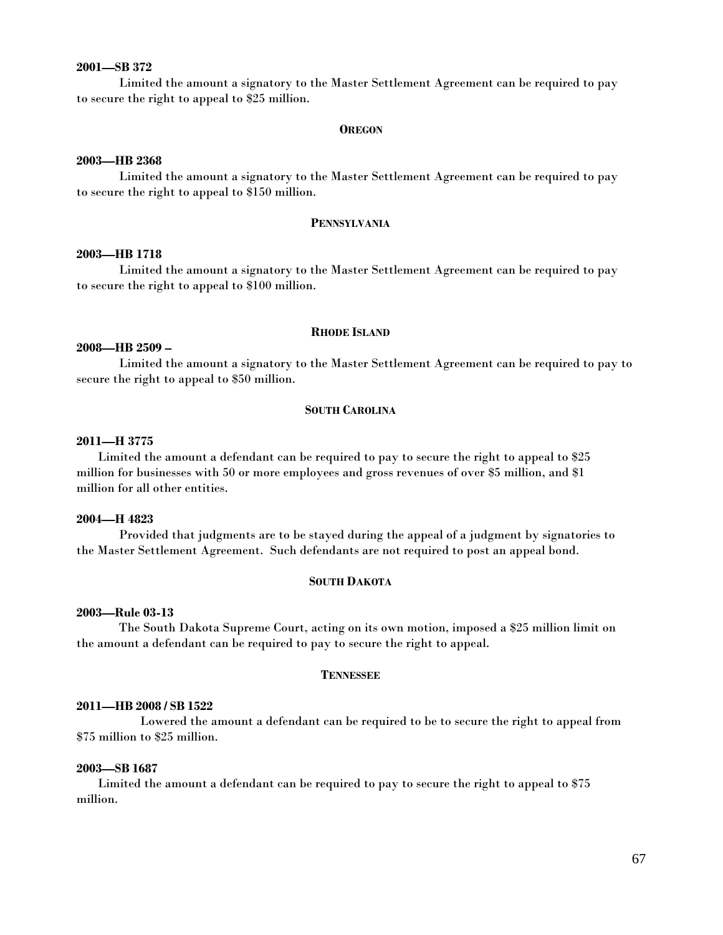# **2001—SB 372**

 Limited the amount a signatory to the Master Settlement Agreement can be required to pay to secure the right to appeal to \$25 million.

#### **OREGON**

#### **2003—HB 2368**

 Limited the amount a signatory to the Master Settlement Agreement can be required to pay to secure the right to appeal to \$150 million.

#### **PENNSYLVANIA**

## **2003—HB 1718**

Limited the amount a signatory to the Master Settlement Agreement can be required to pay to secure the right to appeal to \$100 million.

## **RHODE ISLAND**

#### **2008—HB 2509 –**

Limited the amount a signatory to the Master Settlement Agreement can be required to pay to secure the right to appeal to \$50 million.

# **SOUTH CAROLINA**

# **2011—H 3775**

Limited the amount a defendant can be required to pay to secure the right to appeal to \$25 million for businesses with 50 or more employees and gross revenues of over \$5 million, and \$1 million for all other entities.

## **2004—H 4823**

 Provided that judgments are to be stayed during the appeal of a judgment by signatories to the Master Settlement Agreement. Such defendants are not required to post an appeal bond.

# **SOUTH DAKOTA**

#### **2003—Rule 03-13**

 The South Dakota Supreme Court, acting on its own motion, imposed a \$25 million limit on the amount a defendant can be required to pay to secure the right to appeal.

## **TENNESSEE**

#### **2011—HB 2008 / SB 1522**

 Lowered the amount a defendant can be required to be to secure the right to appeal from \$75 million to \$25 million.

## **2003—SB 1687**

 Limited the amount a defendant can be required to pay to secure the right to appeal to \$75 million.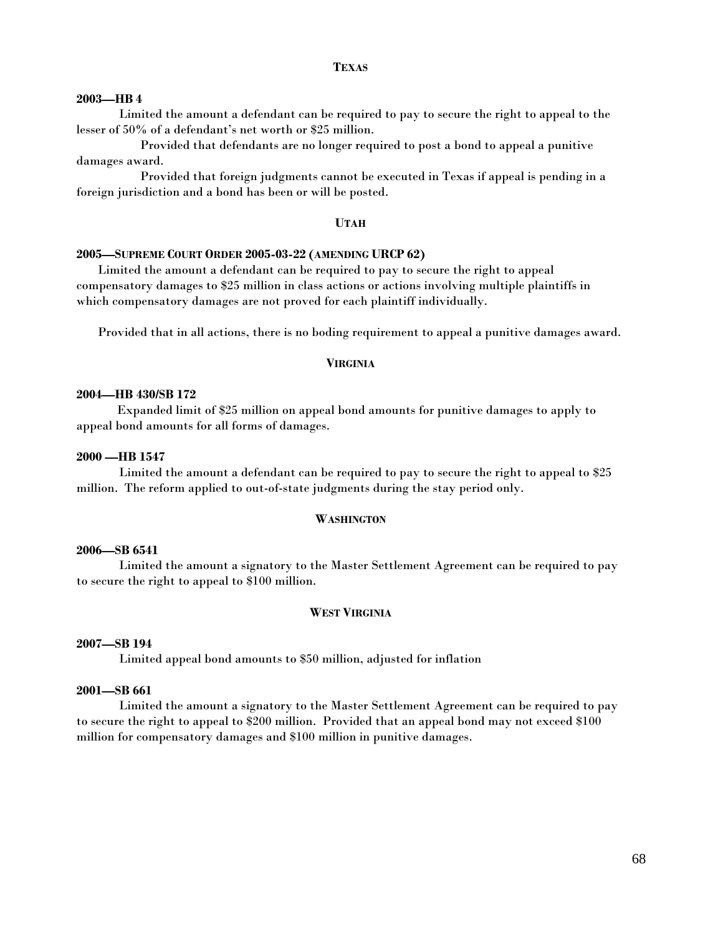## **TEXAS**

#### **2003—HB 4**

Limited the amount a defendant can be required to pay to secure the right to appeal to the lesser of 50% of a defendant's net worth or \$25 million.

 Provided that defendants are no longer required to post a bond to appeal a punitive damages award.

Provided that foreign judgments cannot be executed in Texas if appeal is pending in a foreign jurisdiction and a bond has been or will be posted.

#### **UTAH**

#### **2005—SUPREME COURT ORDER 2005-03-22 (AMENDING URCP 62)**

Limited the amount a defendant can be required to pay to secure the right to appeal compensatory damages to \$25 million in class actions or actions involving multiple plaintiffs in which compensatory damages are not proved for each plaintiff individually.

Provided that in all actions, there is no boding requirement to appeal a punitive damages award.

## **VIRGINIA**

#### **2004—HB 430/SB 172**

Expanded limit of \$25 million on appeal bond amounts for punitive damages to apply to appeal bond amounts for all forms of damages.

# **2000 —HB 1547**

 Limited the amount a defendant can be required to pay to secure the right to appeal to \$25 million. The reform applied to out-of-state judgments during the stay period only.

## **WASHINGTON**

#### **2006—SB 6541**

Limited the amount a signatory to the Master Settlement Agreement can be required to pay to secure the right to appeal to \$100 million.

# **WEST VIRGINIA**

#### **2007—SB 194**

Limited appeal bond amounts to \$50 million, adjusted for inflation

## **2001—SB 661**

 Limited the amount a signatory to the Master Settlement Agreement can be required to pay to secure the right to appeal to \$200 million. Provided that an appeal bond may not exceed \$100 million for compensatory damages and \$100 million in punitive damages.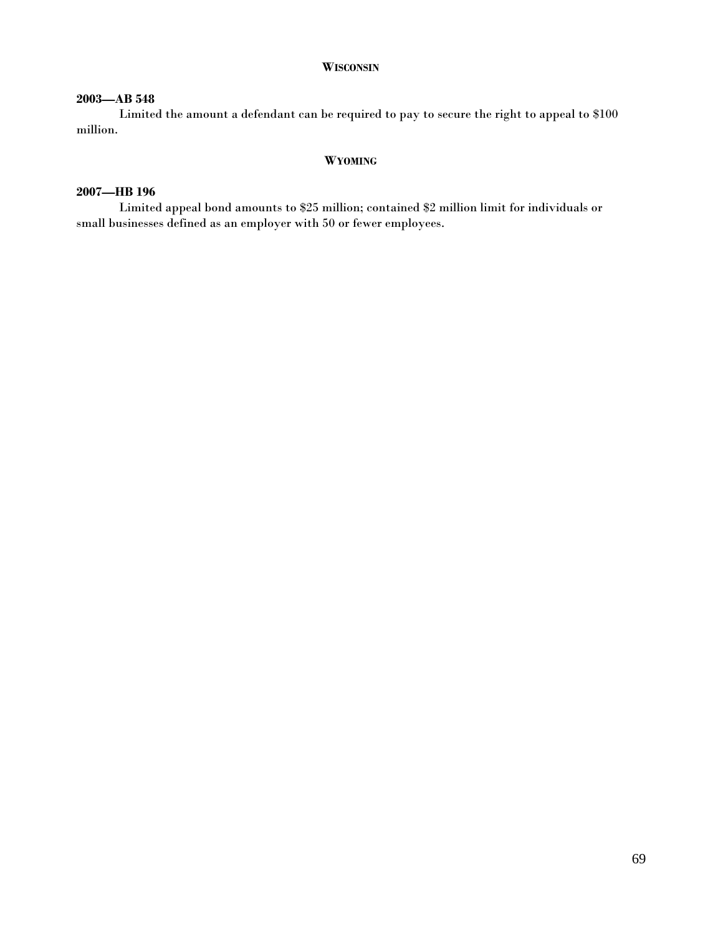## **WISCONSIN**

# **2003—AB 548**

Limited the amount a defendant can be required to pay to secure the right to appeal to \$100 million.

## **WYOMING**

# **2007—HB 196**

Limited appeal bond amounts to \$25 million; contained \$2 million limit for individuals or small businesses defined as an employer with 50 or fewer employees.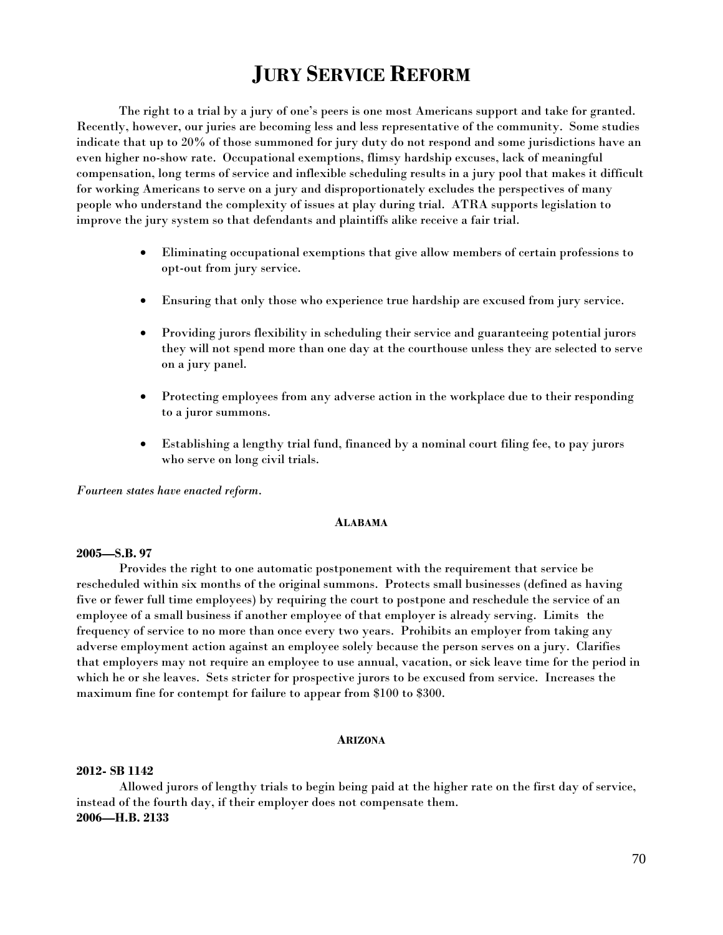# **JURY SERVICE REFORM**

 The right to a trial by a jury of one's peers is one most Americans support and take for granted. Recently, however, our juries are becoming less and less representative of the community. Some studies indicate that up to 20% of those summoned for jury duty do not respond and some jurisdictions have an even higher no-show rate. Occupational exemptions, flimsy hardship excuses, lack of meaningful compensation, long terms of service and inflexible scheduling results in a jury pool that makes it difficult for working Americans to serve on a jury and disproportionately excludes the perspectives of many people who understand the complexity of issues at play during trial. ATRA supports legislation to improve the jury system so that defendants and plaintiffs alike receive a fair trial.

- Eliminating occupational exemptions that give allow members of certain professions to opt-out from jury service.
- Ensuring that only those who experience true hardship are excused from jury service.
- Providing jurors flexibility in scheduling their service and guaranteeing potential jurors they will not spend more than one day at the courthouse unless they are selected to serve on a jury panel.
- Protecting employees from any adverse action in the workplace due to their responding to a juror summons.
- Establishing a lengthy trial fund, financed by a nominal court filing fee, to pay jurors who serve on long civil trials.

*Fourteen states have enacted reform*.

#### **ALABAMA**

# **2005—S.B. 97**

 Provides the right to one automatic postponement with the requirement that service be rescheduled within six months of the original summons. Protects small businesses (defined as having five or fewer full time employees) by requiring the court to postpone and reschedule the service of an employee of a small business if another employee of that employer is already serving. Limits the frequency of service to no more than once every two years. Prohibits an employer from taking any adverse employment action against an employee solely because the person serves on a jury. Clarifies that employers may not require an employee to use annual, vacation, or sick leave time for the period in which he or she leaves. Sets stricter for prospective jurors to be excused from service. Increases the maximum fine for contempt for failure to appear from \$100 to \$300.

## **ARIZONA**

#### **2012- SB 1142**

Allowed jurors of lengthy trials to begin being paid at the higher rate on the first day of service, instead of the fourth day, if their employer does not compensate them. **2006—H.B. 2133**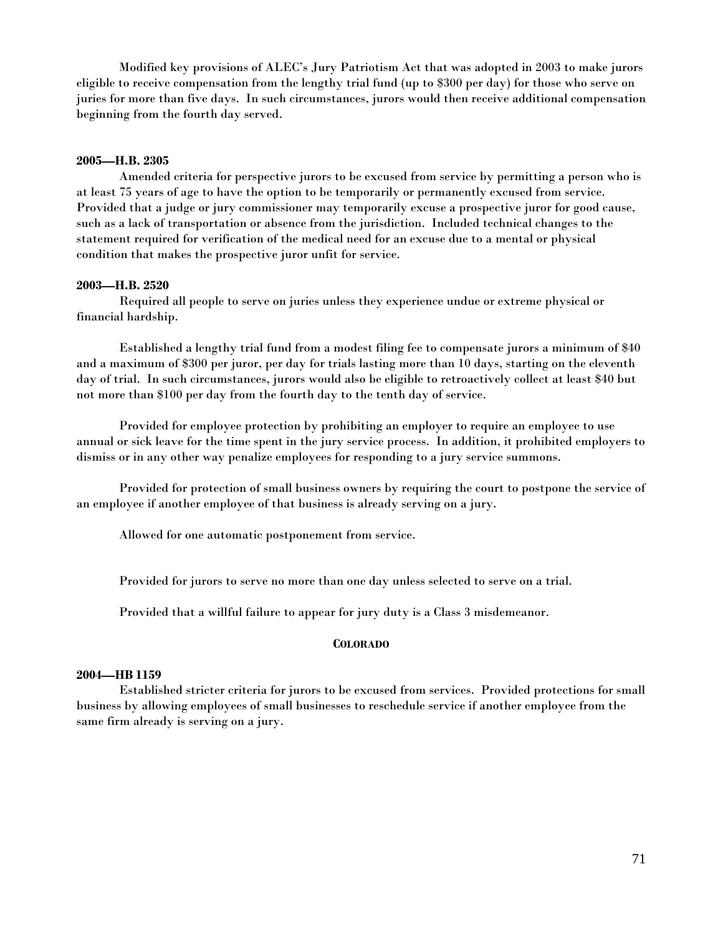Modified key provisions of ALEC's Jury Patriotism Act that was adopted in 2003 to make jurors eligible to receive compensation from the lengthy trial fund (up to \$300 per day) for those who serve on juries for more than five days. In such circumstances, jurors would then receive additional compensation beginning from the fourth day served.

## **2005—H.B. 2305**

Amended criteria for perspective jurors to be excused from service by permitting a person who is at least 75 years of age to have the option to be temporarily or permanently excused from service. Provided that a judge or jury commissioner may temporarily excuse a prospective juror for good cause, such as a lack of transportation or absence from the jurisdiction. Included technical changes to the statement required for verification of the medical need for an excuse due to a mental or physical condition that makes the prospective juror unfit for service.

## **2003—H.B. 2520**

Required all people to serve on juries unless they experience undue or extreme physical or financial hardship.

 Established a lengthy trial fund from a modest filing fee to compensate jurors a minimum of \$40 and a maximum of \$300 per juror, per day for trials lasting more than 10 days, starting on the eleventh day of trial. In such circumstances, jurors would also be eligible to retroactively collect at least \$40 but not more than \$100 per day from the fourth day to the tenth day of service.

 Provided for employee protection by prohibiting an employer to require an employee to use annual or sick leave for the time spent in the jury service process. In addition, it prohibited employers to dismiss or in any other way penalize employees for responding to a jury service summons.

 Provided for protection of small business owners by requiring the court to postpone the service of an employee if another employee of that business is already serving on a jury.

Allowed for one automatic postponement from service.

Provided for jurors to serve no more than one day unless selected to serve on a trial.

Provided that a willful failure to appear for jury duty is a Class 3 misdemeanor.

## **COLORADO**

# **2004—HB 1159**

Established stricter criteria for jurors to be excused from services. Provided protections for small business by allowing employees of small businesses to reschedule service if another employee from the same firm already is serving on a jury.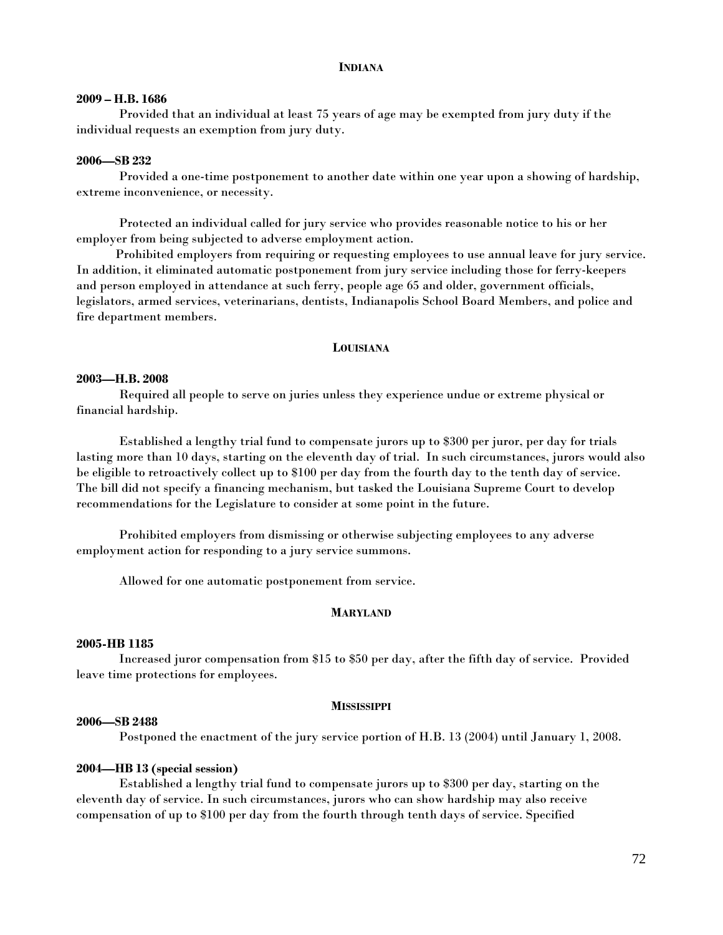#### **INDIANA**

## **2009 – H.B. 1686**

Provided that an individual at least 75 years of age may be exempted from jury duty if the individual requests an exemption from jury duty.

#### **2006—SB 232**

 Provided a one-time postponement to another date within one year upon a showing of hardship, extreme inconvenience, or necessity.

 Protected an individual called for jury service who provides reasonable notice to his or her employer from being subjected to adverse employment action.

 Prohibited employers from requiring or requesting employees to use annual leave for jury service. In addition, it eliminated automatic postponement from jury service including those for ferry-keepers and person employed in attendance at such ferry, people age 65 and older, government officials, legislators, armed services, veterinarians, dentists, Indianapolis School Board Members, and police and fire department members.

#### **LOUISIANA**

#### **2003—H.B. 2008**

 Required all people to serve on juries unless they experience undue or extreme physical or financial hardship.

 Established a lengthy trial fund to compensate jurors up to \$300 per juror, per day for trials lasting more than 10 days, starting on the eleventh day of trial. In such circumstances, jurors would also be eligible to retroactively collect up to \$100 per day from the fourth day to the tenth day of service. The bill did not specify a financing mechanism, but tasked the Louisiana Supreme Court to develop recommendations for the Legislature to consider at some point in the future.

 Prohibited employers from dismissing or otherwise subjecting employees to any adverse employment action for responding to a jury service summons.

Allowed for one automatic postponement from service.

#### **MARYLAND**

#### **2005-HB 1185**

Increased juror compensation from \$15 to \$50 per day, after the fifth day of service. Provided leave time protections for employees.

#### **MISSISSIPPI**

## **2006—SB 2488**

Postponed the enactment of the jury service portion of H.B. 13 (2004) until January 1, 2008.

## **2004—HB 13 (special session)**

 Established a lengthy trial fund to compensate jurors up to \$300 per day, starting on the eleventh day of service. In such circumstances, jurors who can show hardship may also receive compensation of up to \$100 per day from the fourth through tenth days of service. Specified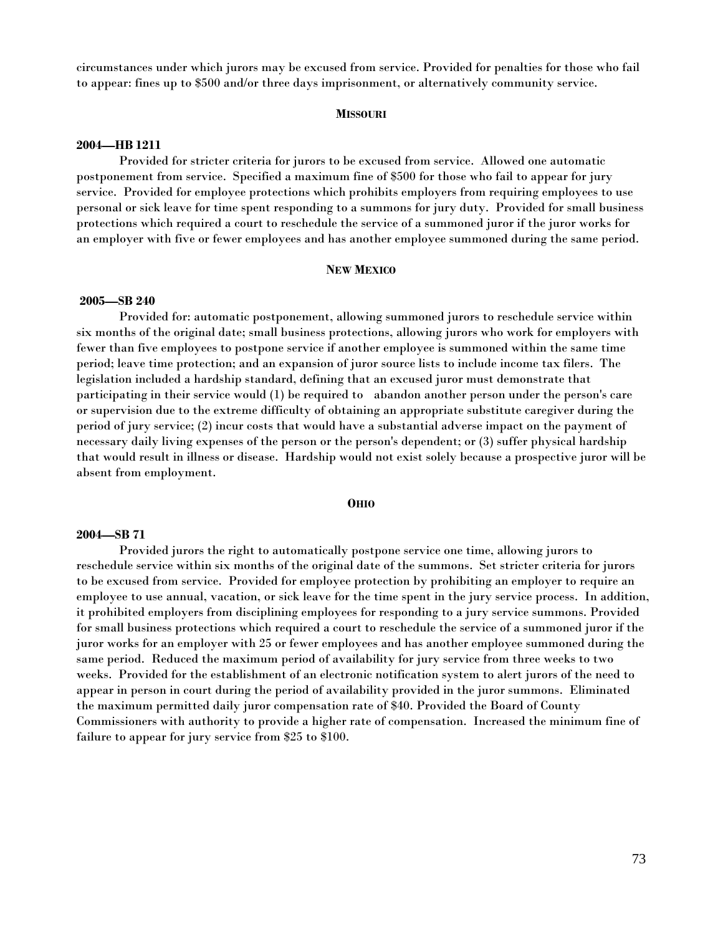circumstances under which jurors may be excused from service. Provided for penalties for those who fail to appear: fines up to \$500 and/or three days imprisonment, or alternatively community service.

### **MISSOURI**

### **2004—HB 1211**

Provided for stricter criteria for jurors to be excused from service. Allowed one automatic postponement from service. Specified a maximum fine of \$500 for those who fail to appear for jury service. Provided for employee protections which prohibits employers from requiring employees to use personal or sick leave for time spent responding to a summons for jury duty. Provided for small business protections which required a court to reschedule the service of a summoned juror if the juror works for an employer with five or fewer employees and has another employee summoned during the same period.

#### **NEW MEXICO**

# **2005—SB 240**

Provided for: automatic postponement, allowing summoned jurors to reschedule service within six months of the original date; small business protections, allowing jurors who work for employers with fewer than five employees to postpone service if another employee is summoned within the same time period; leave time protection; and an expansion of juror source lists to include income tax filers. The legislation included a hardship standard, defining that an excused juror must demonstrate that participating in their service would (1) be required to abandon another person under the person's care or supervision due to the extreme difficulty of obtaining an appropriate substitute caregiver during the period of jury service; (2) incur costs that would have a substantial adverse impact on the payment of necessary daily living expenses of the person or the person's dependent; or (3) suffer physical hardship that would result in illness or disease. Hardship would not exist solely because a prospective juror will be absent from employment.

# **OHIO**

# **2004—SB 71**

Provided jurors the right to automatically postpone service one time, allowing jurors to reschedule service within six months of the original date of the summons. Set stricter criteria for jurors to be excused from service. Provided for employee protection by prohibiting an employer to require an employee to use annual, vacation, or sick leave for the time spent in the jury service process. In addition, it prohibited employers from disciplining employees for responding to a jury service summons. Provided for small business protections which required a court to reschedule the service of a summoned juror if the juror works for an employer with 25 or fewer employees and has another employee summoned during the same period. Reduced the maximum period of availability for jury service from three weeks to two weeks. Provided for the establishment of an electronic notification system to alert jurors of the need to appear in person in court during the period of availability provided in the juror summons. Eliminated the maximum permitted daily juror compensation rate of \$40. Provided the Board of County Commissioners with authority to provide a higher rate of compensation. Increased the minimum fine of failure to appear for jury service from \$25 to \$100.